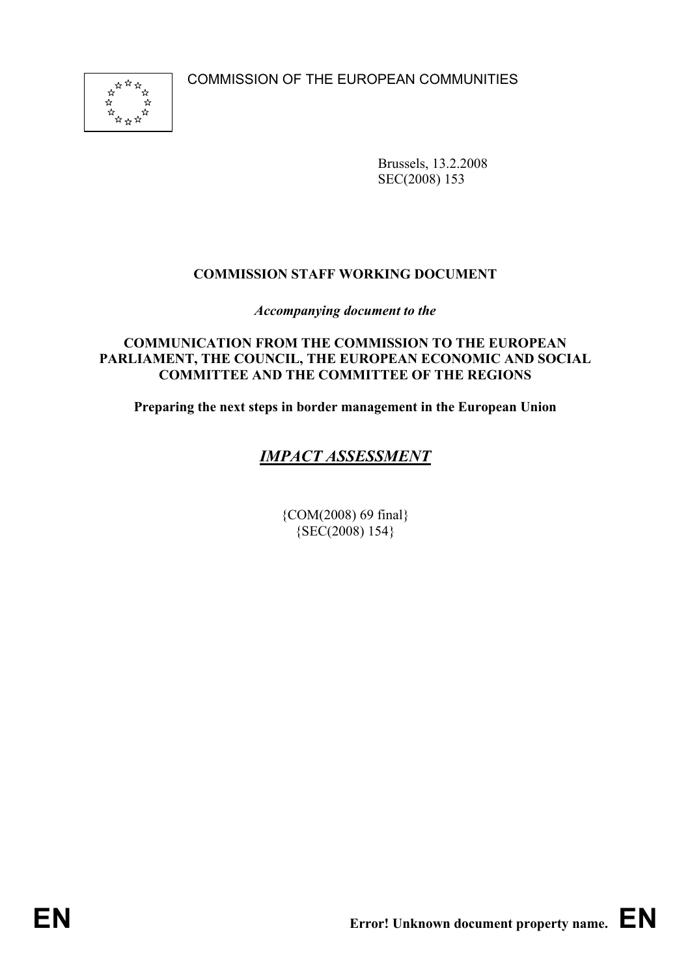COMMISSION OF THE EUROPEAN COMMUNITIES



Brussels, 13.2.2008 SEC(2008) 153

## **COMMISSION STAFF WORKING DOCUMENT**

*Accompanying document to the*

#### **COMMUNICATION FROM THE COMMISSION TO THE EUROPEAN PARLIAMENT, THE COUNCIL, THE EUROPEAN ECONOMIC AND SOCIAL COMMITTEE AND THE COMMITTEE OF THE REGIONS**

**Preparing the next steps in border management in the European Union** 

## *IMPACT ASSESSMENT*

{COM(2008) 69 final} {SEC(2008) 154}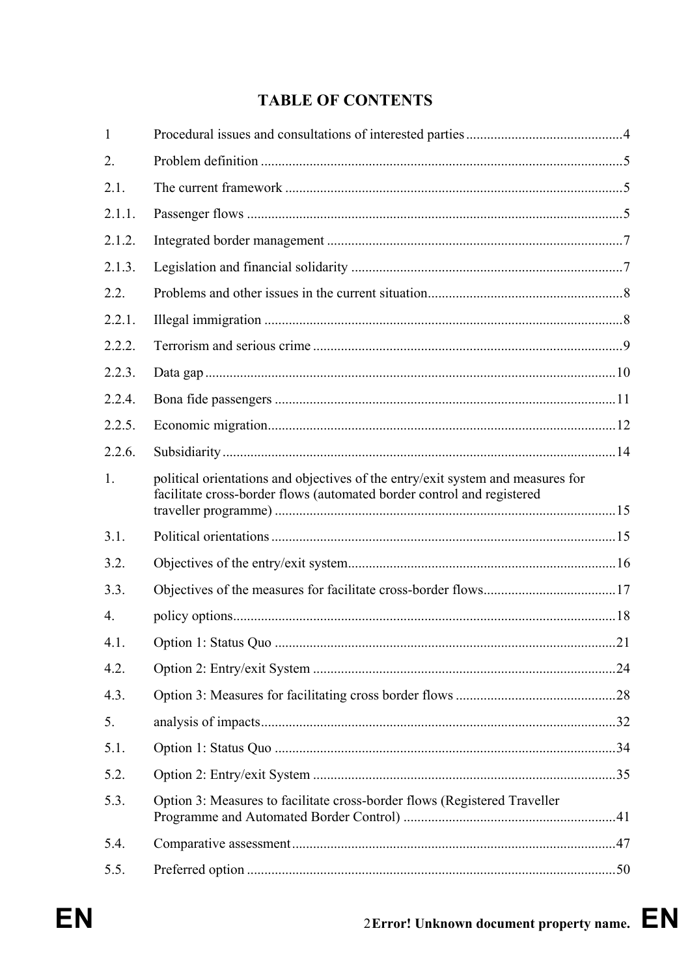# **TABLE OF CONTENTS**

| 1                |                                                                                                                                                           |  |
|------------------|-----------------------------------------------------------------------------------------------------------------------------------------------------------|--|
| 2.               |                                                                                                                                                           |  |
| 2.1.             |                                                                                                                                                           |  |
| 2.1.1.           |                                                                                                                                                           |  |
| 2.1.2.           |                                                                                                                                                           |  |
| 2.1.3.           |                                                                                                                                                           |  |
| 2.2.             |                                                                                                                                                           |  |
| 2.2.1.           |                                                                                                                                                           |  |
| 2.2.2.           |                                                                                                                                                           |  |
| 2.2.3.           |                                                                                                                                                           |  |
| 2.2.4.           |                                                                                                                                                           |  |
| 2.2.5.           |                                                                                                                                                           |  |
| 2.2.6.           |                                                                                                                                                           |  |
| 1.               | political orientations and objectives of the entry/exit system and measures for<br>facilitate cross-border flows (automated border control and registered |  |
| 3.1.             |                                                                                                                                                           |  |
| 3.2.             |                                                                                                                                                           |  |
| 3.3.             |                                                                                                                                                           |  |
| $\overline{4}$ . |                                                                                                                                                           |  |
| 4.1.             |                                                                                                                                                           |  |
| 4.2.             |                                                                                                                                                           |  |
| 4.3.             |                                                                                                                                                           |  |
| 5.               |                                                                                                                                                           |  |
| 5.1.             |                                                                                                                                                           |  |
| 5.2.             |                                                                                                                                                           |  |
| 5.3.             | Option 3: Measures to facilitate cross-border flows (Registered Traveller                                                                                 |  |
| 5.4.             |                                                                                                                                                           |  |
| 5.5.             |                                                                                                                                                           |  |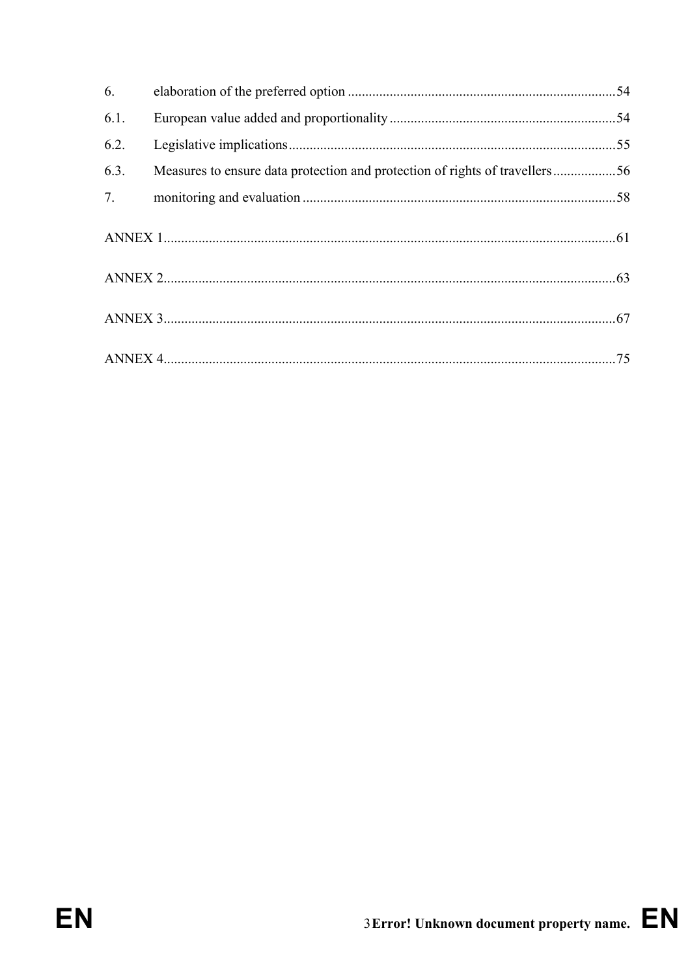| 6.   |                                                                             |  |
|------|-----------------------------------------------------------------------------|--|
| 6.1. |                                                                             |  |
| 6.2. |                                                                             |  |
| 6.3. | Measures to ensure data protection and protection of rights of travellers56 |  |
| 7.   |                                                                             |  |
|      |                                                                             |  |
|      |                                                                             |  |
|      |                                                                             |  |
|      |                                                                             |  |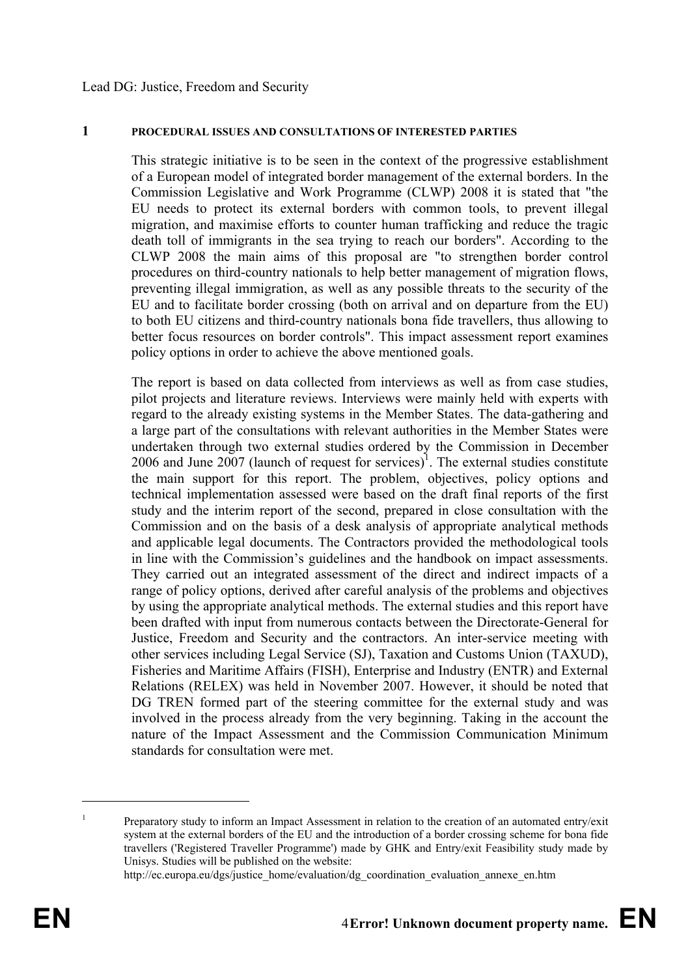#### Lead DG: Justice, Freedom and Security

#### **1 PROCEDURAL ISSUES AND CONSULTATIONS OF INTERESTED PARTIES**

This strategic initiative is to be seen in the context of the progressive establishment of a European model of integrated border management of the external borders. In the Commission Legislative and Work Programme (CLWP) 2008 it is stated that "the EU needs to protect its external borders with common tools, to prevent illegal migration, and maximise efforts to counter human trafficking and reduce the tragic death toll of immigrants in the sea trying to reach our borders". According to the CLWP 2008 the main aims of this proposal are "to strengthen border control procedures on third-country nationals to help better management of migration flows, preventing illegal immigration, as well as any possible threats to the security of the EU and to facilitate border crossing (both on arrival and on departure from the EU) to both EU citizens and third-country nationals bona fide travellers, thus allowing to better focus resources on border controls". This impact assessment report examines policy options in order to achieve the above mentioned goals.

The report is based on data collected from interviews as well as from case studies, pilot projects and literature reviews. Interviews were mainly held with experts with regard to the already existing systems in the Member States. The data-gathering and a large part of the consultations with relevant authorities in the Member States were undertaken through two external studies ordered by the Commission in December 2006 and June 2007 (launch of request for services)<sup>1</sup>. The external studies constitute the main support for this report. The problem, objectives, policy options and technical implementation assessed were based on the draft final reports of the first study and the interim report of the second, prepared in close consultation with the Commission and on the basis of a desk analysis of appropriate analytical methods and applicable legal documents. The Contractors provided the methodological tools in line with the Commission's guidelines and the handbook on impact assessments. They carried out an integrated assessment of the direct and indirect impacts of a range of policy options, derived after careful analysis of the problems and objectives by using the appropriate analytical methods. The external studies and this report have been drafted with input from numerous contacts between the Directorate-General for Justice, Freedom and Security and the contractors. An inter-service meeting with other services including Legal Service (SJ), Taxation and Customs Union (TAXUD), Fisheries and Maritime Affairs (FISH), Enterprise and Industry (ENTR) and External Relations (RELEX) was held in November 2007. However, it should be noted that DG TREN formed part of the steering committee for the external study and was involved in the process already from the very beginning. Taking in the account the nature of the Impact Assessment and the Commission Communication Minimum standards for consultation were met.

<sup>1</sup> Preparatory study to inform an Impact Assessment in relation to the creation of an automated entry/exit system at the external borders of the EU and the introduction of a border crossing scheme for bona fide travellers ('Registered Traveller Programme') made by GHK and Entry/exit Feasibility study made by Unisys. Studies will be published on the website:

http://ec.europa.eu/dgs/justice\_home/evaluation/dg\_coordination\_evaluation\_annexe\_en.htm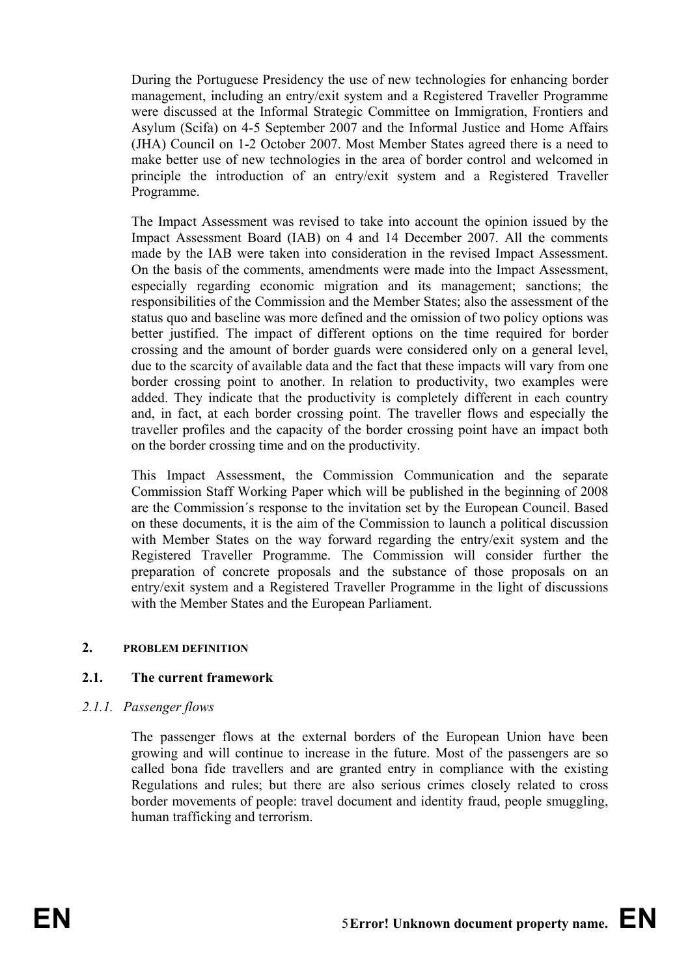During the Portuguese Presidency the use of new technologies for enhancing border management, including an entry/exit system and a Registered Traveller Programme were discussed at the Informal Strategic Committee on Immigration, Frontiers and Asylum (Scifa) on 4-5 September 2007 and the Informal Justice and Home Affairs (JHA) Council on 1-2 October 2007. Most Member States agreed there is a need to make better use of new technologies in the area of border control and welcomed in principle the introduction of an entry/exit system and a Registered Traveller Programme.

The Impact Assessment was revised to take into account the opinion issued by the Impact Assessment Board (IAB) on 4 and 14 December 2007. All the comments made by the IAB were taken into consideration in the revised Impact Assessment. On the basis of the comments, amendments were made into the Impact Assessment, especially regarding economic migration and its management; sanctions; the responsibilities of the Commission and the Member States; also the assessment of the status quo and baseline was more defined and the omission of two policy options was better justified. The impact of different options on the time required for border crossing and the amount of border guards were considered only on a general level, due to the scarcity of available data and the fact that these impacts will vary from one border crossing point to another. In relation to productivity, two examples were added. They indicate that the productivity is completely different in each country and, in fact, at each border crossing point. The traveller flows and especially the traveller profiles and the capacity of the border crossing point have an impact both on the border crossing time and on the productivity.

This Impact Assessment, the Commission Communication and the separate Commission Staff Working Paper which will be published in the beginning of 2008 are the Commission´s response to the invitation set by the European Council. Based on these documents, it is the aim of the Commission to launch a political discussion with Member States on the way forward regarding the entry/exit system and the Registered Traveller Programme. The Commission will consider further the preparation of concrete proposals and the substance of those proposals on an entry/exit system and a Registered Traveller Programme in the light of discussions with the Member States and the European Parliament.

#### **2. PROBLEM DEFINITION**

## **2.1. The current framework**

#### *2.1.1. Passenger flows*

The passenger flows at the external borders of the European Union have been growing and will continue to increase in the future. Most of the passengers are so called bona fide travellers and are granted entry in compliance with the existing Regulations and rules; but there are also serious crimes closely related to cross border movements of people: travel document and identity fraud, people smuggling, human trafficking and terrorism.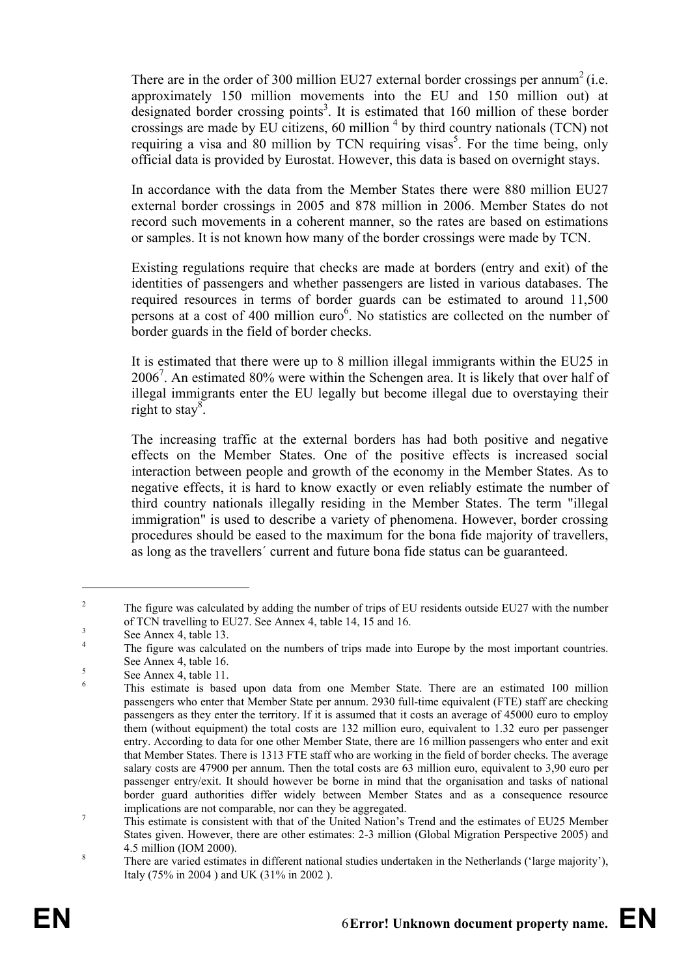There are in the order of 300 million EU27 external border crossings per annum<sup>2</sup> (i.e. approximately 150 million movements into the EU and 150 million out) at designated border crossing points<sup>3</sup>. It is estimated that  $160$  million of these border crossings are made by EU citizens, 60 million  $4$  by third country nationals (TCN) not requiring a visa and 80 million by TCN requiring visas<sup>5</sup>. For the time being, only official data is provided by Eurostat. However, this data is based on overnight stays.

In accordance with the data from the Member States there were 880 million EU27 external border crossings in 2005 and 878 million in 2006. Member States do not record such movements in a coherent manner, so the rates are based on estimations or samples. It is not known how many of the border crossings were made by TCN.

Existing regulations require that checks are made at borders (entry and exit) of the identities of passengers and whether passengers are listed in various databases. The required resources in terms of border guards can be estimated to around 11,500 persons at a cost of 400 million euro<sup>6</sup>. No statistics are collected on the number of border guards in the field of border checks.

It is estimated that there were up to 8 million illegal immigrants within the EU25 in 20067 . An estimated 80% were within the Schengen area. It is likely that over half of illegal immigrants enter the EU legally but become illegal due to overstaying their right to stay<sup>8</sup>.

The increasing traffic at the external borders has had both positive and negative effects on the Member States. One of the positive effects is increased social interaction between people and growth of the economy in the Member States. As to negative effects, it is hard to know exactly or even reliably estimate the number of third country nationals illegally residing in the Member States. The term "illegal immigration" is used to describe a variety of phenomena. However, border crossing procedures should be eased to the maximum for the bona fide majority of travellers, as long as the travellers´ current and future bona fide status can be guaranteed.

 $\overline{\phantom{a}}$  The figure was calculated by adding the number of trips of EU residents outside EU27 with the number of TCN travelling to EU27. See Annex 4, table 14, 15 and 16.  $\frac{3}{2}$ 

See Annex 4, table 13.

<sup>4</sup> The figure was calculated on the numbers of trips made into Europe by the most important countries. See Annex 4, table 16.

See Annex 4, table 11. 6

This estimate is based upon data from one Member State. There are an estimated 100 million passengers who enter that Member State per annum. 2930 full-time equivalent (FTE) staff are checking passengers as they enter the territory. If it is assumed that it costs an average of 45000 euro to employ them (without equipment) the total costs are 132 million euro, equivalent to 1.32 euro per passenger entry. According to data for one other Member State, there are 16 million passengers who enter and exit that Member States. There is 1313 FTE staff who are working in the field of border checks. The average salary costs are 47900 per annum. Then the total costs are 63 million euro, equivalent to 3,90 euro per passenger entry/exit. It should however be borne in mind that the organisation and tasks of national border guard authorities differ widely between Member States and as a consequence resource implications are not comparable, nor can they be aggregated.

This estimate is consistent with that of the United Nation's Trend and the estimates of EU25 Member States given. However, there are other estimates: 2-3 million (Global Migration Perspective 2005) and  $\frac{4.5 \text{ million (IOM } 2000)}{3}$ 

There are varied estimates in different national studies undertaken in the Netherlands ('large majority'), Italy (75% in 2004 ) and UK (31% in 2002 ).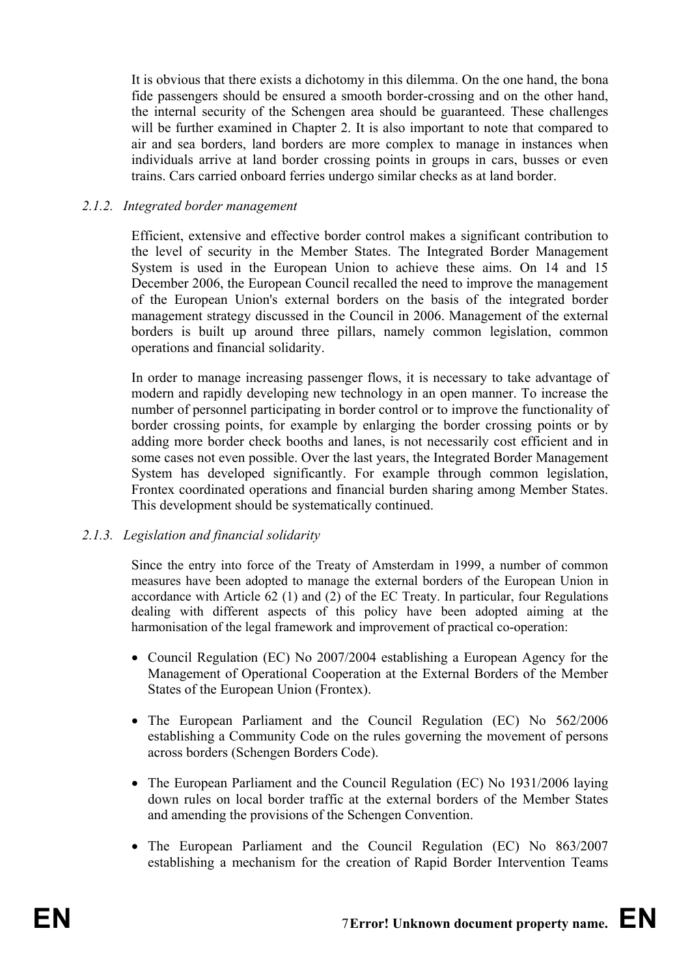It is obvious that there exists a dichotomy in this dilemma. On the one hand, the bona fide passengers should be ensured a smooth border-crossing and on the other hand, the internal security of the Schengen area should be guaranteed. These challenges will be further examined in Chapter 2. It is also important to note that compared to air and sea borders, land borders are more complex to manage in instances when individuals arrive at land border crossing points in groups in cars, busses or even trains. Cars carried onboard ferries undergo similar checks as at land border.

#### *2.1.2. Integrated border management*

Efficient, extensive and effective border control makes a significant contribution to the level of security in the Member States. The Integrated Border Management System is used in the European Union to achieve these aims. On 14 and 15 December 2006, the European Council recalled the need to improve the management of the European Union's external borders on the basis of the integrated border management strategy discussed in the Council in 2006. Management of the external borders is built up around three pillars, namely common legislation, common operations and financial solidarity.

In order to manage increasing passenger flows, it is necessary to take advantage of modern and rapidly developing new technology in an open manner. To increase the number of personnel participating in border control or to improve the functionality of border crossing points, for example by enlarging the border crossing points or by adding more border check booths and lanes, is not necessarily cost efficient and in some cases not even possible. Over the last years, the Integrated Border Management System has developed significantly. For example through common legislation, Frontex coordinated operations and financial burden sharing among Member States. This development should be systematically continued.

## *2.1.3. Legislation and financial solidarity*

Since the entry into force of the Treaty of Amsterdam in 1999, a number of common measures have been adopted to manage the external borders of the European Union in accordance with Article  $62$  (1) and (2) of the EC Treaty. In particular, four Regulations dealing with different aspects of this policy have been adopted aiming at the harmonisation of the legal framework and improvement of practical co-operation:

- Council Regulation (EC) No 2007/2004 establishing a European Agency for the Management of Operational Cooperation at the External Borders of the Member States of the European Union (Frontex).
- The European Parliament and the Council Regulation (EC) No 562/2006 establishing a Community Code on the rules governing the movement of persons across borders (Schengen Borders Code).
- The European Parliament and the Council Regulation (EC) No 1931/2006 laying down rules on local border traffic at the external borders of the Member States and amending the provisions of the Schengen Convention.
- The European Parliament and the Council Regulation (EC) No 863/2007 establishing a mechanism for the creation of Rapid Border Intervention Teams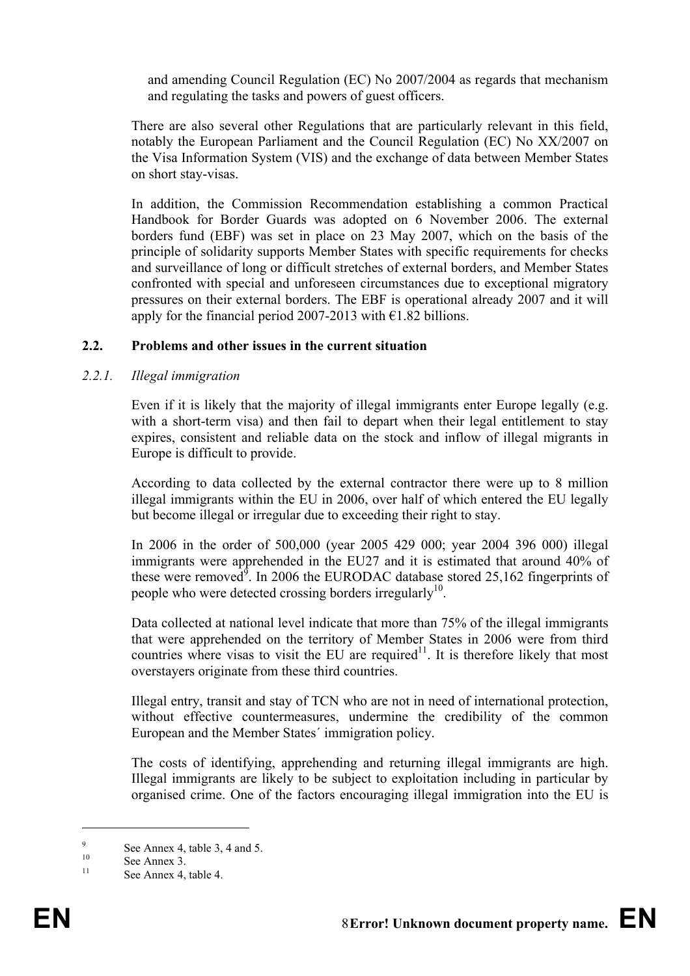and amending Council Regulation (EC) No 2007/2004 as regards that mechanism and regulating the tasks and powers of guest officers.

There are also several other Regulations that are particularly relevant in this field, notably the European Parliament and the Council Regulation (EC) No XX/2007 on the Visa Information System (VIS) and the exchange of data between Member States on short stay-visas.

In addition, the Commission Recommendation establishing a common Practical Handbook for Border Guards was adopted on 6 November 2006. The external borders fund (EBF) was set in place on 23 May 2007, which on the basis of the principle of solidarity supports Member States with specific requirements for checks and surveillance of long or difficult stretches of external borders, and Member States confronted with special and unforeseen circumstances due to exceptional migratory pressures on their external borders. The EBF is operational already 2007 and it will apply for the financial period 2007-2013 with  $\epsilon$ 1.82 billions.

#### **2.2. Problems and other issues in the current situation**

#### *2.2.1. Illegal immigration*

Even if it is likely that the majority of illegal immigrants enter Europe legally (e.g. with a short-term visa) and then fail to depart when their legal entitlement to stay expires, consistent and reliable data on the stock and inflow of illegal migrants in Europe is difficult to provide.

According to data collected by the external contractor there were up to 8 million illegal immigrants within the EU in 2006, over half of which entered the EU legally but become illegal or irregular due to exceeding their right to stay.

In 2006 in the order of 500,000 (year 2005 429 000; year 2004 396 000) illegal immigrants were apprehended in the EU27 and it is estimated that around 40% of these were removed<sup>9</sup>. In 2006 the EURODAC database stored 25,162 fingerprints of people who were detected crossing borders irregularly<sup>10</sup>.

Data collected at national level indicate that more than 75% of the illegal immigrants that were apprehended on the territory of Member States in 2006 were from third countries where visas to visit the EU are required<sup>11</sup>. It is therefore likely that most overstayers originate from these third countries.

Illegal entry, transit and stay of TCN who are not in need of international protection, without effective countermeasures, undermine the credibility of the common European and the Member States´ immigration policy.

The costs of identifying, apprehending and returning illegal immigrants are high. Illegal immigrants are likely to be subject to exploitation including in particular by organised crime. One of the factors encouraging illegal immigration into the EU is

<u>.</u>

 $\alpha$ See Annex 4, table 3, 4 and 5.<br>
See Annex 3.

See Annex 4, table 4.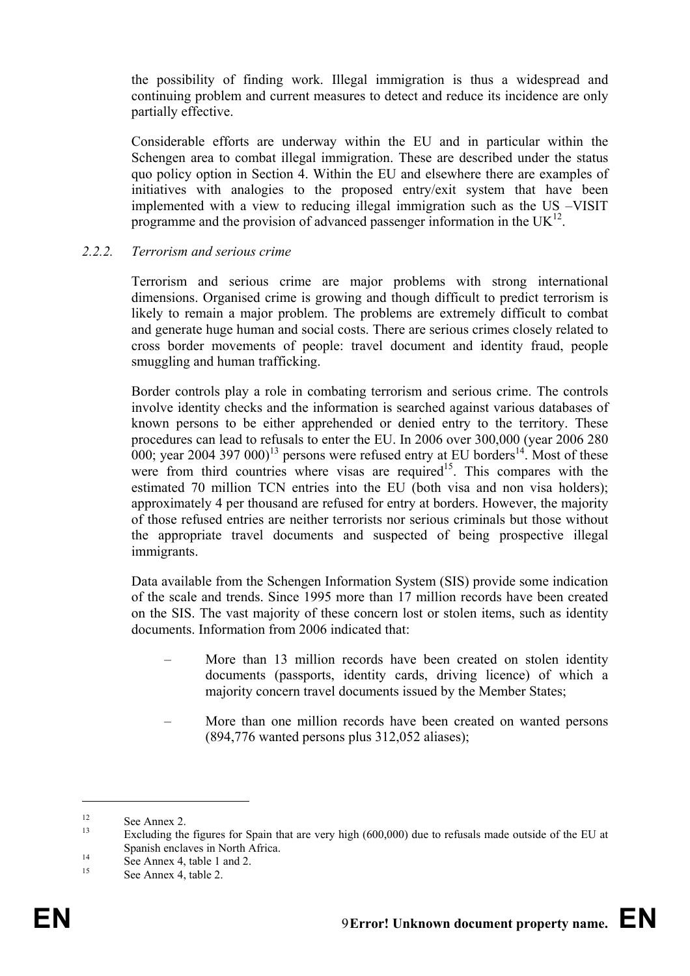the possibility of finding work. Illegal immigration is thus a widespread and continuing problem and current measures to detect and reduce its incidence are only partially effective.

Considerable efforts are underway within the EU and in particular within the Schengen area to combat illegal immigration. These are described under the status quo policy option in Section 4. Within the EU and elsewhere there are examples of initiatives with analogies to the proposed entry/exit system that have been implemented with a view to reducing illegal immigration such as the US –VISIT programme and the provision of advanced passenger information in the  $UK^{12}$ .

#### *2.2.2. Terrorism and serious crime*

Terrorism and serious crime are major problems with strong international dimensions. Organised crime is growing and though difficult to predict terrorism is likely to remain a major problem. The problems are extremely difficult to combat and generate huge human and social costs. There are serious crimes closely related to cross border movements of people: travel document and identity fraud, people smuggling and human trafficking.

Border controls play a role in combating terrorism and serious crime. The controls involve identity checks and the information is searched against various databases of known persons to be either apprehended or denied entry to the territory. These procedures can lead to refusals to enter the EU. In 2006 over 300,000 (year 2006 280 000; year 2004 397 000)<sup>13</sup> persons were refused entry at EU borders<sup>14</sup>. Most of these were from third countries where visas are required<sup>15</sup>. This compares with the estimated 70 million TCN entries into the EU (both visa and non visa holders); approximately 4 per thousand are refused for entry at borders. However, the majority of those refused entries are neither terrorists nor serious criminals but those without the appropriate travel documents and suspected of being prospective illegal immigrants.

Data available from the Schengen Information System (SIS) provide some indication of the scale and trends. Since 1995 more than 17 million records have been created on the SIS. The vast majority of these concern lost or stolen items, such as identity documents. Information from 2006 indicated that:

- More than 13 million records have been created on stolen identity documents (passports, identity cards, driving licence) of which a majority concern travel documents issued by the Member States;
- More than one million records have been created on wanted persons (894,776 wanted persons plus 312,052 aliases);

<sup>&</sup>lt;sup>12</sup> See Annex 2.

Excluding the figures for Spain that are very high (600,000) due to refusals made outside of the EU at Spanish enclaves in North Africa.<br>
See Annex 4, table 1 and 2.

See Annex 4, table 2.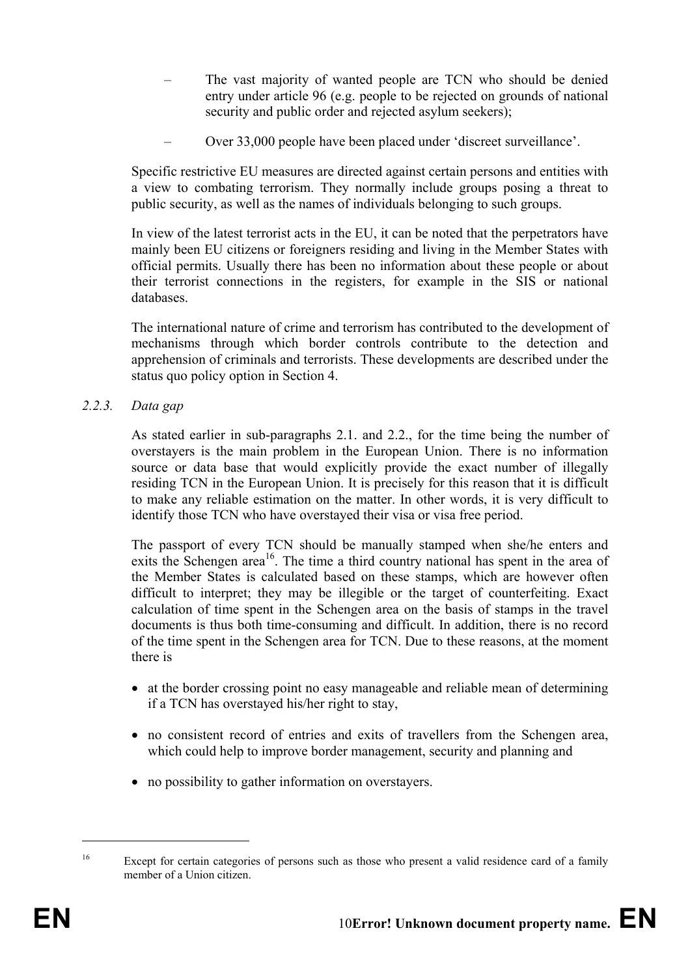- The vast majority of wanted people are TCN who should be denied entry under article 96 (e.g. people to be rejected on grounds of national security and public order and rejected asylum seekers);
- Over 33,000 people have been placed under 'discreet surveillance'.

Specific restrictive EU measures are directed against certain persons and entities with a view to combating terrorism. They normally include groups posing a threat to public security, as well as the names of individuals belonging to such groups.

In view of the latest terrorist acts in the EU, it can be noted that the perpetrators have mainly been EU citizens or foreigners residing and living in the Member States with official permits. Usually there has been no information about these people or about their terrorist connections in the registers, for example in the SIS or national databases.

The international nature of crime and terrorism has contributed to the development of mechanisms through which border controls contribute to the detection and apprehension of criminals and terrorists. These developments are described under the status quo policy option in Section 4.

#### *2.2.3. Data gap*

As stated earlier in sub-paragraphs 2.1. and 2.2., for the time being the number of overstayers is the main problem in the European Union. There is no information source or data base that would explicitly provide the exact number of illegally residing TCN in the European Union. It is precisely for this reason that it is difficult to make any reliable estimation on the matter. In other words, it is very difficult to identify those TCN who have overstayed their visa or visa free period.

The passport of every TCN should be manually stamped when she/he enters and exits the Schengen area<sup>16</sup>. The time a third country national has spent in the area of the Member States is calculated based on these stamps, which are however often difficult to interpret; they may be illegible or the target of counterfeiting. Exact calculation of time spent in the Schengen area on the basis of stamps in the travel documents is thus both time-consuming and difficult. In addition, there is no record of the time spent in the Schengen area for TCN. Due to these reasons, at the moment there is

- at the border crossing point no easy manageable and reliable mean of determining if a TCN has overstayed his/her right to stay,
- no consistent record of entries and exits of travellers from the Schengen area, which could help to improve border management, security and planning and
- no possibility to gather information on overstayers.

<sup>&</sup>lt;sup>16</sup> Except for certain categories of persons such as those who present a valid residence card of a family member of a Union citizen.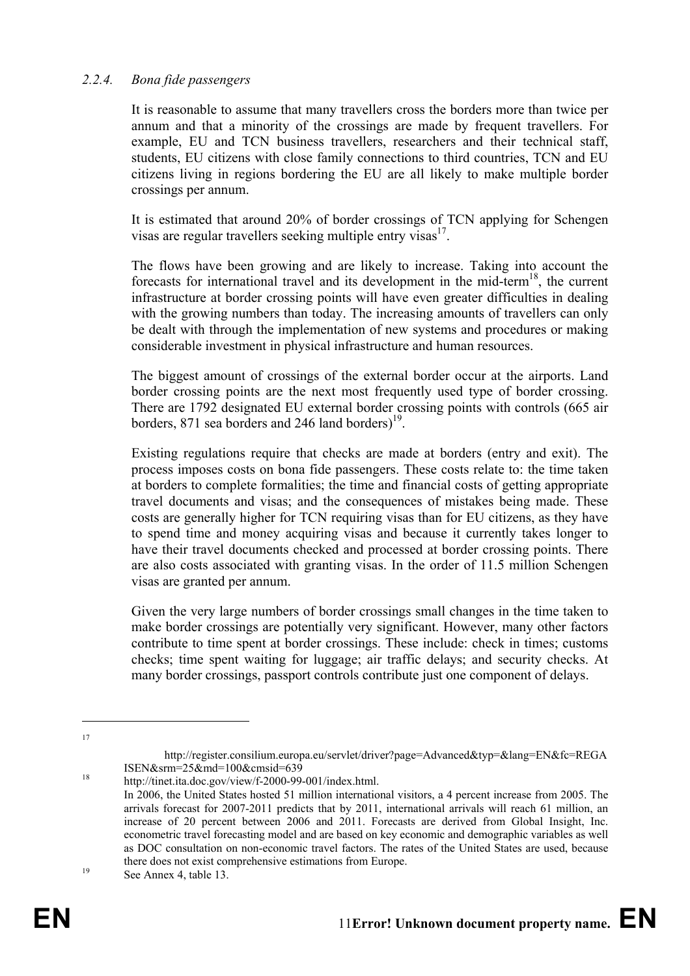#### *2.2.4. Bona fide passengers*

It is reasonable to assume that many travellers cross the borders more than twice per annum and that a minority of the crossings are made by frequent travellers. For example, EU and TCN business travellers, researchers and their technical staff, students, EU citizens with close family connections to third countries, TCN and EU citizens living in regions bordering the EU are all likely to make multiple border crossings per annum.

It is estimated that around 20% of border crossings of TCN applying for Schengen visas are regular travellers seeking multiple entry visas $^{17}$ .

The flows have been growing and are likely to increase. Taking into account the forecasts for international travel and its development in the mid-term18, the current infrastructure at border crossing points will have even greater difficulties in dealing with the growing numbers than today. The increasing amounts of travellers can only be dealt with through the implementation of new systems and procedures or making considerable investment in physical infrastructure and human resources.

The biggest amount of crossings of the external border occur at the airports. Land border crossing points are the next most frequently used type of border crossing. There are 1792 designated EU external border crossing points with controls (665 air borders, 871 sea borders and 246 land borders $1<sup>9</sup>$ .

Existing regulations require that checks are made at borders (entry and exit). The process imposes costs on bona fide passengers. These costs relate to: the time taken at borders to complete formalities; the time and financial costs of getting appropriate travel documents and visas; and the consequences of mistakes being made. These costs are generally higher for TCN requiring visas than for EU citizens, as they have to spend time and money acquiring visas and because it currently takes longer to have their travel documents checked and processed at border crossing points. There are also costs associated with granting visas. In the order of 11.5 million Schengen visas are granted per annum.

Given the very large numbers of border crossings small changes in the time taken to make border crossings are potentially very significant. However, many other factors contribute to time spent at border crossings. These include: check in times; customs checks; time spent waiting for luggage; air traffic delays; and security checks. At many border crossings, passport controls contribute just one component of delays.

http://register.consilium.europa.eu/servlet/driver?page=Advanced&typ=&lang=EN&fc=REGA  $18$  ISEN&srm=25&md=100&cmsid=639<br>http://tinet.ita.doc.gov/view/f-2000-99-001/index.html.

In 2006, the United States hosted 51 million international visitors, a 4 percent increase from 2005. The arrivals forecast for 2007-2011 predicts that by 2011, international arrivals will reach 61 million, an increase of 20 percent between 2006 and 2011. Forecasts are derived from Global Insight, Inc. econometric travel forecasting model and are based on key economic and demographic variables as well as DOC consultation on non-economic travel factors. The rates of the United States are used, because there does not exist comprehensive estimations from Europe.<br>See Annex 4, table 13.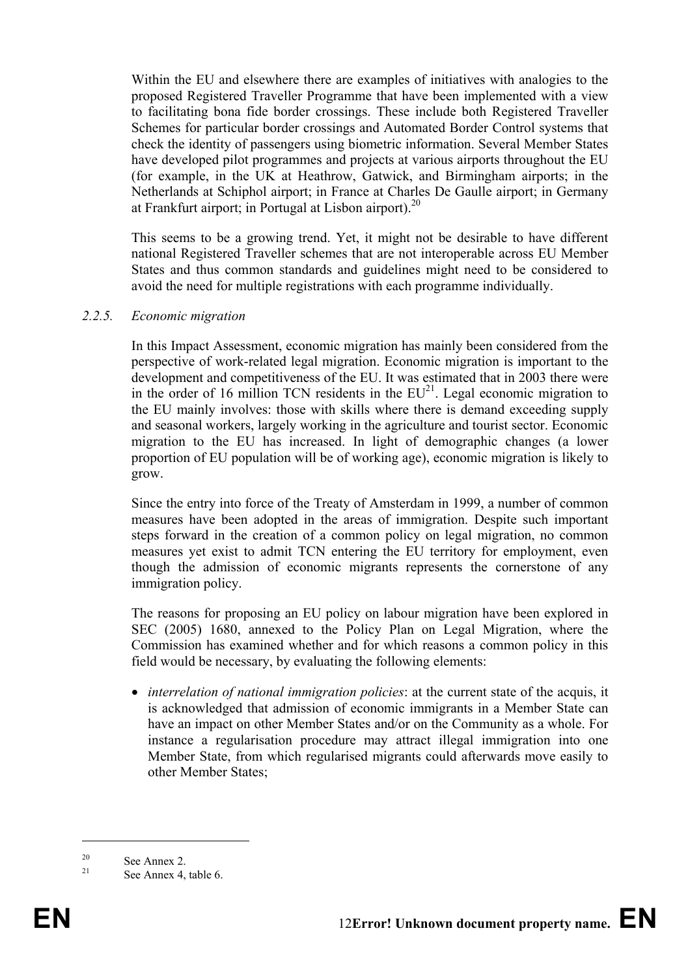Within the EU and elsewhere there are examples of initiatives with analogies to the proposed Registered Traveller Programme that have been implemented with a view to facilitating bona fide border crossings. These include both Registered Traveller Schemes for particular border crossings and Automated Border Control systems that check the identity of passengers using biometric information. Several Member States have developed pilot programmes and projects at various airports throughout the EU (for example, in the UK at Heathrow, Gatwick, and Birmingham airports; in the Netherlands at Schiphol airport; in France at Charles De Gaulle airport; in Germany at Frankfurt airport; in Portugal at Lisbon airport). $^{20}$ 

This seems to be a growing trend. Yet, it might not be desirable to have different national Registered Traveller schemes that are not interoperable across EU Member States and thus common standards and guidelines might need to be considered to avoid the need for multiple registrations with each programme individually.

#### *2.2.5. Economic migration*

In this Impact Assessment, economic migration has mainly been considered from the perspective of work-related legal migration. Economic migration is important to the development and competitiveness of the EU. It was estimated that in 2003 there were in the order of 16 million TCN residents in the  $EU^{21}$ . Legal economic migration to the EU mainly involves: those with skills where there is demand exceeding supply and seasonal workers, largely working in the agriculture and tourist sector. Economic migration to the EU has increased. In light of demographic changes (a lower proportion of EU population will be of working age), economic migration is likely to grow.

Since the entry into force of the Treaty of Amsterdam in 1999, a number of common measures have been adopted in the areas of immigration. Despite such important steps forward in the creation of a common policy on legal migration, no common measures yet exist to admit TCN entering the EU territory for employment, even though the admission of economic migrants represents the cornerstone of any immigration policy.

The reasons for proposing an EU policy on labour migration have been explored in SEC (2005) 1680, annexed to the Policy Plan on Legal Migration, where the Commission has examined whether and for which reasons a common policy in this field would be necessary, by evaluating the following elements:

• *interrelation of national immigration policies*: at the current state of the acquis, it is acknowledged that admission of economic immigrants in a Member State can have an impact on other Member States and/or on the Community as a whole. For instance a regularisation procedure may attract illegal immigration into one Member State, from which regularised migrants could afterwards move easily to other Member States;

 $\sum_{21}^{20}$  See Annex 2.

See Annex 4, table 6.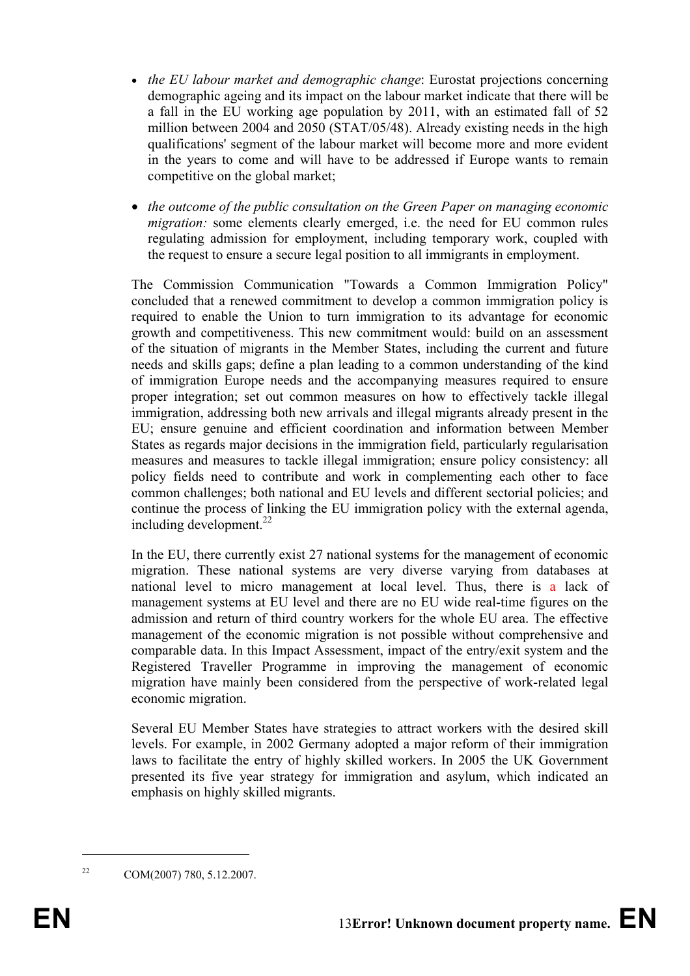- *the EU labour market and demographic change*: Eurostat projections concerning demographic ageing and its impact on the labour market indicate that there will be a fall in the EU working age population by 2011, with an estimated fall of 52 million between 2004 and 2050 (STAT/05/48). Already existing needs in the high qualifications' segment of the labour market will become more and more evident in the years to come and will have to be addressed if Europe wants to remain competitive on the global market;
- *the outcome of the public consultation on the Green Paper on managing economic migration:* some elements clearly emerged, i.e. the need for EU common rules regulating admission for employment, including temporary work, coupled with the request to ensure a secure legal position to all immigrants in employment.

The Commission Communication "Towards a Common Immigration Policy" concluded that a renewed commitment to develop a common immigration policy is required to enable the Union to turn immigration to its advantage for economic growth and competitiveness. This new commitment would: build on an assessment of the situation of migrants in the Member States, including the current and future needs and skills gaps; define a plan leading to a common understanding of the kind of immigration Europe needs and the accompanying measures required to ensure proper integration; set out common measures on how to effectively tackle illegal immigration, addressing both new arrivals and illegal migrants already present in the EU; ensure genuine and efficient coordination and information between Member States as regards major decisions in the immigration field, particularly regularisation measures and measures to tackle illegal immigration; ensure policy consistency: all policy fields need to contribute and work in complementing each other to face common challenges; both national and EU levels and different sectorial policies; and continue the process of linking the EU immigration policy with the external agenda, including development. $^{22}$ 

In the EU, there currently exist 27 national systems for the management of economic migration. These national systems are very diverse varying from databases at national level to micro management at local level. Thus, there is a lack of management systems at EU level and there are no EU wide real-time figures on the admission and return of third country workers for the whole EU area. The effective management of the economic migration is not possible without comprehensive and comparable data. In this Impact Assessment, impact of the entry/exit system and the Registered Traveller Programme in improving the management of economic migration have mainly been considered from the perspective of work-related legal economic migration.

Several EU Member States have strategies to attract workers with the desired skill levels. For example, in 2002 Germany adopted a major reform of their immigration laws to facilitate the entry of highly skilled workers. In 2005 the UK Government presented its five year strategy for immigration and asylum, which indicated an emphasis on highly skilled migrants.

<sup>&</sup>lt;sup>22</sup> COM(2007) 780, 5.12.2007.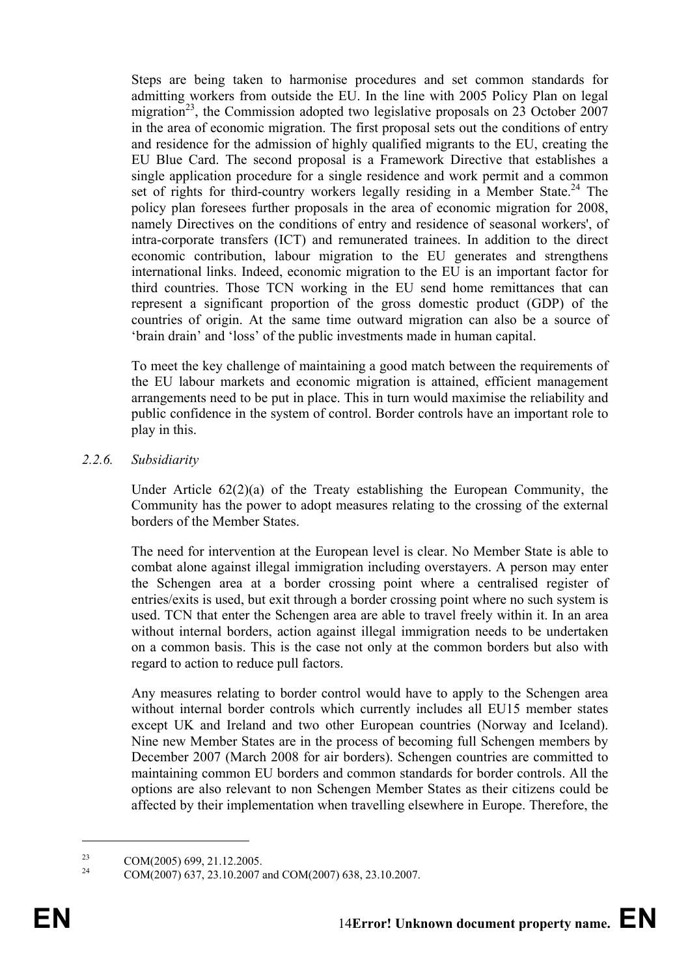Steps are being taken to harmonise procedures and set common standards for admitting workers from outside the EU. In the line with 2005 Policy Plan on legal migration<sup>23</sup>, the Commission adopted two legislative proposals on 23 October 2007 in the area of economic migration. The first proposal sets out the conditions of entry and residence for the admission of highly qualified migrants to the EU, creating the EU Blue Card. The second proposal is a Framework Directive that establishes a single application procedure for a single residence and work permit and a common set of rights for third-country workers legally residing in a Member State.<sup>24</sup> The policy plan foresees further proposals in the area of economic migration for 2008, namely Directives on the conditions of entry and residence of seasonal workers', of intra-corporate transfers (ICT) and remunerated trainees. In addition to the direct economic contribution, labour migration to the EU generates and strengthens international links. Indeed, economic migration to the EU is an important factor for third countries. Those TCN working in the EU send home remittances that can represent a significant proportion of the gross domestic product (GDP) of the countries of origin. At the same time outward migration can also be a source of 'brain drain' and 'loss' of the public investments made in human capital.

To meet the key challenge of maintaining a good match between the requirements of the EU labour markets and economic migration is attained, efficient management arrangements need to be put in place. This in turn would maximise the reliability and public confidence in the system of control. Border controls have an important role to play in this.

#### *2.2.6. Subsidiarity*

Under Article 62(2)(a) of the Treaty establishing the European Community, the Community has the power to adopt measures relating to the crossing of the external borders of the Member States.

The need for intervention at the European level is clear. No Member State is able to combat alone against illegal immigration including overstayers. A person may enter the Schengen area at a border crossing point where a centralised register of entries/exits is used, but exit through a border crossing point where no such system is used. TCN that enter the Schengen area are able to travel freely within it. In an area without internal borders, action against illegal immigration needs to be undertaken on a common basis. This is the case not only at the common borders but also with regard to action to reduce pull factors.

Any measures relating to border control would have to apply to the Schengen area without internal border controls which currently includes all EU15 member states except UK and Ireland and two other European countries (Norway and Iceland). Nine new Member States are in the process of becoming full Schengen members by December 2007 (March 2008 for air borders). Schengen countries are committed to maintaining common EU borders and common standards for border controls. All the options are also relevant to non Schengen Member States as their citizens could be affected by their implementation when travelling elsewhere in Europe. Therefore, the

<sup>&</sup>lt;sup>23</sup> COM(2005) 699, 21.12.2005.

<sup>24</sup> COM(2007) 637, 23.10.2007 and COM(2007) 638, 23.10.2007.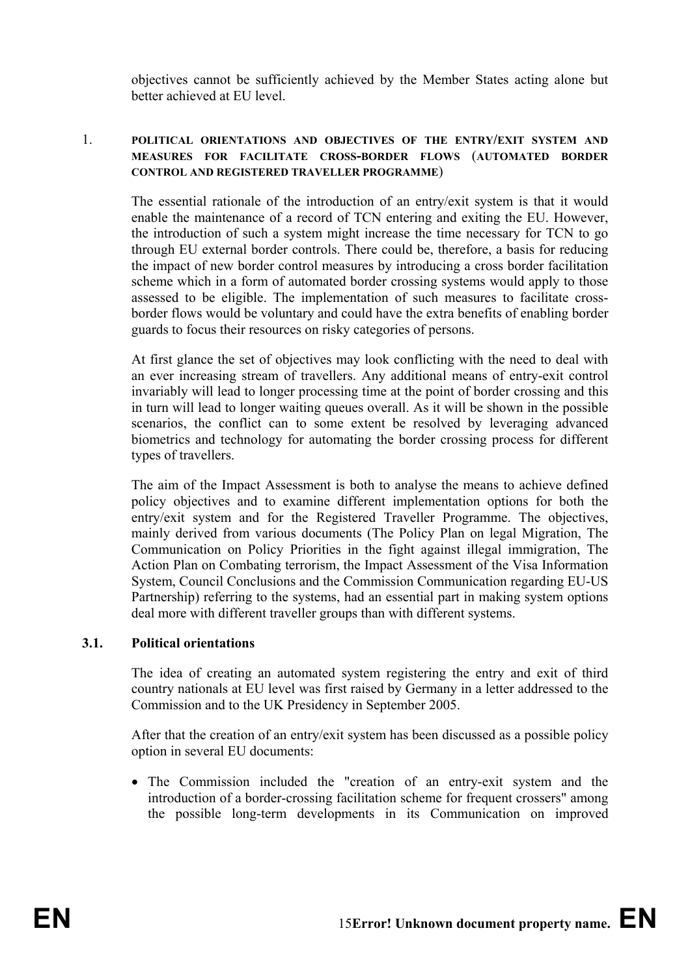objectives cannot be sufficiently achieved by the Member States acting alone but better achieved at EU level.

#### 1. **POLITICAL ORIENTATIONS AND OBJECTIVES OF THE ENTRY/EXIT SYSTEM AND MEASURES FOR FACILITATE CROSS-BORDER FLOWS** (**AUTOMATED BORDER CONTROL AND REGISTERED TRAVELLER PROGRAMME**)

The essential rationale of the introduction of an entry/exit system is that it would enable the maintenance of a record of TCN entering and exiting the EU. However, the introduction of such a system might increase the time necessary for TCN to go through EU external border controls. There could be, therefore, a basis for reducing the impact of new border control measures by introducing a cross border facilitation scheme which in a form of automated border crossing systems would apply to those assessed to be eligible. The implementation of such measures to facilitate crossborder flows would be voluntary and could have the extra benefits of enabling border guards to focus their resources on risky categories of persons.

At first glance the set of objectives may look conflicting with the need to deal with an ever increasing stream of travellers. Any additional means of entry-exit control invariably will lead to longer processing time at the point of border crossing and this in turn will lead to longer waiting queues overall. As it will be shown in the possible scenarios, the conflict can to some extent be resolved by leveraging advanced biometrics and technology for automating the border crossing process for different types of travellers.

The aim of the Impact Assessment is both to analyse the means to achieve defined policy objectives and to examine different implementation options for both the entry/exit system and for the Registered Traveller Programme. The objectives, mainly derived from various documents (The Policy Plan on legal Migration, The Communication on Policy Priorities in the fight against illegal immigration, The Action Plan on Combating terrorism, the Impact Assessment of the Visa Information System, Council Conclusions and the Commission Communication regarding EU-US Partnership) referring to the systems, had an essential part in making system options deal more with different traveller groups than with different systems.

#### **3.1. Political orientations**

The idea of creating an automated system registering the entry and exit of third country nationals at EU level was first raised by Germany in a letter addressed to the Commission and to the UK Presidency in September 2005.

After that the creation of an entry/exit system has been discussed as a possible policy option in several EU documents:

• The Commission included the "creation of an entry-exit system and the introduction of a border-crossing facilitation scheme for frequent crossers" among the possible long-term developments in its Communication on improved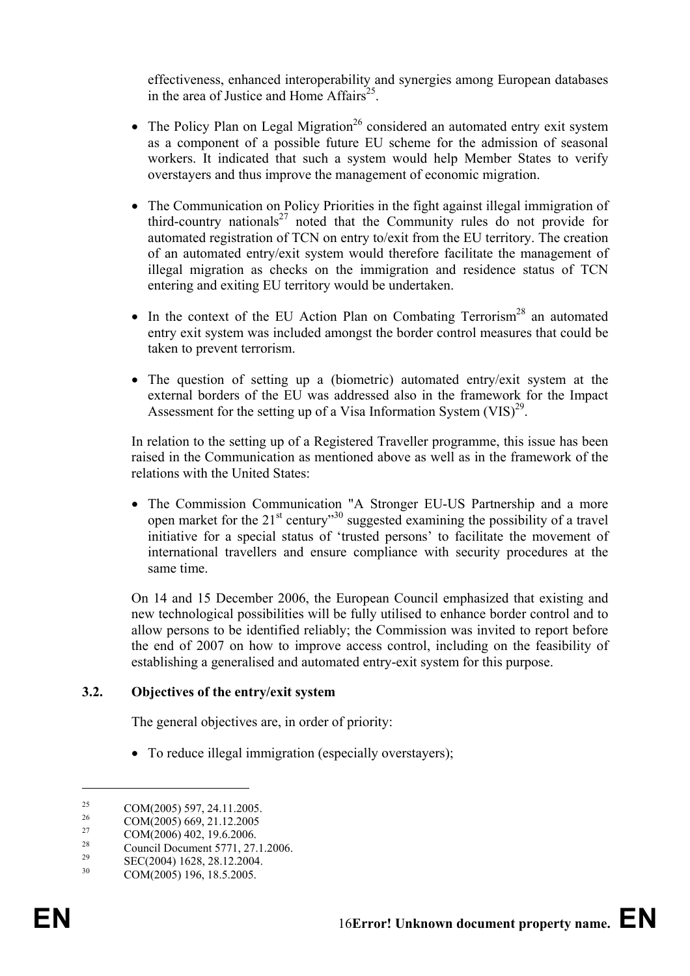effectiveness, enhanced interoperability and synergies among European databases in the area of Justice and Home Affairs<sup>25</sup>.

- The Policy Plan on Legal Migration<sup>26</sup> considered an automated entry exit system as a component of a possible future EU scheme for the admission of seasonal workers. It indicated that such a system would help Member States to verify overstayers and thus improve the management of economic migration.
- The Communication on Policy Priorities in the fight against illegal immigration of third-country nationals<sup>27</sup> noted that the Community rules do not provide for automated registration of TCN on entry to/exit from the EU territory. The creation of an automated entry/exit system would therefore facilitate the management of illegal migration as checks on the immigration and residence status of TCN entering and exiting EU territory would be undertaken.
- In the context of the EU Action Plan on Combating Terrorism<sup>28</sup> an automated entry exit system was included amongst the border control measures that could be taken to prevent terrorism.
- The question of setting up a (biometric) automated entry/exit system at the external borders of the EU was addressed also in the framework for the Impact Assessment for the setting up of a Visa Information System  $(VIS)^{29}$ .

In relation to the setting up of a Registered Traveller programme, this issue has been raised in the Communication as mentioned above as well as in the framework of the relations with the United States:

• The Commission Communication "A Stronger EU-US Partnership and a more open market for the  $21^{st}$  century<sup>30</sup> suggested examining the possibility of a travel initiative for a special status of 'trusted persons' to facilitate the movement of international travellers and ensure compliance with security procedures at the same time.

On 14 and 15 December 2006, the European Council emphasized that existing and new technological possibilities will be fully utilised to enhance border control and to allow persons to be identified reliably; the Commission was invited to report before the end of 2007 on how to improve access control, including on the feasibility of establishing a generalised and automated entry-exit system for this purpose.

#### **3.2. Objectives of the entry/exit system**

The general objectives are, in order of priority:

• To reduce illegal immigration (especially overstayers);

<u>.</u>

<sup>&</sup>lt;sup>25</sup> COM(2005) 597, 24.11.2005.

 $^{26}$  COM(2005) 669, 21.12.2005

 $^{27}$  COM(2006) 402, 19.6.2006.

<sup>&</sup>lt;sup>28</sup> Council Document 5771, 27.1.2006.<br><sup>29</sup> CEC(2004) 1628, 28.12.2004.

<sup>&</sup>lt;sup>29</sup> SEC(2004) 1628, 28.12.2004.<br>
COM(2005) 106, 19.5, 2005.

COM(2005) 196, 18.5.2005.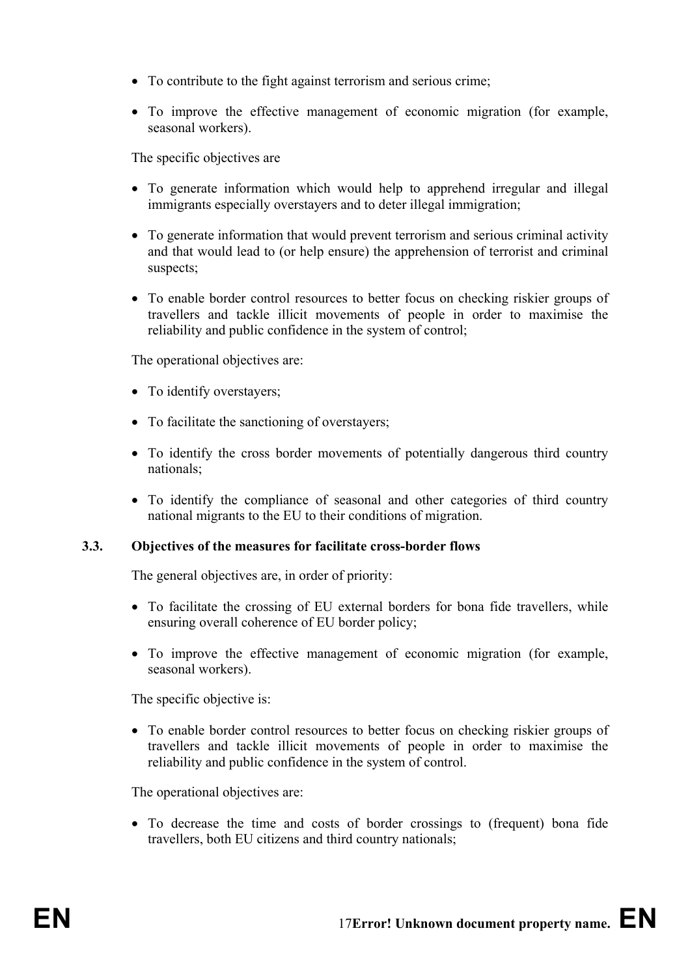- To contribute to the fight against terrorism and serious crime;
- To improve the effective management of economic migration (for example, seasonal workers).

The specific objectives are

- To generate information which would help to apprehend irregular and illegal immigrants especially overstayers and to deter illegal immigration;
- To generate information that would prevent terrorism and serious criminal activity and that would lead to (or help ensure) the apprehension of terrorist and criminal suspects;
- To enable border control resources to better focus on checking riskier groups of travellers and tackle illicit movements of people in order to maximise the reliability and public confidence in the system of control;

The operational objectives are:

- To identify overstayers:
- To facilitate the sanctioning of overstayers;
- To identify the cross border movements of potentially dangerous third country nationals;
- To identify the compliance of seasonal and other categories of third country national migrants to the EU to their conditions of migration.

## **3.3. Objectives of the measures for facilitate cross-border flows**

The general objectives are, in order of priority:

- To facilitate the crossing of EU external borders for bona fide travellers, while ensuring overall coherence of EU border policy;
- To improve the effective management of economic migration (for example, seasonal workers).

The specific objective is:

• To enable border control resources to better focus on checking riskier groups of travellers and tackle illicit movements of people in order to maximise the reliability and public confidence in the system of control.

The operational objectives are:

• To decrease the time and costs of border crossings to (frequent) bona fide travellers, both EU citizens and third country nationals;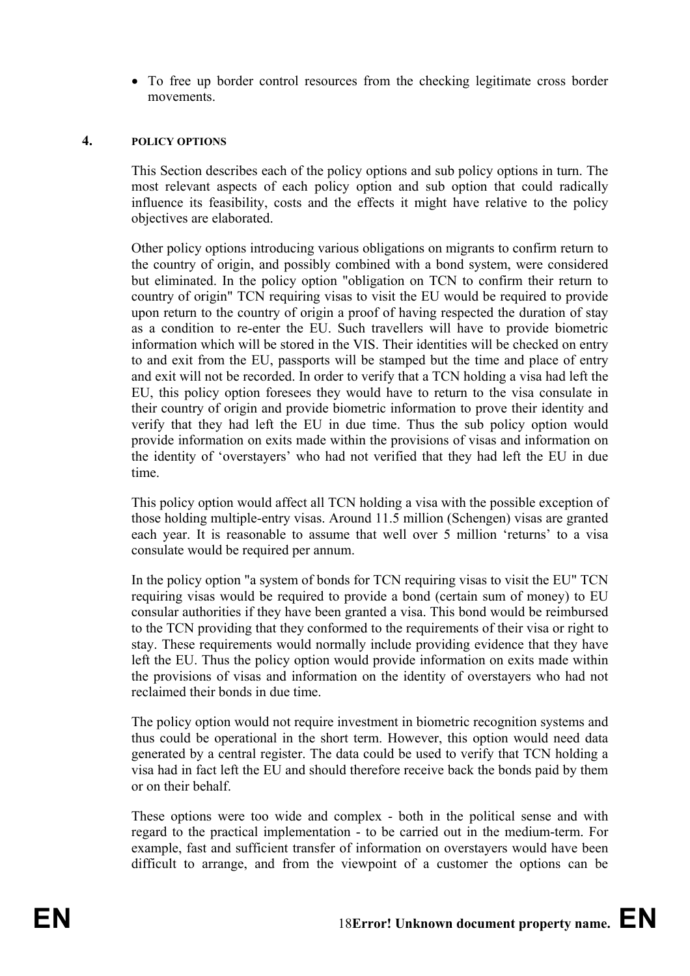• To free up border control resources from the checking legitimate cross border movements.

#### **4. POLICY OPTIONS**

This Section describes each of the policy options and sub policy options in turn. The most relevant aspects of each policy option and sub option that could radically influence its feasibility, costs and the effects it might have relative to the policy objectives are elaborated.

Other policy options introducing various obligations on migrants to confirm return to the country of origin, and possibly combined with a bond system, were considered but eliminated. In the policy option "obligation on TCN to confirm their return to country of origin" TCN requiring visas to visit the EU would be required to provide upon return to the country of origin a proof of having respected the duration of stay as a condition to re-enter the EU. Such travellers will have to provide biometric information which will be stored in the VIS. Their identities will be checked on entry to and exit from the EU, passports will be stamped but the time and place of entry and exit will not be recorded. In order to verify that a TCN holding a visa had left the EU, this policy option foresees they would have to return to the visa consulate in their country of origin and provide biometric information to prove their identity and verify that they had left the EU in due time. Thus the sub policy option would provide information on exits made within the provisions of visas and information on the identity of 'overstayers' who had not verified that they had left the EU in due time.

This policy option would affect all TCN holding a visa with the possible exception of those holding multiple-entry visas. Around 11.5 million (Schengen) visas are granted each year. It is reasonable to assume that well over 5 million 'returns' to a visa consulate would be required per annum.

In the policy option "a system of bonds for TCN requiring visas to visit the EU" TCN requiring visas would be required to provide a bond (certain sum of money) to EU consular authorities if they have been granted a visa. This bond would be reimbursed to the TCN providing that they conformed to the requirements of their visa or right to stay. These requirements would normally include providing evidence that they have left the EU. Thus the policy option would provide information on exits made within the provisions of visas and information on the identity of overstayers who had not reclaimed their bonds in due time.

The policy option would not require investment in biometric recognition systems and thus could be operational in the short term. However, this option would need data generated by a central register. The data could be used to verify that TCN holding a visa had in fact left the EU and should therefore receive back the bonds paid by them or on their behalf.

These options were too wide and complex - both in the political sense and with regard to the practical implementation - to be carried out in the medium-term. For example, fast and sufficient transfer of information on overstayers would have been difficult to arrange, and from the viewpoint of a customer the options can be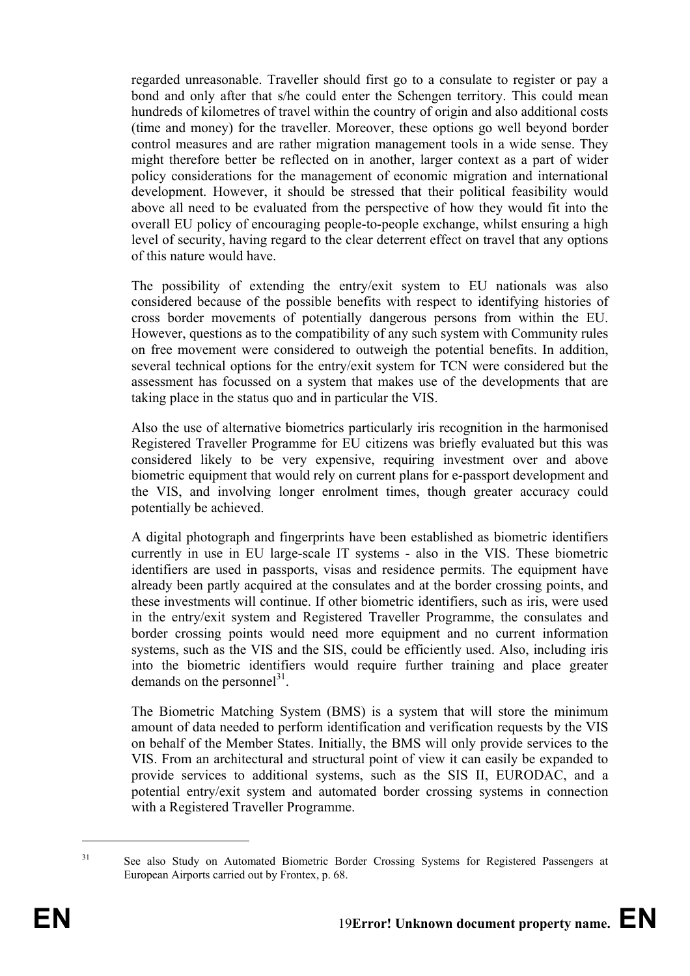regarded unreasonable. Traveller should first go to a consulate to register or pay a bond and only after that s/he could enter the Schengen territory. This could mean hundreds of kilometres of travel within the country of origin and also additional costs (time and money) for the traveller. Moreover, these options go well beyond border control measures and are rather migration management tools in a wide sense. They might therefore better be reflected on in another, larger context as a part of wider policy considerations for the management of economic migration and international development. However, it should be stressed that their political feasibility would above all need to be evaluated from the perspective of how they would fit into the overall EU policy of encouraging people-to-people exchange, whilst ensuring a high level of security, having regard to the clear deterrent effect on travel that any options of this nature would have.

The possibility of extending the entry/exit system to EU nationals was also considered because of the possible benefits with respect to identifying histories of cross border movements of potentially dangerous persons from within the EU. However, questions as to the compatibility of any such system with Community rules on free movement were considered to outweigh the potential benefits. In addition, several technical options for the entry/exit system for TCN were considered but the assessment has focussed on a system that makes use of the developments that are taking place in the status quo and in particular the VIS.

Also the use of alternative biometrics particularly iris recognition in the harmonised Registered Traveller Programme for EU citizens was briefly evaluated but this was considered likely to be very expensive, requiring investment over and above biometric equipment that would rely on current plans for e-passport development and the VIS, and involving longer enrolment times, though greater accuracy could potentially be achieved.

A digital photograph and fingerprints have been established as biometric identifiers currently in use in EU large-scale IT systems - also in the VIS. These biometric identifiers are used in passports, visas and residence permits. The equipment have already been partly acquired at the consulates and at the border crossing points, and these investments will continue. If other biometric identifiers, such as iris, were used in the entry/exit system and Registered Traveller Programme, the consulates and border crossing points would need more equipment and no current information systems, such as the VIS and the SIS, could be efficiently used. Also, including iris into the biometric identifiers would require further training and place greater demands on the personnel<sup>31</sup>.

The Biometric Matching System (BMS) is a system that will store the minimum amount of data needed to perform identification and verification requests by the VIS on behalf of the Member States. Initially, the BMS will only provide services to the VIS. From an architectural and structural point of view it can easily be expanded to provide services to additional systems, such as the SIS II, EURODAC, and a potential entry/exit system and automated border crossing systems in connection with a Registered Traveller Programme.

<sup>&</sup>lt;sup>31</sup> See also Study on Automated Biometric Border Crossing Systems for Registered Passengers at European Airports carried out by Frontex, p. 68.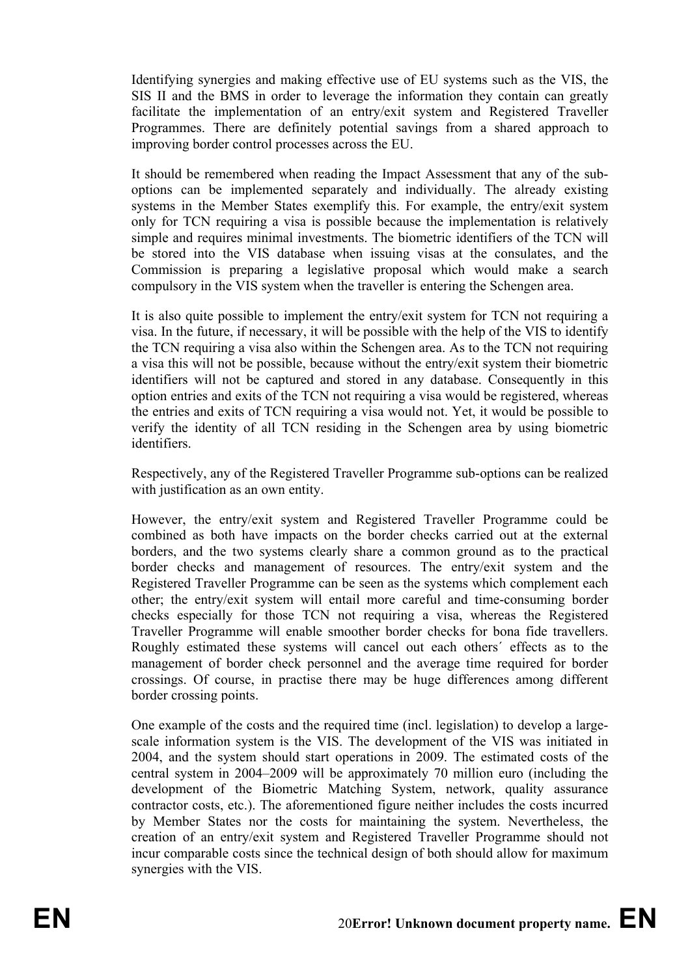Identifying synergies and making effective use of EU systems such as the VIS, the SIS II and the BMS in order to leverage the information they contain can greatly facilitate the implementation of an entry/exit system and Registered Traveller Programmes. There are definitely potential savings from a shared approach to improving border control processes across the EU.

It should be remembered when reading the Impact Assessment that any of the suboptions can be implemented separately and individually. The already existing systems in the Member States exemplify this. For example, the entry/exit system only for TCN requiring a visa is possible because the implementation is relatively simple and requires minimal investments. The biometric identifiers of the TCN will be stored into the VIS database when issuing visas at the consulates, and the Commission is preparing a legislative proposal which would make a search compulsory in the VIS system when the traveller is entering the Schengen area.

It is also quite possible to implement the entry/exit system for TCN not requiring a visa. In the future, if necessary, it will be possible with the help of the VIS to identify the TCN requiring a visa also within the Schengen area. As to the TCN not requiring a visa this will not be possible, because without the entry/exit system their biometric identifiers will not be captured and stored in any database. Consequently in this option entries and exits of the TCN not requiring a visa would be registered, whereas the entries and exits of TCN requiring a visa would not. Yet, it would be possible to verify the identity of all TCN residing in the Schengen area by using biometric identifiers.

Respectively, any of the Registered Traveller Programme sub-options can be realized with justification as an own entity.

However, the entry/exit system and Registered Traveller Programme could be combined as both have impacts on the border checks carried out at the external borders, and the two systems clearly share a common ground as to the practical border checks and management of resources. The entry/exit system and the Registered Traveller Programme can be seen as the systems which complement each other; the entry/exit system will entail more careful and time-consuming border checks especially for those TCN not requiring a visa, whereas the Registered Traveller Programme will enable smoother border checks for bona fide travellers. Roughly estimated these systems will cancel out each others´ effects as to the management of border check personnel and the average time required for border crossings. Of course, in practise there may be huge differences among different border crossing points.

One example of the costs and the required time (incl. legislation) to develop a largescale information system is the VIS. The development of the VIS was initiated in 2004, and the system should start operations in 2009. The estimated costs of the central system in 2004–2009 will be approximately 70 million euro (including the development of the Biometric Matching System, network, quality assurance contractor costs, etc.). The aforementioned figure neither includes the costs incurred by Member States nor the costs for maintaining the system. Nevertheless, the creation of an entry/exit system and Registered Traveller Programme should not incur comparable costs since the technical design of both should allow for maximum synergies with the VIS.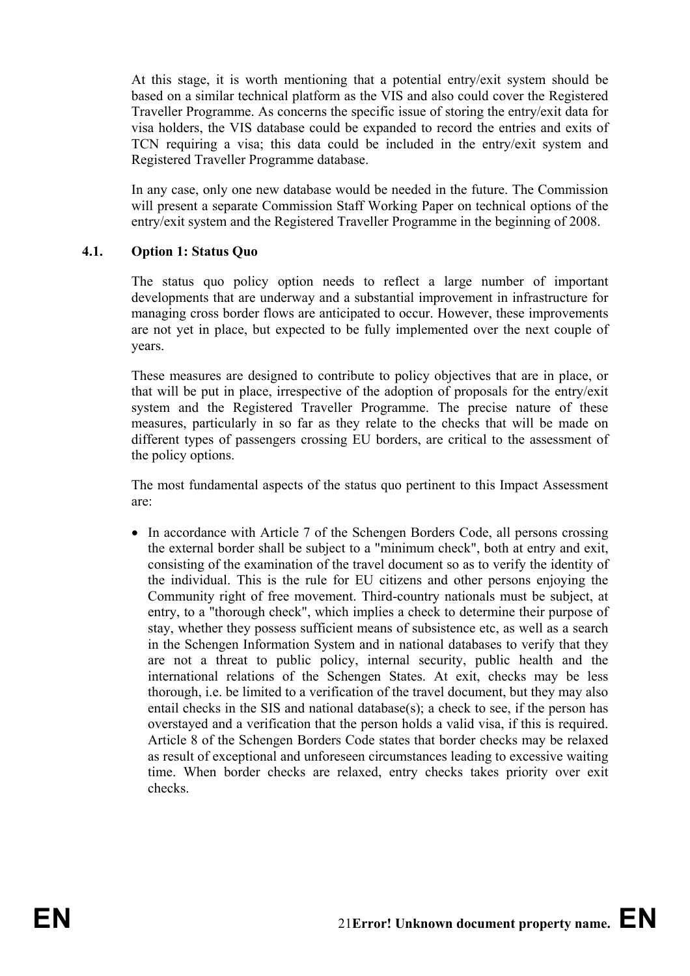At this stage, it is worth mentioning that a potential entry/exit system should be based on a similar technical platform as the VIS and also could cover the Registered Traveller Programme. As concerns the specific issue of storing the entry/exit data for visa holders, the VIS database could be expanded to record the entries and exits of TCN requiring a visa; this data could be included in the entry/exit system and Registered Traveller Programme database.

In any case, only one new database would be needed in the future. The Commission will present a separate Commission Staff Working Paper on technical options of the entry/exit system and the Registered Traveller Programme in the beginning of 2008.

#### **4.1. Option 1: Status Quo**

The status quo policy option needs to reflect a large number of important developments that are underway and a substantial improvement in infrastructure for managing cross border flows are anticipated to occur. However, these improvements are not yet in place, but expected to be fully implemented over the next couple of years.

These measures are designed to contribute to policy objectives that are in place, or that will be put in place, irrespective of the adoption of proposals for the entry/exit system and the Registered Traveller Programme. The precise nature of these measures, particularly in so far as they relate to the checks that will be made on different types of passengers crossing EU borders, are critical to the assessment of the policy options.

The most fundamental aspects of the status quo pertinent to this Impact Assessment are:

• In accordance with Article 7 of the Schengen Borders Code, all persons crossing the external border shall be subject to a "minimum check", both at entry and exit, consisting of the examination of the travel document so as to verify the identity of the individual. This is the rule for EU citizens and other persons enjoying the Community right of free movement. Third-country nationals must be subject, at entry, to a "thorough check", which implies a check to determine their purpose of stay, whether they possess sufficient means of subsistence etc, as well as a search in the Schengen Information System and in national databases to verify that they are not a threat to public policy, internal security, public health and the international relations of the Schengen States. At exit, checks may be less thorough, i.e. be limited to a verification of the travel document, but they may also entail checks in the SIS and national database(s); a check to see, if the person has overstayed and a verification that the person holds a valid visa, if this is required. Article 8 of the Schengen Borders Code states that border checks may be relaxed as result of exceptional and unforeseen circumstances leading to excessive waiting time. When border checks are relaxed, entry checks takes priority over exit checks.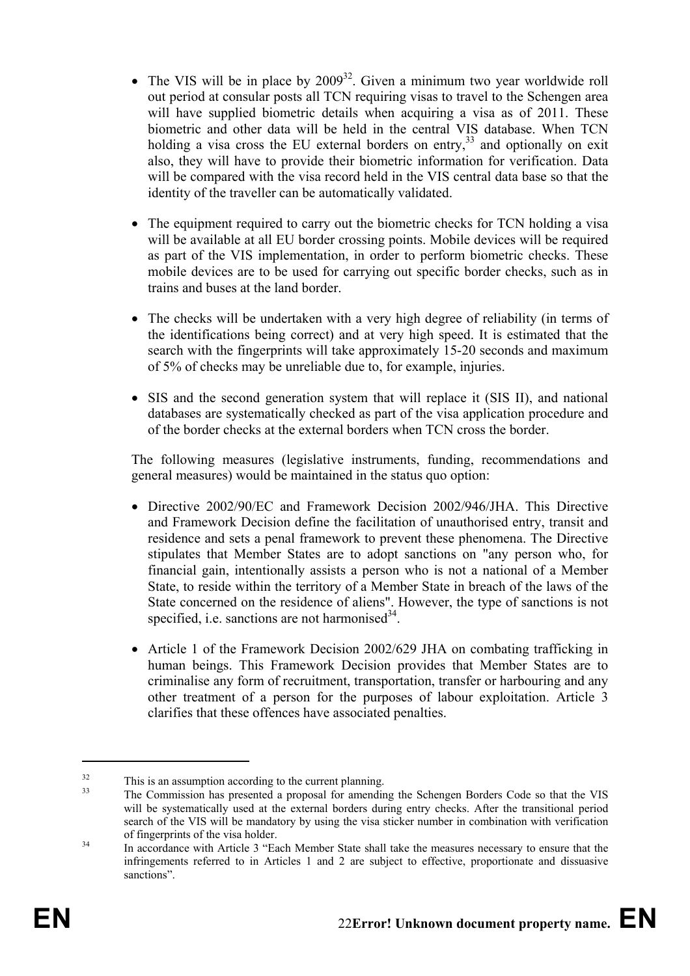- The VIS will be in place by  $2009^{32}$ . Given a minimum two year worldwide roll out period at consular posts all TCN requiring visas to travel to the Schengen area will have supplied biometric details when acquiring a visa as of 2011. These biometric and other data will be held in the central VIS database. When TCN holding a visa cross the EU external borders on entry,<sup>33</sup> and optionally on exit also, they will have to provide their biometric information for verification. Data will be compared with the visa record held in the VIS central data base so that the identity of the traveller can be automatically validated.
- The equipment required to carry out the biometric checks for TCN holding a visa will be available at all EU border crossing points. Mobile devices will be required as part of the VIS implementation, in order to perform biometric checks. These mobile devices are to be used for carrying out specific border checks, such as in trains and buses at the land border.
- The checks will be undertaken with a very high degree of reliability (in terms of the identifications being correct) and at very high speed. It is estimated that the search with the fingerprints will take approximately 15-20 seconds and maximum of 5% of checks may be unreliable due to, for example, injuries.
- SIS and the second generation system that will replace it (SIS II), and national databases are systematically checked as part of the visa application procedure and of the border checks at the external borders when TCN cross the border.

The following measures (legislative instruments, funding, recommendations and general measures) would be maintained in the status quo option:

- Directive 2002/90/EC and Framework Decision 2002/946/JHA. This Directive and Framework Decision define the facilitation of unauthorised entry, transit and residence and sets a penal framework to prevent these phenomena. The Directive stipulates that Member States are to adopt sanctions on "any person who, for financial gain, intentionally assists a person who is not a national of a Member State, to reside within the territory of a Member State in breach of the laws of the State concerned on the residence of aliens". However, the type of sanctions is not specified, i.e. sanctions are not harmonised $34$ .
- Article 1 of the Framework Decision 2002/629 JHA on combating trafficking in human beings. This Framework Decision provides that Member States are to criminalise any form of recruitment, transportation, transfer or harbouring and any other treatment of a person for the purposes of labour exploitation. Article 3 clarifies that these offences have associated penalties.

 $\frac{32}{33}$  This is an assumption according to the current planning.

The Commission has presented a proposal for amending the Schengen Borders Code so that the VIS will be systematically used at the external borders during entry checks. After the transitional period search of the VIS will be mandatory by using the visa sticker number in combination with verification of fingerprints of the visa holder.<br>In accordance with Article 3 "Each Member State shall take the measures necessary to ensure that the

infringements referred to in Articles 1 and 2 are subject to effective, proportionate and dissuasive sanctions".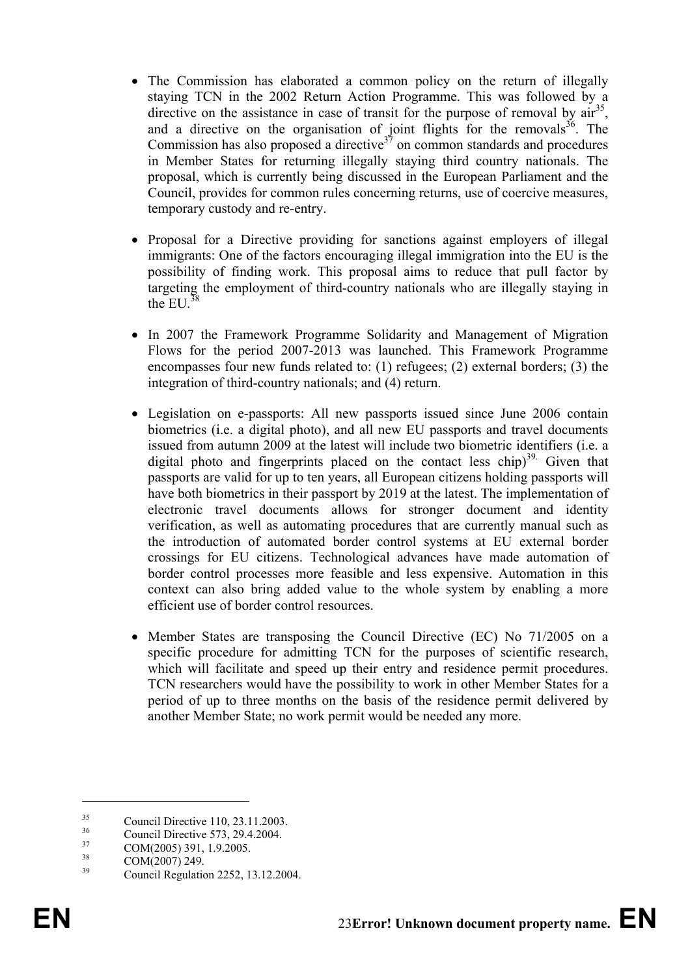- The Commission has elaborated a common policy on the return of illegally staying TCN in the 2002 Return Action Programme. This was followed by a directive on the assistance in case of transit for the purpose of removal by  $\ar{a}^{35}$ , and a directive on the organisation of joint flights for the removals  $36$ . The Commission has also proposed a directive  $37$  on common standards and procedures in Member States for returning illegally staying third country nationals. The proposal, which is currently being discussed in the European Parliament and the Council, provides for common rules concerning returns, use of coercive measures, temporary custody and re-entry.
- Proposal for a Directive providing for sanctions against employers of illegal immigrants: One of the factors encouraging illegal immigration into the EU is the possibility of finding work. This proposal aims to reduce that pull factor by targeting the employment of third-country nationals who are illegally staying in the EU. $38$
- In 2007 the Framework Programme Solidarity and Management of Migration Flows for the period 2007-2013 was launched. This Framework Programme encompasses four new funds related to: (1) refugees; (2) external borders; (3) the integration of third-country nationals; and (4) return.
- Legislation on e-passports: All new passports issued since June 2006 contain biometrics (i.e. a digital photo), and all new EU passports and travel documents issued from autumn 2009 at the latest will include two biometric identifiers (i.e. a digital photo and fingerprints placed on the contact less chip)<sup>39.</sup> Given that passports are valid for up to ten years, all European citizens holding passports will have both biometrics in their passport by 2019 at the latest. The implementation of electronic travel documents allows for stronger document and identity verification, as well as automating procedures that are currently manual such as the introduction of automated border control systems at EU external border crossings for EU citizens. Technological advances have made automation of border control processes more feasible and less expensive. Automation in this context can also bring added value to the whole system by enabling a more efficient use of border control resources.
- Member States are transposing the Council Directive (EC) No 71/2005 on a specific procedure for admitting TCN for the purposes of scientific research, which will facilitate and speed up their entry and residence permit procedures. TCN researchers would have the possibility to work in other Member States for a period of up to three months on the basis of the residence permit delivered by another Member State; no work permit would be needed any more.

<sup>&</sup>lt;sup>35</sup> Council Directive 110, 23.11.2003.

 $\frac{36}{37}$  Council Directive 573, 29.4.2004.

 $\frac{37}{38}$  COM(2005) 391, 1.9.2005.

 $\frac{38}{39}$  COM(2007) 249.

<sup>39</sup> Council Regulation 2252, 13.12.2004.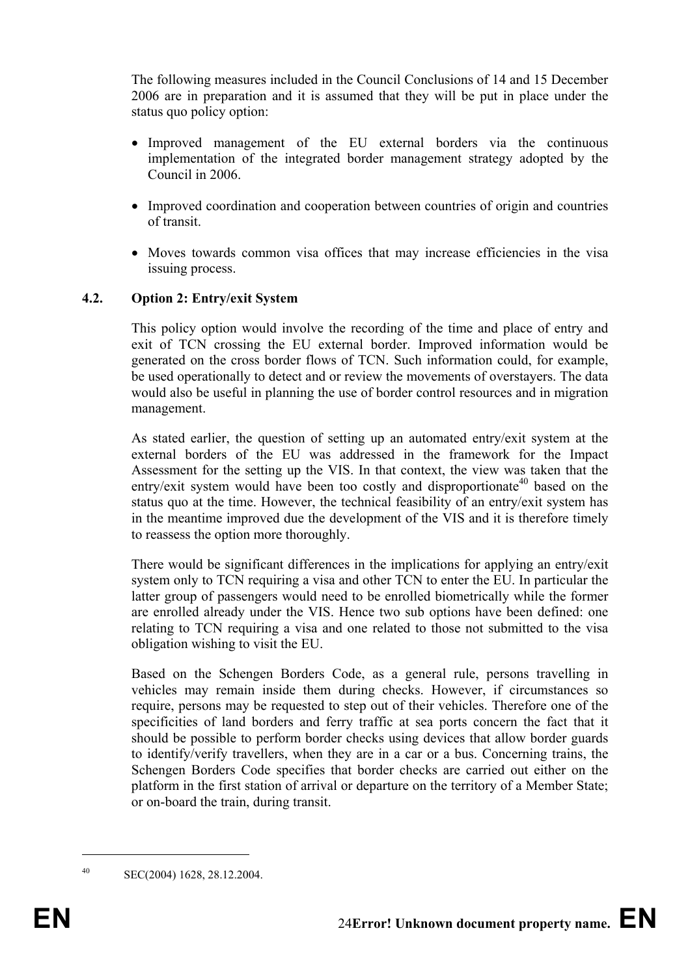The following measures included in the Council Conclusions of 14 and 15 December 2006 are in preparation and it is assumed that they will be put in place under the status quo policy option:

- Improved management of the EU external borders via the continuous implementation of the integrated border management strategy adopted by the Council in 2006.
- Improved coordination and cooperation between countries of origin and countries of transit.
- Moves towards common visa offices that may increase efficiencies in the visa issuing process.

#### **4.2. Option 2: Entry/exit System**

This policy option would involve the recording of the time and place of entry and exit of TCN crossing the EU external border. Improved information would be generated on the cross border flows of TCN. Such information could, for example, be used operationally to detect and or review the movements of overstayers. The data would also be useful in planning the use of border control resources and in migration management.

As stated earlier, the question of setting up an automated entry/exit system at the external borders of the EU was addressed in the framework for the Impact Assessment for the setting up the VIS. In that context, the view was taken that the entry/exit system would have been too costly and disproportionate<sup>40</sup> based on the status quo at the time. However, the technical feasibility of an entry/exit system has in the meantime improved due the development of the VIS and it is therefore timely to reassess the option more thoroughly.

There would be significant differences in the implications for applying an entry/exit system only to TCN requiring a visa and other TCN to enter the EU. In particular the latter group of passengers would need to be enrolled biometrically while the former are enrolled already under the VIS. Hence two sub options have been defined: one relating to TCN requiring a visa and one related to those not submitted to the visa obligation wishing to visit the EU.

Based on the Schengen Borders Code, as a general rule, persons travelling in vehicles may remain inside them during checks. However, if circumstances so require, persons may be requested to step out of their vehicles. Therefore one of the specificities of land borders and ferry traffic at sea ports concern the fact that it should be possible to perform border checks using devices that allow border guards to identify/verify travellers, when they are in a car or a bus. Concerning trains, the Schengen Borders Code specifies that border checks are carried out either on the platform in the first station of arrival or departure on the territory of a Member State; or on-board the train, during transit.

<sup>40</sup> SEC(2004) 1628, 28.12.2004.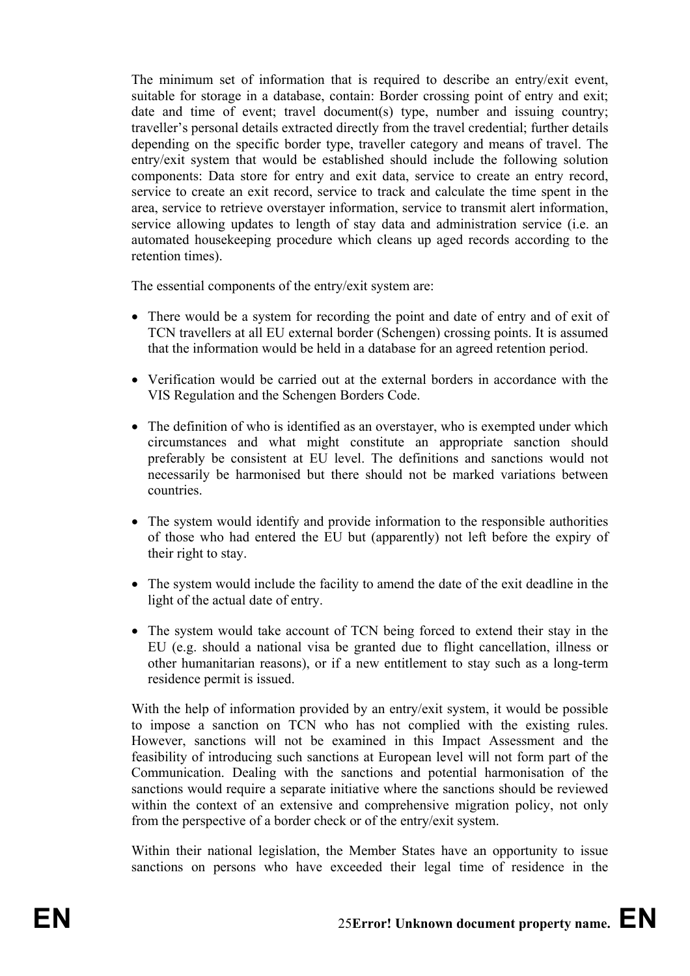The minimum set of information that is required to describe an entry/exit event, suitable for storage in a database, contain: Border crossing point of entry and exit; date and time of event; travel document(s) type, number and issuing country; traveller's personal details extracted directly from the travel credential; further details depending on the specific border type, traveller category and means of travel. The entry/exit system that would be established should include the following solution components: Data store for entry and exit data, service to create an entry record, service to create an exit record, service to track and calculate the time spent in the area, service to retrieve overstayer information, service to transmit alert information, service allowing updates to length of stay data and administration service (i.e. an automated housekeeping procedure which cleans up aged records according to the retention times).

The essential components of the entry/exit system are:

- There would be a system for recording the point and date of entry and of exit of TCN travellers at all EU external border (Schengen) crossing points. It is assumed that the information would be held in a database for an agreed retention period.
- Verification would be carried out at the external borders in accordance with the VIS Regulation and the Schengen Borders Code.
- The definition of who is identified as an overstayer, who is exempted under which circumstances and what might constitute an appropriate sanction should preferably be consistent at EU level. The definitions and sanctions would not necessarily be harmonised but there should not be marked variations between countries.
- The system would identify and provide information to the responsible authorities of those who had entered the EU but (apparently) not left before the expiry of their right to stay.
- The system would include the facility to amend the date of the exit deadline in the light of the actual date of entry.
- The system would take account of TCN being forced to extend their stay in the EU (e.g. should a national visa be granted due to flight cancellation, illness or other humanitarian reasons), or if a new entitlement to stay such as a long-term residence permit is issued.

With the help of information provided by an entry/exit system, it would be possible to impose a sanction on TCN who has not complied with the existing rules. However, sanctions will not be examined in this Impact Assessment and the feasibility of introducing such sanctions at European level will not form part of the Communication. Dealing with the sanctions and potential harmonisation of the sanctions would require a separate initiative where the sanctions should be reviewed within the context of an extensive and comprehensive migration policy, not only from the perspective of a border check or of the entry/exit system.

Within their national legislation, the Member States have an opportunity to issue sanctions on persons who have exceeded their legal time of residence in the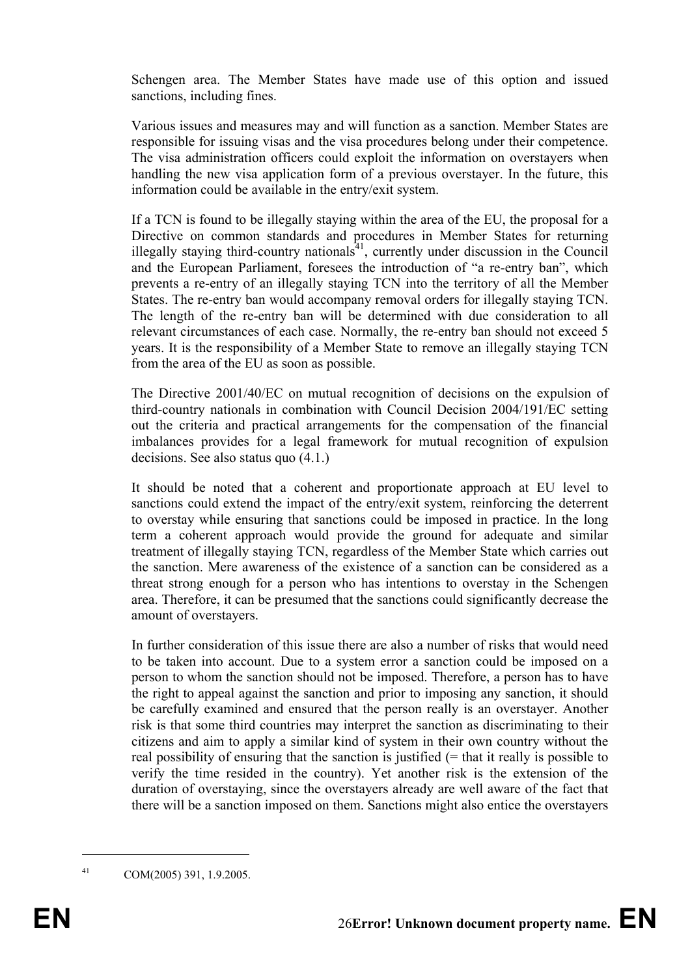Schengen area. The Member States have made use of this option and issued sanctions, including fines.

Various issues and measures may and will function as a sanction. Member States are responsible for issuing visas and the visa procedures belong under their competence. The visa administration officers could exploit the information on overstayers when handling the new visa application form of a previous overstayer. In the future, this information could be available in the entry/exit system.

If a TCN is found to be illegally staying within the area of the EU, the proposal for a Directive on common standards and procedures in Member States for returning illegally staying third-country nationals<sup>41</sup>, currently under discussion in the Council and the European Parliament, foresees the introduction of "a re-entry ban", which prevents a re-entry of an illegally staying TCN into the territory of all the Member States. The re-entry ban would accompany removal orders for illegally staying TCN. The length of the re-entry ban will be determined with due consideration to all relevant circumstances of each case. Normally, the re-entry ban should not exceed 5 years. It is the responsibility of a Member State to remove an illegally staying TCN from the area of the EU as soon as possible.

The Directive 2001/40/EC on mutual recognition of decisions on the expulsion of third-country nationals in combination with Council Decision 2004/191/EC setting out the criteria and practical arrangements for the compensation of the financial imbalances provides for a legal framework for mutual recognition of expulsion decisions. See also status quo (4.1.)

It should be noted that a coherent and proportionate approach at EU level to sanctions could extend the impact of the entry/exit system, reinforcing the deterrent to overstay while ensuring that sanctions could be imposed in practice. In the long term a coherent approach would provide the ground for adequate and similar treatment of illegally staying TCN, regardless of the Member State which carries out the sanction. Mere awareness of the existence of a sanction can be considered as a threat strong enough for a person who has intentions to overstay in the Schengen area. Therefore, it can be presumed that the sanctions could significantly decrease the amount of overstayers.

In further consideration of this issue there are also a number of risks that would need to be taken into account. Due to a system error a sanction could be imposed on a person to whom the sanction should not be imposed. Therefore, a person has to have the right to appeal against the sanction and prior to imposing any sanction, it should be carefully examined and ensured that the person really is an overstayer. Another risk is that some third countries may interpret the sanction as discriminating to their citizens and aim to apply a similar kind of system in their own country without the real possibility of ensuring that the sanction is justified  $(=$  that it really is possible to verify the time resided in the country). Yet another risk is the extension of the duration of overstaying, since the overstayers already are well aware of the fact that there will be a sanction imposed on them. Sanctions might also entice the overstayers

<sup>41</sup> COM(2005) 391, 1.9.2005.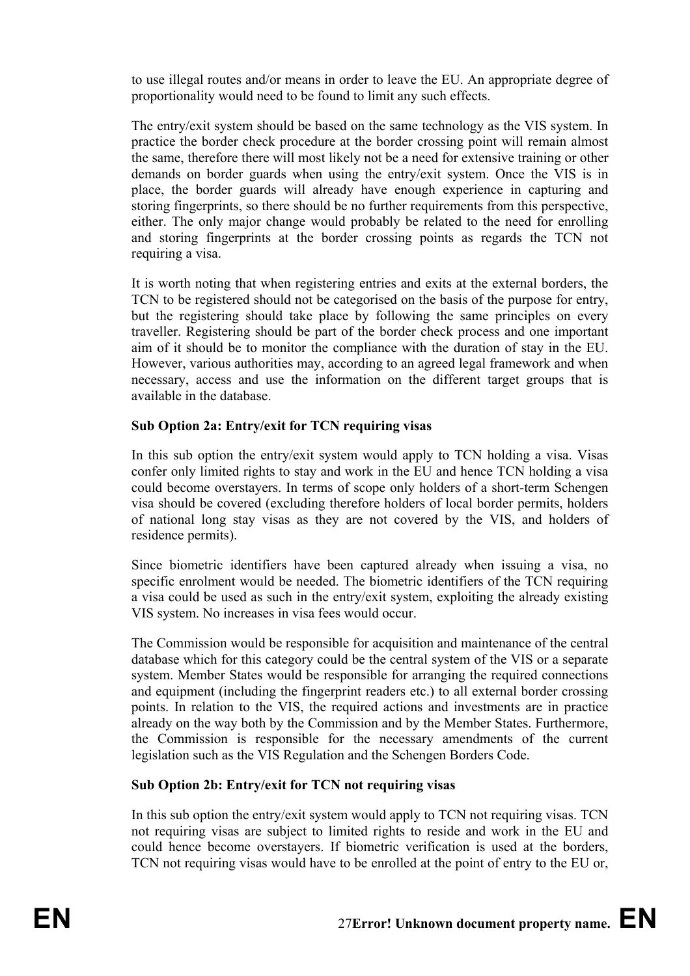to use illegal routes and/or means in order to leave the EU. An appropriate degree of proportionality would need to be found to limit any such effects.

The entry/exit system should be based on the same technology as the VIS system. In practice the border check procedure at the border crossing point will remain almost the same, therefore there will most likely not be a need for extensive training or other demands on border guards when using the entry/exit system. Once the VIS is in place, the border guards will already have enough experience in capturing and storing fingerprints, so there should be no further requirements from this perspective, either. The only major change would probably be related to the need for enrolling and storing fingerprints at the border crossing points as regards the TCN not requiring a visa.

It is worth noting that when registering entries and exits at the external borders, the TCN to be registered should not be categorised on the basis of the purpose for entry, but the registering should take place by following the same principles on every traveller. Registering should be part of the border check process and one important aim of it should be to monitor the compliance with the duration of stay in the EU. However, various authorities may, according to an agreed legal framework and when necessary, access and use the information on the different target groups that is available in the database.

#### **Sub Option 2a: Entry/exit for TCN requiring visas**

In this sub option the entry/exit system would apply to TCN holding a visa. Visas confer only limited rights to stay and work in the EU and hence TCN holding a visa could become overstayers. In terms of scope only holders of a short-term Schengen visa should be covered (excluding therefore holders of local border permits, holders of national long stay visas as they are not covered by the VIS, and holders of residence permits).

Since biometric identifiers have been captured already when issuing a visa, no specific enrolment would be needed. The biometric identifiers of the TCN requiring a visa could be used as such in the entry/exit system, exploiting the already existing VIS system. No increases in visa fees would occur.

The Commission would be responsible for acquisition and maintenance of the central database which for this category could be the central system of the VIS or a separate system. Member States would be responsible for arranging the required connections and equipment (including the fingerprint readers etc.) to all external border crossing points. In relation to the VIS, the required actions and investments are in practice already on the way both by the Commission and by the Member States. Furthermore, the Commission is responsible for the necessary amendments of the current legislation such as the VIS Regulation and the Schengen Borders Code.

## **Sub Option 2b: Entry/exit for TCN not requiring visas**

In this sub option the entry/exit system would apply to TCN not requiring visas. TCN not requiring visas are subject to limited rights to reside and work in the EU and could hence become overstayers. If biometric verification is used at the borders, TCN not requiring visas would have to be enrolled at the point of entry to the EU or,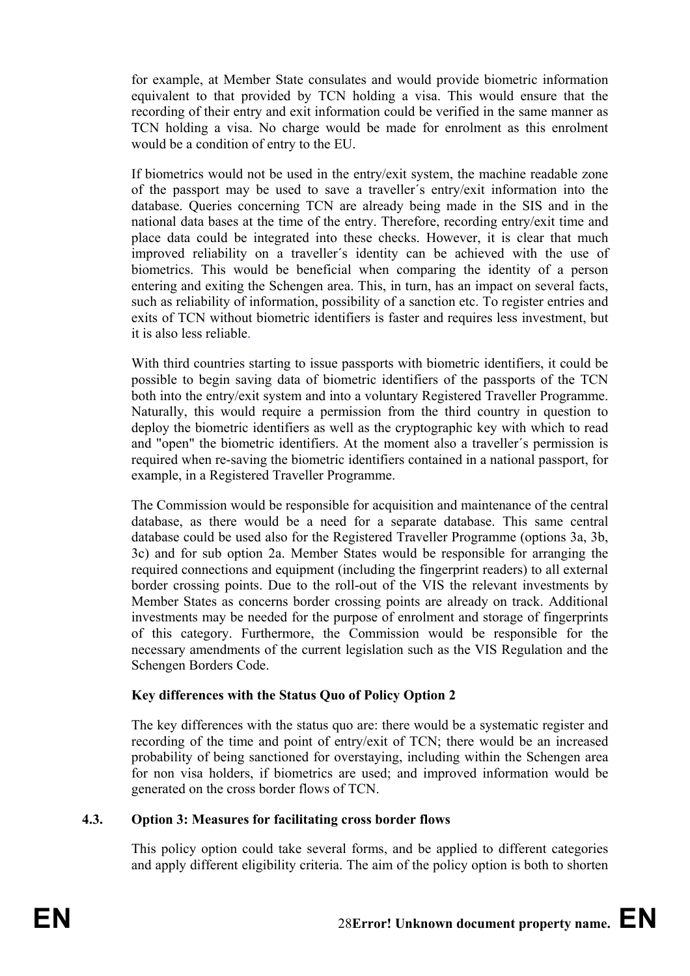for example, at Member State consulates and would provide biometric information equivalent to that provided by TCN holding a visa. This would ensure that the recording of their entry and exit information could be verified in the same manner as TCN holding a visa. No charge would be made for enrolment as this enrolment would be a condition of entry to the EU.

If biometrics would not be used in the entry/exit system, the machine readable zone of the passport may be used to save a traveller´s entry/exit information into the database. Queries concerning TCN are already being made in the SIS and in the national data bases at the time of the entry. Therefore, recording entry/exit time and place data could be integrated into these checks. However, it is clear that much improved reliability on a traveller´s identity can be achieved with the use of biometrics. This would be beneficial when comparing the identity of a person entering and exiting the Schengen area. This, in turn, has an impact on several facts, such as reliability of information, possibility of a sanction etc. To register entries and exits of TCN without biometric identifiers is faster and requires less investment, but it is also less reliable.

With third countries starting to issue passports with biometric identifiers, it could be possible to begin saving data of biometric identifiers of the passports of the TCN both into the entry/exit system and into a voluntary Registered Traveller Programme. Naturally, this would require a permission from the third country in question to deploy the biometric identifiers as well as the cryptographic key with which to read and "open" the biometric identifiers. At the moment also a traveller´s permission is required when re-saving the biometric identifiers contained in a national passport, for example, in a Registered Traveller Programme.

The Commission would be responsible for acquisition and maintenance of the central database, as there would be a need for a separate database. This same central database could be used also for the Registered Traveller Programme (options 3a, 3b, 3c) and for sub option 2a. Member States would be responsible for arranging the required connections and equipment (including the fingerprint readers) to all external border crossing points. Due to the roll-out of the VIS the relevant investments by Member States as concerns border crossing points are already on track. Additional investments may be needed for the purpose of enrolment and storage of fingerprints of this category. Furthermore, the Commission would be responsible for the necessary amendments of the current legislation such as the VIS Regulation and the Schengen Borders Code.

## **Key differences with the Status Quo of Policy Option 2**

The key differences with the status quo are: there would be a systematic register and recording of the time and point of entry/exit of TCN; there would be an increased probability of being sanctioned for overstaying, including within the Schengen area for non visa holders, if biometrics are used; and improved information would be generated on the cross border flows of TCN.

#### **4.3. Option 3: Measures for facilitating cross border flows**

This policy option could take several forms, and be applied to different categories and apply different eligibility criteria. The aim of the policy option is both to shorten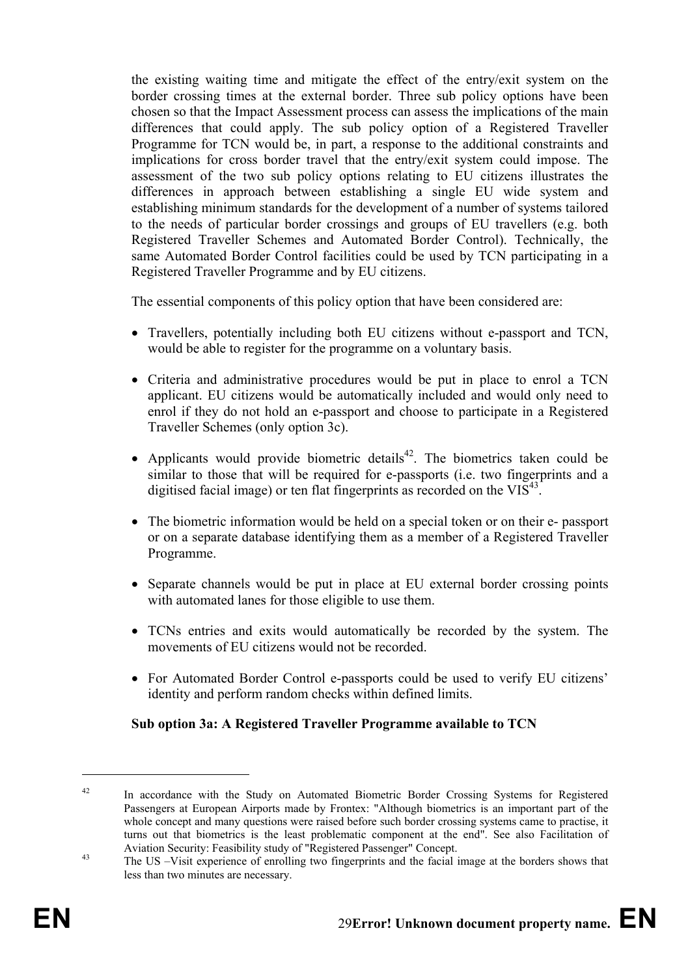the existing waiting time and mitigate the effect of the entry/exit system on the border crossing times at the external border. Three sub policy options have been chosen so that the Impact Assessment process can assess the implications of the main differences that could apply. The sub policy option of a Registered Traveller Programme for TCN would be, in part, a response to the additional constraints and implications for cross border travel that the entry/exit system could impose. The assessment of the two sub policy options relating to EU citizens illustrates the differences in approach between establishing a single EU wide system and establishing minimum standards for the development of a number of systems tailored to the needs of particular border crossings and groups of EU travellers (e.g. both Registered Traveller Schemes and Automated Border Control). Technically, the same Automated Border Control facilities could be used by TCN participating in a Registered Traveller Programme and by EU citizens.

The essential components of this policy option that have been considered are:

- Travellers, potentially including both EU citizens without e-passport and TCN, would be able to register for the programme on a voluntary basis.
- Criteria and administrative procedures would be put in place to enrol a TCN applicant. EU citizens would be automatically included and would only need to enrol if they do not hold an e-passport and choose to participate in a Registered Traveller Schemes (only option 3c).
- Applicants would provide biometric details<sup>42</sup>. The biometrics taken could be similar to those that will be required for e-passports (i.e. two fingerprints and a digitised facial image) or ten flat fingerprints as recorded on the  $VIS^{43}$ .
- The biometric information would be held on a special token or on their e- passport or on a separate database identifying them as a member of a Registered Traveller Programme.
- Separate channels would be put in place at EU external border crossing points with automated lanes for those eligible to use them.
- TCNs entries and exits would automatically be recorded by the system. The movements of EU citizens would not be recorded.
- For Automated Border Control e-passports could be used to verify EU citizens' identity and perform random checks within defined limits.

## **Sub option 3a: A Registered Traveller Programme available to TCN**

<sup>&</sup>lt;sup>42</sup> In accordance with the Study on Automated Biometric Border Crossing Systems for Registered Passengers at European Airports made by Frontex: "Although biometrics is an important part of the whole concept and many questions were raised before such border crossing systems came to practise, it turns out that biometrics is the least problematic component at the end". See also Facilitation of Aviation Security: Feasibility study of "Registered Passenger" Concept.

<sup>&</sup>lt;sup>43</sup> The US –Visit experience of enrolling two fingerprints and the facial image at the borders shows that less than two minutes are necessary.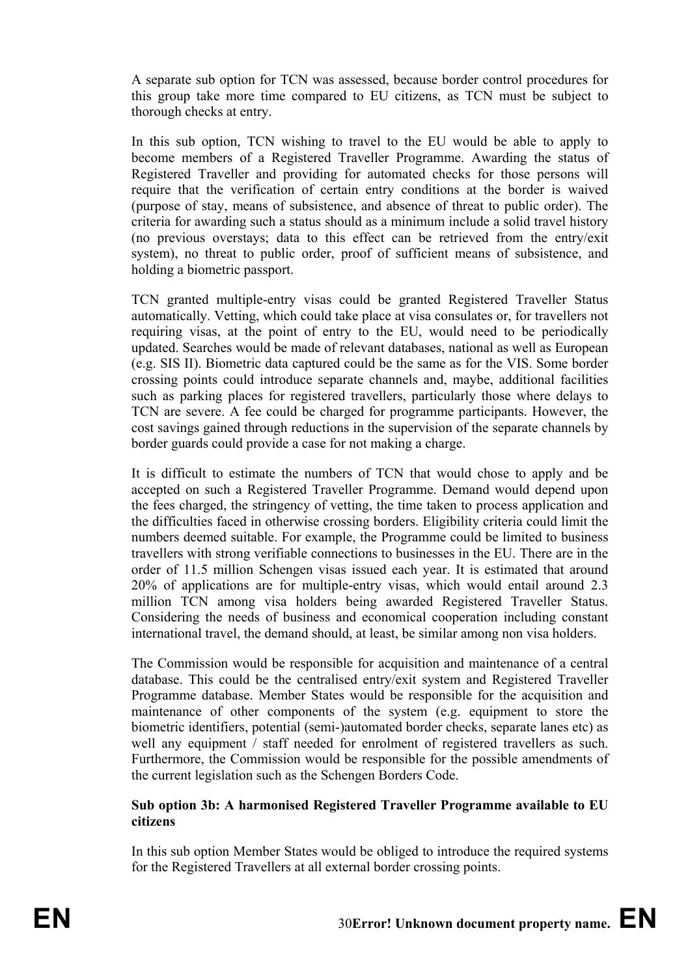A separate sub option for TCN was assessed, because border control procedures for this group take more time compared to EU citizens, as TCN must be subject to thorough checks at entry.

In this sub option, TCN wishing to travel to the EU would be able to apply to become members of a Registered Traveller Programme. Awarding the status of Registered Traveller and providing for automated checks for those persons will require that the verification of certain entry conditions at the border is waived (purpose of stay, means of subsistence, and absence of threat to public order). The criteria for awarding such a status should as a minimum include a solid travel history (no previous overstays; data to this effect can be retrieved from the entry/exit system), no threat to public order, proof of sufficient means of subsistence, and holding a biometric passport.

TCN granted multiple-entry visas could be granted Registered Traveller Status automatically. Vetting, which could take place at visa consulates or, for travellers not requiring visas, at the point of entry to the EU, would need to be periodically updated. Searches would be made of relevant databases, national as well as European (e.g. SIS II). Biometric data captured could be the same as for the VIS. Some border crossing points could introduce separate channels and, maybe, additional facilities such as parking places for registered travellers, particularly those where delays to TCN are severe. A fee could be charged for programme participants. However, the cost savings gained through reductions in the supervision of the separate channels by border guards could provide a case for not making a charge.

It is difficult to estimate the numbers of TCN that would chose to apply and be accepted on such a Registered Traveller Programme. Demand would depend upon the fees charged, the stringency of vetting, the time taken to process application and the difficulties faced in otherwise crossing borders. Eligibility criteria could limit the numbers deemed suitable. For example, the Programme could be limited to business travellers with strong verifiable connections to businesses in the EU. There are in the order of 11.5 million Schengen visas issued each year. It is estimated that around 20% of applications are for multiple-entry visas, which would entail around 2.3 million TCN among visa holders being awarded Registered Traveller Status. Considering the needs of business and economical cooperation including constant international travel, the demand should, at least, be similar among non visa holders.

The Commission would be responsible for acquisition and maintenance of a central database. This could be the centralised entry/exit system and Registered Traveller Programme database. Member States would be responsible for the acquisition and maintenance of other components of the system (e.g. equipment to store the biometric identifiers, potential (semi-)automated border checks, separate lanes etc) as well any equipment / staff needed for enrolment of registered travellers as such. Furthermore, the Commission would be responsible for the possible amendments of the current legislation such as the Schengen Borders Code.

#### **Sub option 3b: A harmonised Registered Traveller Programme available to EU citizens**

In this sub option Member States would be obliged to introduce the required systems for the Registered Travellers at all external border crossing points.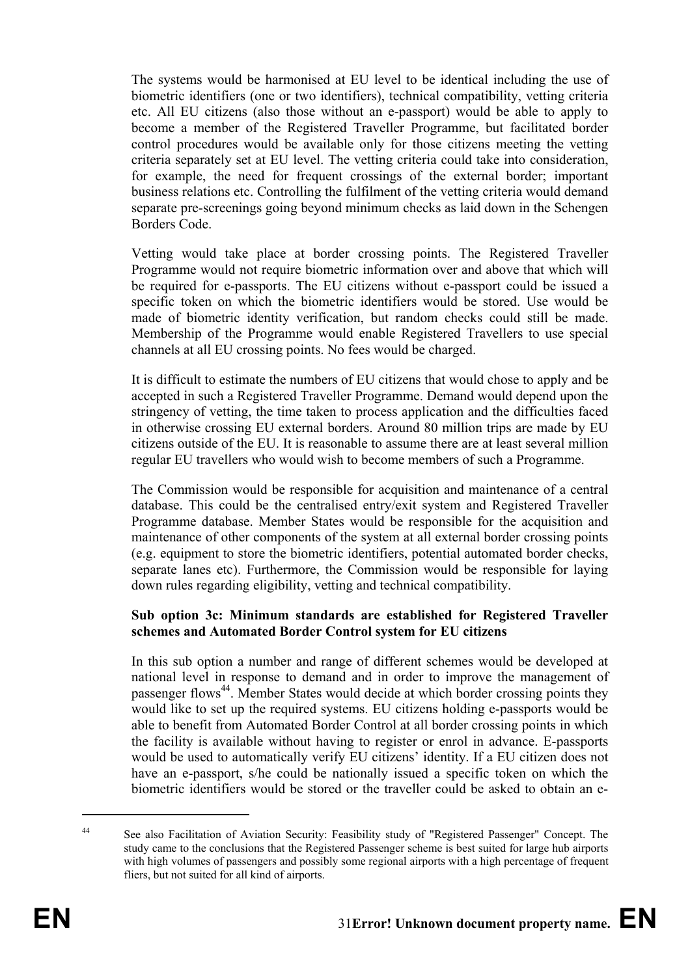The systems would be harmonised at EU level to be identical including the use of biometric identifiers (one or two identifiers), technical compatibility, vetting criteria etc. All EU citizens (also those without an e-passport) would be able to apply to become a member of the Registered Traveller Programme, but facilitated border control procedures would be available only for those citizens meeting the vetting criteria separately set at EU level. The vetting criteria could take into consideration, for example, the need for frequent crossings of the external border; important business relations etc. Controlling the fulfilment of the vetting criteria would demand separate pre-screenings going beyond minimum checks as laid down in the Schengen Borders Code.

Vetting would take place at border crossing points. The Registered Traveller Programme would not require biometric information over and above that which will be required for e-passports. The EU citizens without e-passport could be issued a specific token on which the biometric identifiers would be stored. Use would be made of biometric identity verification, but random checks could still be made. Membership of the Programme would enable Registered Travellers to use special channels at all EU crossing points. No fees would be charged.

It is difficult to estimate the numbers of EU citizens that would chose to apply and be accepted in such a Registered Traveller Programme. Demand would depend upon the stringency of vetting, the time taken to process application and the difficulties faced in otherwise crossing EU external borders. Around 80 million trips are made by EU citizens outside of the EU. It is reasonable to assume there are at least several million regular EU travellers who would wish to become members of such a Programme.

The Commission would be responsible for acquisition and maintenance of a central database. This could be the centralised entry/exit system and Registered Traveller Programme database. Member States would be responsible for the acquisition and maintenance of other components of the system at all external border crossing points (e.g. equipment to store the biometric identifiers, potential automated border checks, separate lanes etc). Furthermore, the Commission would be responsible for laying down rules regarding eligibility, vetting and technical compatibility.

#### **Sub option 3c: Minimum standards are established for Registered Traveller schemes and Automated Border Control system for EU citizens**

In this sub option a number and range of different schemes would be developed at national level in response to demand and in order to improve the management of passenger flows<sup>44</sup>. Member States would decide at which border crossing points they would like to set up the required systems. EU citizens holding e-passports would be able to benefit from Automated Border Control at all border crossing points in which the facility is available without having to register or enrol in advance. E-passports would be used to automatically verify EU citizens' identity. If a EU citizen does not have an e-passport, s/he could be nationally issued a specific token on which the biometric identifiers would be stored or the traveller could be asked to obtain an e-

<sup>44</sup> See also Facilitation of Aviation Security: Feasibility study of "Registered Passenger" Concept. The study came to the conclusions that the Registered Passenger scheme is best suited for large hub airports with high volumes of passengers and possibly some regional airports with a high percentage of frequent fliers, but not suited for all kind of airports.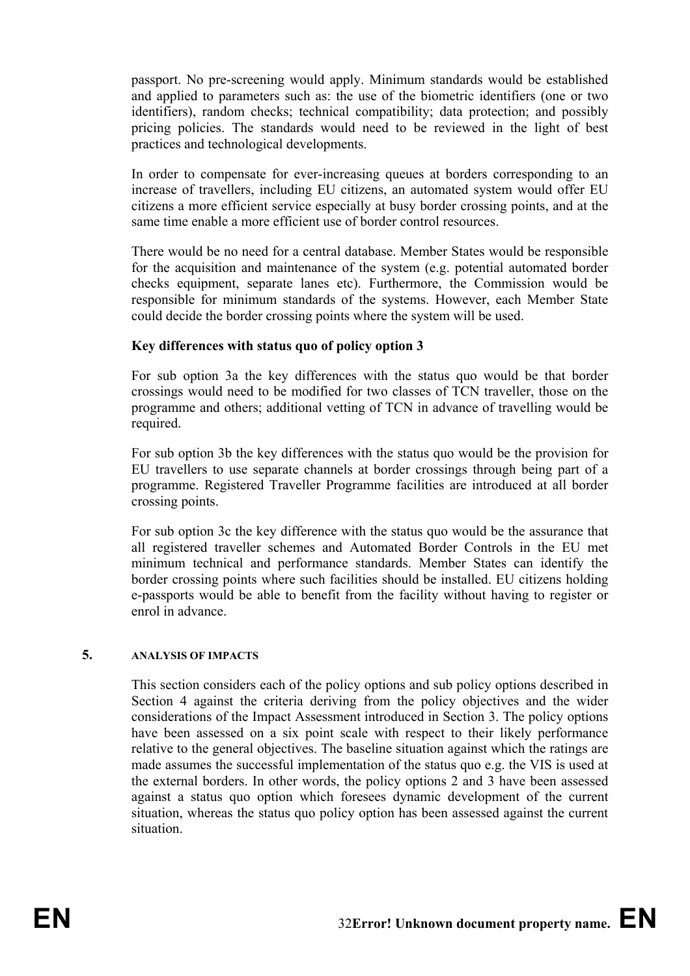passport. No pre-screening would apply. Minimum standards would be established and applied to parameters such as: the use of the biometric identifiers (one or two identifiers), random checks; technical compatibility; data protection; and possibly pricing policies. The standards would need to be reviewed in the light of best practices and technological developments.

In order to compensate for ever-increasing queues at borders corresponding to an increase of travellers, including EU citizens, an automated system would offer EU citizens a more efficient service especially at busy border crossing points, and at the same time enable a more efficient use of border control resources.

There would be no need for a central database. Member States would be responsible for the acquisition and maintenance of the system (e.g. potential automated border checks equipment, separate lanes etc). Furthermore, the Commission would be responsible for minimum standards of the systems. However, each Member State could decide the border crossing points where the system will be used.

#### **Key differences with status quo of policy option 3**

For sub option 3a the key differences with the status quo would be that border crossings would need to be modified for two classes of TCN traveller, those on the programme and others; additional vetting of TCN in advance of travelling would be required.

For sub option 3b the key differences with the status quo would be the provision for EU travellers to use separate channels at border crossings through being part of a programme. Registered Traveller Programme facilities are introduced at all border crossing points.

For sub option 3c the key difference with the status quo would be the assurance that all registered traveller schemes and Automated Border Controls in the EU met minimum technical and performance standards. Member States can identify the border crossing points where such facilities should be installed. EU citizens holding e-passports would be able to benefit from the facility without having to register or enrol in advance.

#### **5. ANALYSIS OF IMPACTS**

This section considers each of the policy options and sub policy options described in Section 4 against the criteria deriving from the policy objectives and the wider considerations of the Impact Assessment introduced in Section 3. The policy options have been assessed on a six point scale with respect to their likely performance relative to the general objectives. The baseline situation against which the ratings are made assumes the successful implementation of the status quo e.g. the VIS is used at the external borders. In other words, the policy options 2 and 3 have been assessed against a status quo option which foresees dynamic development of the current situation, whereas the status quo policy option has been assessed against the current situation.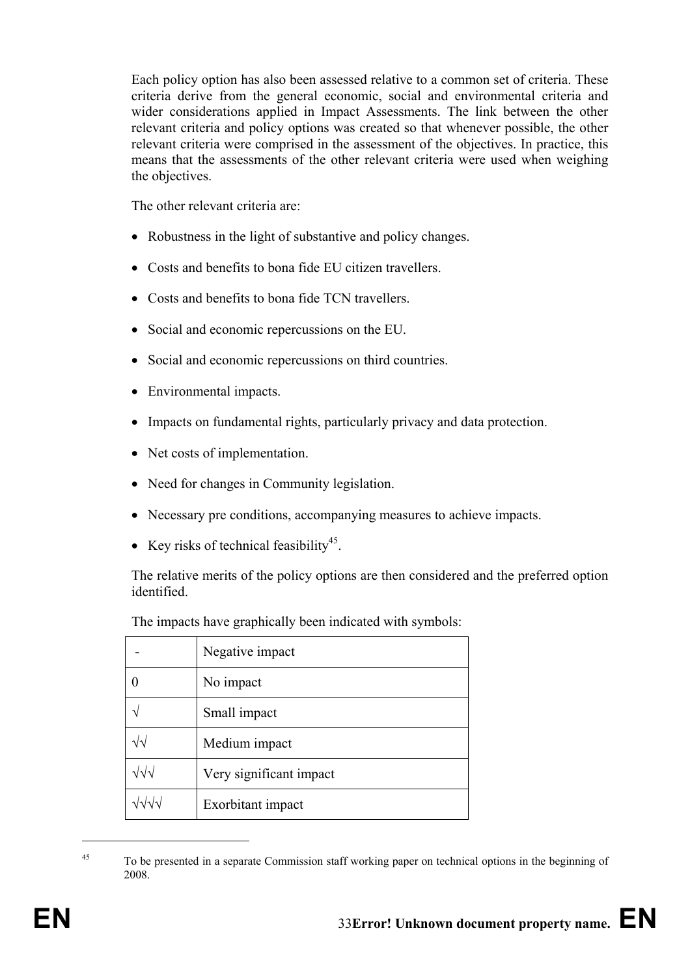Each policy option has also been assessed relative to a common set of criteria. These criteria derive from the general economic, social and environmental criteria and wider considerations applied in Impact Assessments. The link between the other relevant criteria and policy options was created so that whenever possible, the other relevant criteria were comprised in the assessment of the objectives. In practice, this means that the assessments of the other relevant criteria were used when weighing the objectives.

The other relevant criteria are:

- Robustness in the light of substantive and policy changes.
- Costs and benefits to bona fide EU citizen travellers.
- Costs and benefits to bona fide TCN travellers.
- Social and economic repercussions on the EU.
- Social and economic repercussions on third countries.
- Environmental impacts.
- Impacts on fundamental rights, particularly privacy and data protection.
- Net costs of implementation.
- Need for changes in Community legislation.
- Necessary pre conditions, accompanying measures to achieve impacts.
- Key risks of technical feasibility<sup>45</sup>.

The relative merits of the policy options are then considered and the preferred option identified.

|                    | Negative impact         |
|--------------------|-------------------------|
|                    | No impact               |
|                    | Small impact            |
| $\sqrt{\sqrt{2}}$  | Medium impact           |
| $\sqrt{\sqrt{}}$   | Very significant impact |
| $\sqrt{2}\sqrt{2}$ | Exorbitant impact       |

The impacts have graphically been indicated with symbols:

<sup>45</sup> To be presented in a separate Commission staff working paper on technical options in the beginning of 2008.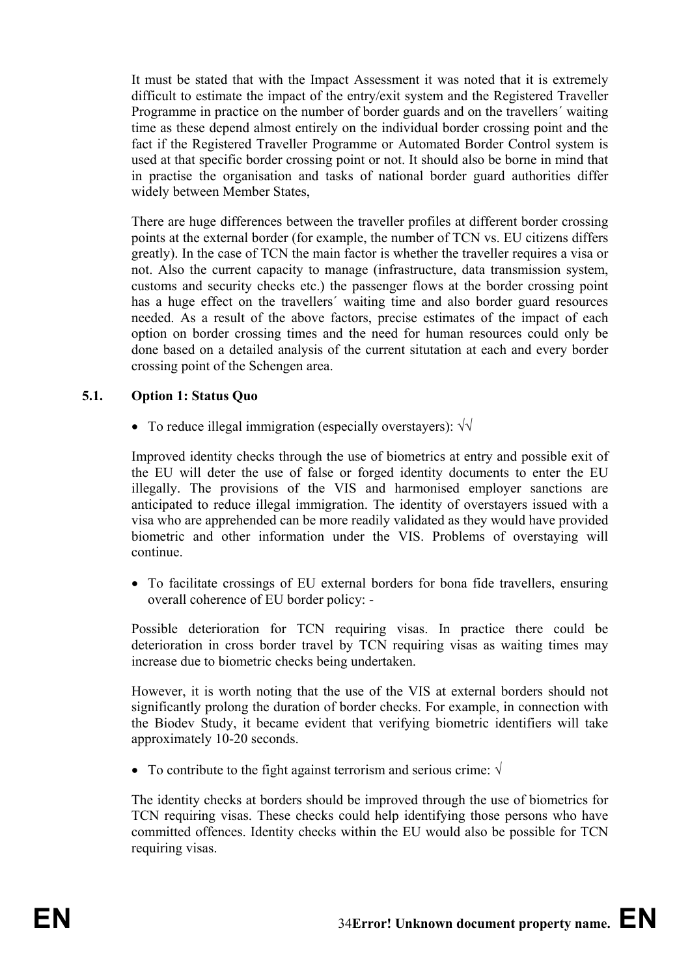It must be stated that with the Impact Assessment it was noted that it is extremely difficult to estimate the impact of the entry/exit system and the Registered Traveller Programme in practice on the number of border guards and on the travellers´ waiting time as these depend almost entirely on the individual border crossing point and the fact if the Registered Traveller Programme or Automated Border Control system is used at that specific border crossing point or not. It should also be borne in mind that in practise the organisation and tasks of national border guard authorities differ widely between Member States,

There are huge differences between the traveller profiles at different border crossing points at the external border (for example, the number of TCN vs. EU citizens differs greatly). In the case of TCN the main factor is whether the traveller requires a visa or not. Also the current capacity to manage (infrastructure, data transmission system, customs and security checks etc.) the passenger flows at the border crossing point has a huge effect on the travellers´ waiting time and also border guard resources needed. As a result of the above factors, precise estimates of the impact of each option on border crossing times and the need for human resources could only be done based on a detailed analysis of the current situtation at each and every border crossing point of the Schengen area.

#### **5.1. Option 1: Status Quo**

• To reduce illegal immigration (especially overstayers):  $\sqrt{v}$ 

Improved identity checks through the use of biometrics at entry and possible exit of the EU will deter the use of false or forged identity documents to enter the EU illegally. The provisions of the VIS and harmonised employer sanctions are anticipated to reduce illegal immigration. The identity of overstayers issued with a visa who are apprehended can be more readily validated as they would have provided biometric and other information under the VIS. Problems of overstaying will continue.

• To facilitate crossings of EU external borders for bona fide travellers, ensuring overall coherence of EU border policy: -

Possible deterioration for TCN requiring visas. In practice there could be deterioration in cross border travel by TCN requiring visas as waiting times may increase due to biometric checks being undertaken.

However, it is worth noting that the use of the VIS at external borders should not significantly prolong the duration of border checks. For example, in connection with the Biodev Study, it became evident that verifying biometric identifiers will take approximately 10-20 seconds.

• To contribute to the fight against terrorism and serious crime:  $\sqrt{}$ 

The identity checks at borders should be improved through the use of biometrics for TCN requiring visas. These checks could help identifying those persons who have committed offences. Identity checks within the EU would also be possible for TCN requiring visas.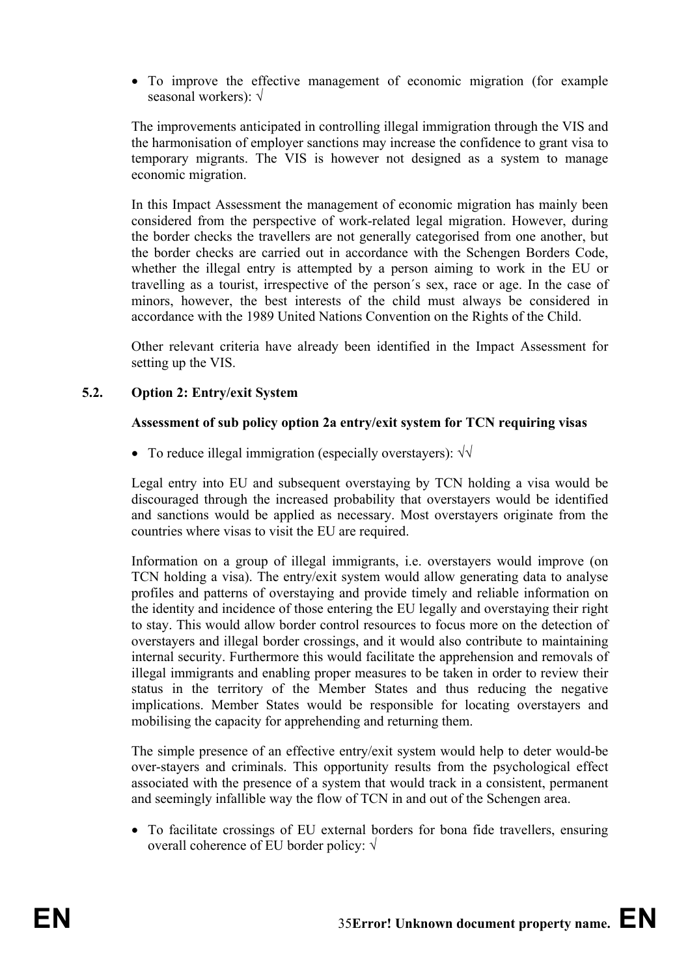• To improve the effective management of economic migration (for example seasonal workers): √

The improvements anticipated in controlling illegal immigration through the VIS and the harmonisation of employer sanctions may increase the confidence to grant visa to temporary migrants. The VIS is however not designed as a system to manage economic migration.

In this Impact Assessment the management of economic migration has mainly been considered from the perspective of work-related legal migration. However, during the border checks the travellers are not generally categorised from one another, but the border checks are carried out in accordance with the Schengen Borders Code, whether the illegal entry is attempted by a person aiming to work in the EU or travelling as a tourist, irrespective of the person´s sex, race or age. In the case of minors, however, the best interests of the child must always be considered in accordance with the 1989 United Nations Convention on the Rights of the Child.

Other relevant criteria have already been identified in the Impact Assessment for setting up the VIS.

## **5.2. Option 2: Entry/exit System**

#### **Assessment of sub policy option 2a entry/exit system for TCN requiring visas**

• To reduce illegal immigration (especially overstayers):  $\sqrt{\sqrt{ }}$ 

Legal entry into EU and subsequent overstaying by TCN holding a visa would be discouraged through the increased probability that overstayers would be identified and sanctions would be applied as necessary. Most overstayers originate from the countries where visas to visit the EU are required.

Information on a group of illegal immigrants, i.e. overstayers would improve (on TCN holding a visa). The entry/exit system would allow generating data to analyse profiles and patterns of overstaying and provide timely and reliable information on the identity and incidence of those entering the EU legally and overstaying their right to stay. This would allow border control resources to focus more on the detection of overstayers and illegal border crossings, and it would also contribute to maintaining internal security. Furthermore this would facilitate the apprehension and removals of illegal immigrants and enabling proper measures to be taken in order to review their status in the territory of the Member States and thus reducing the negative implications. Member States would be responsible for locating overstayers and mobilising the capacity for apprehending and returning them.

The simple presence of an effective entry/exit system would help to deter would-be over-stayers and criminals. This opportunity results from the psychological effect associated with the presence of a system that would track in a consistent, permanent and seemingly infallible way the flow of TCN in and out of the Schengen area.

• To facilitate crossings of EU external borders for bona fide travellers, ensuring overall coherence of EU border policy: √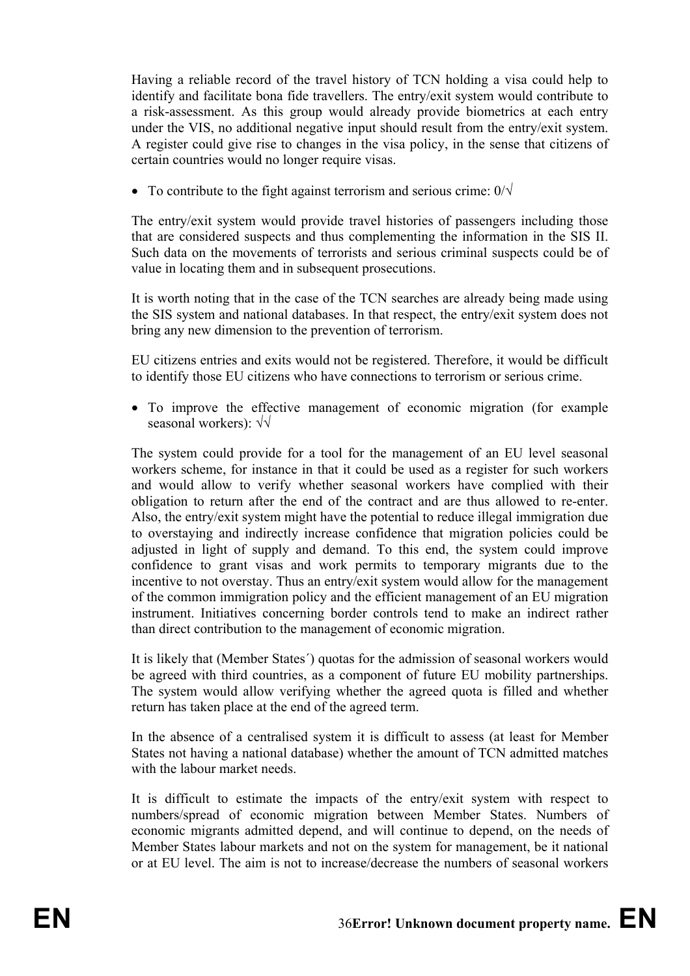Having a reliable record of the travel history of TCN holding a visa could help to identify and facilitate bona fide travellers. The entry/exit system would contribute to a risk-assessment. As this group would already provide biometrics at each entry under the VIS, no additional negative input should result from the entry/exit system. A register could give rise to changes in the visa policy, in the sense that citizens of certain countries would no longer require visas.

• To contribute to the fight against terrorism and serious crime:  $0/\sqrt{ }$ 

The entry/exit system would provide travel histories of passengers including those that are considered suspects and thus complementing the information in the SIS II. Such data on the movements of terrorists and serious criminal suspects could be of value in locating them and in subsequent prosecutions.

It is worth noting that in the case of the TCN searches are already being made using the SIS system and national databases. In that respect, the entry/exit system does not bring any new dimension to the prevention of terrorism.

EU citizens entries and exits would not be registered. Therefore, it would be difficult to identify those EU citizens who have connections to terrorism or serious crime.

• To improve the effective management of economic migration (for example seasonal workers): √√

The system could provide for a tool for the management of an EU level seasonal workers scheme, for instance in that it could be used as a register for such workers and would allow to verify whether seasonal workers have complied with their obligation to return after the end of the contract and are thus allowed to re-enter. Also, the entry/exit system might have the potential to reduce illegal immigration due to overstaying and indirectly increase confidence that migration policies could be adjusted in light of supply and demand. To this end, the system could improve confidence to grant visas and work permits to temporary migrants due to the incentive to not overstay. Thus an entry/exit system would allow for the management of the common immigration policy and the efficient management of an EU migration instrument. Initiatives concerning border controls tend to make an indirect rather than direct contribution to the management of economic migration.

It is likely that (Member States´) quotas for the admission of seasonal workers would be agreed with third countries, as a component of future EU mobility partnerships. The system would allow verifying whether the agreed quota is filled and whether return has taken place at the end of the agreed term.

In the absence of a centralised system it is difficult to assess (at least for Member States not having a national database) whether the amount of TCN admitted matches with the labour market needs.

It is difficult to estimate the impacts of the entry/exit system with respect to numbers/spread of economic migration between Member States. Numbers of economic migrants admitted depend, and will continue to depend, on the needs of Member States labour markets and not on the system for management, be it national or at EU level. The aim is not to increase/decrease the numbers of seasonal workers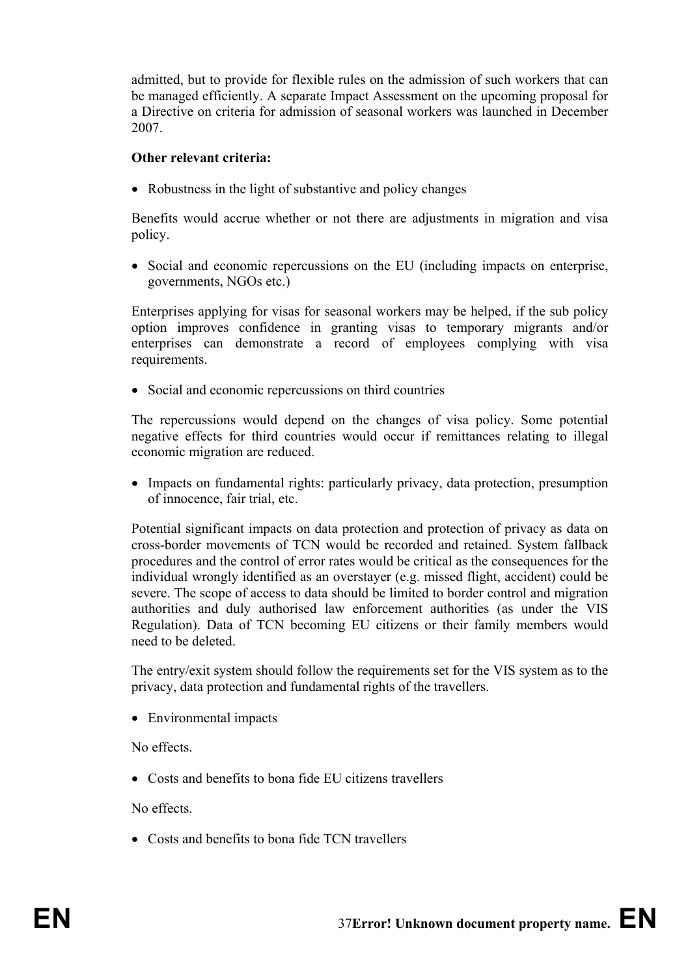admitted, but to provide for flexible rules on the admission of such workers that can be managed efficiently. A separate Impact Assessment on the upcoming proposal for a Directive on criteria for admission of seasonal workers was launched in December 2007.

## **Other relevant criteria:**

• Robustness in the light of substantive and policy changes

Benefits would accrue whether or not there are adjustments in migration and visa policy.

• Social and economic repercussions on the EU (including impacts on enterprise, governments, NGOs etc.)

Enterprises applying for visas for seasonal workers may be helped, if the sub policy option improves confidence in granting visas to temporary migrants and/or enterprises can demonstrate a record of employees complying with visa requirements.

• Social and economic repercussions on third countries

The repercussions would depend on the changes of visa policy. Some potential negative effects for third countries would occur if remittances relating to illegal economic migration are reduced.

• Impacts on fundamental rights: particularly privacy, data protection, presumption of innocence, fair trial, etc.

Potential significant impacts on data protection and protection of privacy as data on cross-border movements of TCN would be recorded and retained. System fallback procedures and the control of error rates would be critical as the consequences for the individual wrongly identified as an overstayer (e.g. missed flight, accident) could be severe. The scope of access to data should be limited to border control and migration authorities and duly authorised law enforcement authorities (as under the VIS Regulation). Data of TCN becoming EU citizens or their family members would need to be deleted.

The entry/exit system should follow the requirements set for the VIS system as to the privacy, data protection and fundamental rights of the travellers.

• Environmental impacts

No effects.

• Costs and benefits to bona fide EU citizens travellers

No effects.

• Costs and benefits to bona fide TCN travellers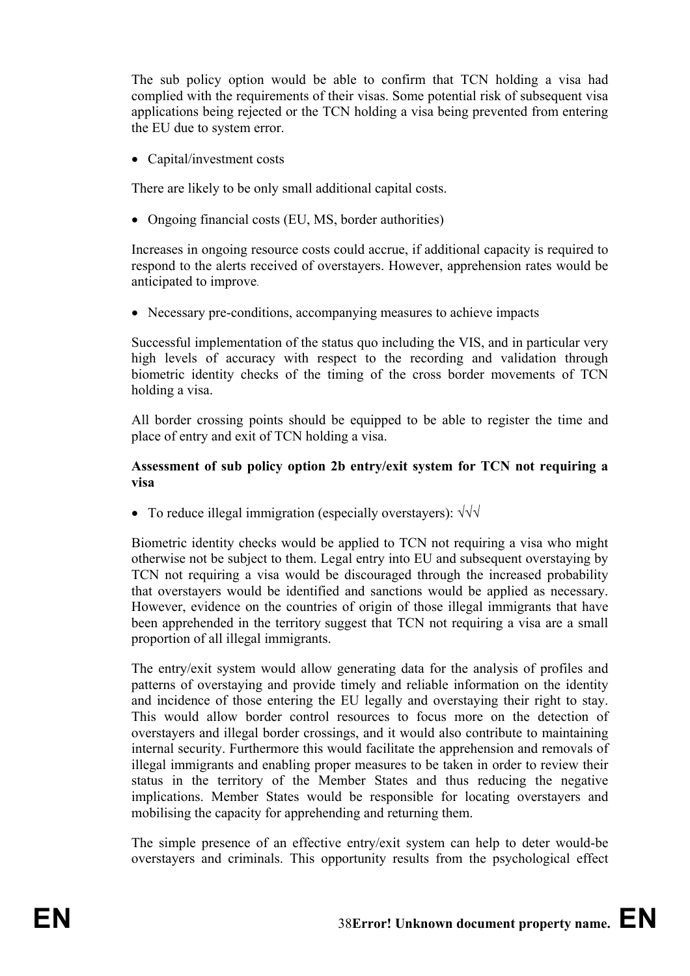The sub policy option would be able to confirm that TCN holding a visa had complied with the requirements of their visas. Some potential risk of subsequent visa applications being rejected or the TCN holding a visa being prevented from entering the EU due to system error.

• Capital/investment costs

There are likely to be only small additional capital costs.

• Ongoing financial costs (EU, MS, border authorities)

Increases in ongoing resource costs could accrue, if additional capacity is required to respond to the alerts received of overstayers. However, apprehension rates would be anticipated to improve.

• Necessary pre-conditions, accompanying measures to achieve impacts

Successful implementation of the status quo including the VIS, and in particular very high levels of accuracy with respect to the recording and validation through biometric identity checks of the timing of the cross border movements of TCN holding a visa.

All border crossing points should be equipped to be able to register the time and place of entry and exit of TCN holding a visa.

## **Assessment of sub policy option 2b entry/exit system for TCN not requiring a visa**

• To reduce illegal immigration (especially overstayers): √√√

Biometric identity checks would be applied to TCN not requiring a visa who might otherwise not be subject to them. Legal entry into EU and subsequent overstaying by TCN not requiring a visa would be discouraged through the increased probability that overstayers would be identified and sanctions would be applied as necessary. However, evidence on the countries of origin of those illegal immigrants that have been apprehended in the territory suggest that TCN not requiring a visa are a small proportion of all illegal immigrants.

The entry/exit system would allow generating data for the analysis of profiles and patterns of overstaying and provide timely and reliable information on the identity and incidence of those entering the EU legally and overstaying their right to stay. This would allow border control resources to focus more on the detection of overstayers and illegal border crossings, and it would also contribute to maintaining internal security. Furthermore this would facilitate the apprehension and removals of illegal immigrants and enabling proper measures to be taken in order to review their status in the territory of the Member States and thus reducing the negative implications. Member States would be responsible for locating overstayers and mobilising the capacity for apprehending and returning them.

The simple presence of an effective entry/exit system can help to deter would-be overstayers and criminals. This opportunity results from the psychological effect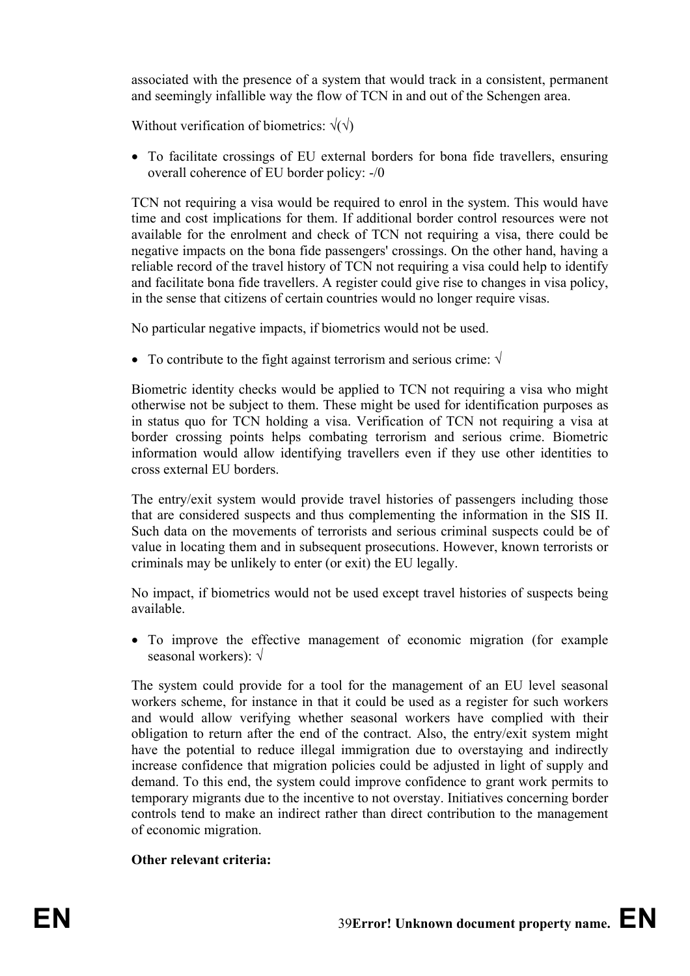associated with the presence of a system that would track in a consistent, permanent and seemingly infallible way the flow of TCN in and out of the Schengen area.

Without verification of biometrics:  $\sqrt{\sqrt{}}$ 

• To facilitate crossings of EU external borders for bona fide travellers, ensuring overall coherence of EU border policy: -/0

TCN not requiring a visa would be required to enrol in the system. This would have time and cost implications for them. If additional border control resources were not available for the enrolment and check of TCN not requiring a visa, there could be negative impacts on the bona fide passengers' crossings. On the other hand, having a reliable record of the travel history of TCN not requiring a visa could help to identify and facilitate bona fide travellers. A register could give rise to changes in visa policy, in the sense that citizens of certain countries would no longer require visas.

No particular negative impacts, if biometrics would not be used.

• To contribute to the fight against terrorism and serious crime:  $\sqrt{}$ 

Biometric identity checks would be applied to TCN not requiring a visa who might otherwise not be subject to them. These might be used for identification purposes as in status quo for TCN holding a visa. Verification of TCN not requiring a visa at border crossing points helps combating terrorism and serious crime. Biometric information would allow identifying travellers even if they use other identities to cross external EU borders.

The entry/exit system would provide travel histories of passengers including those that are considered suspects and thus complementing the information in the SIS II. Such data on the movements of terrorists and serious criminal suspects could be of value in locating them and in subsequent prosecutions. However, known terrorists or criminals may be unlikely to enter (or exit) the EU legally.

No impact, if biometrics would not be used except travel histories of suspects being available.

• To improve the effective management of economic migration (for example seasonal workers): √

The system could provide for a tool for the management of an EU level seasonal workers scheme, for instance in that it could be used as a register for such workers and would allow verifying whether seasonal workers have complied with their obligation to return after the end of the contract. Also, the entry/exit system might have the potential to reduce illegal immigration due to overstaying and indirectly increase confidence that migration policies could be adjusted in light of supply and demand. To this end, the system could improve confidence to grant work permits to temporary migrants due to the incentive to not overstay. Initiatives concerning border controls tend to make an indirect rather than direct contribution to the management of economic migration.

## **Other relevant criteria:**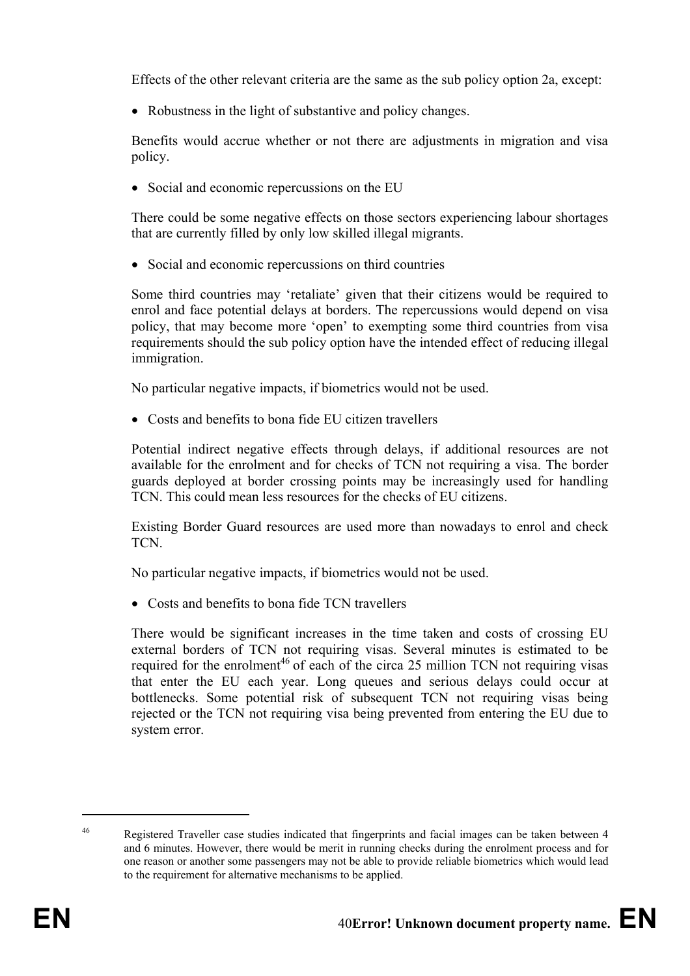Effects of the other relevant criteria are the same as the sub policy option 2a, except:

• Robustness in the light of substantive and policy changes.

Benefits would accrue whether or not there are adjustments in migration and visa policy.

• Social and economic repercussions on the EU

There could be some negative effects on those sectors experiencing labour shortages that are currently filled by only low skilled illegal migrants.

• Social and economic repercussions on third countries

Some third countries may 'retaliate' given that their citizens would be required to enrol and face potential delays at borders. The repercussions would depend on visa policy, that may become more 'open' to exempting some third countries from visa requirements should the sub policy option have the intended effect of reducing illegal immigration.

No particular negative impacts, if biometrics would not be used.

• Costs and benefits to bona fide EU citizen travellers

Potential indirect negative effects through delays, if additional resources are not available for the enrolment and for checks of TCN not requiring a visa. The border guards deployed at border crossing points may be increasingly used for handling TCN. This could mean less resources for the checks of EU citizens.

Existing Border Guard resources are used more than nowadays to enrol and check TCN.

No particular negative impacts, if biometrics would not be used.

• Costs and benefits to bona fide TCN travellers

There would be significant increases in the time taken and costs of crossing EU external borders of TCN not requiring visas. Several minutes is estimated to be required for the enrolment<sup>46</sup> of each of the circa 25 million TCN not requiring visas that enter the EU each year. Long queues and serious delays could occur at bottlenecks. Some potential risk of subsequent TCN not requiring visas being rejected or the TCN not requiring visa being prevented from entering the EU due to system error.

1

<sup>46</sup> Registered Traveller case studies indicated that fingerprints and facial images can be taken between 4 and 6 minutes. However, there would be merit in running checks during the enrolment process and for one reason or another some passengers may not be able to provide reliable biometrics which would lead to the requirement for alternative mechanisms to be applied.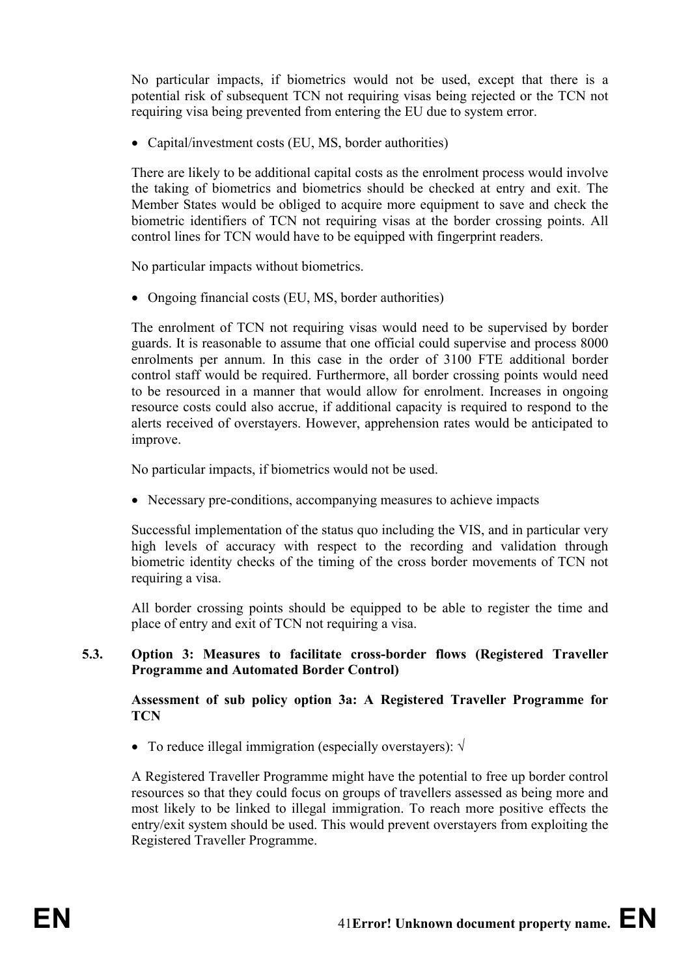No particular impacts, if biometrics would not be used, except that there is a potential risk of subsequent TCN not requiring visas being rejected or the TCN not requiring visa being prevented from entering the EU due to system error.

• Capital/investment costs (EU, MS, border authorities)

There are likely to be additional capital costs as the enrolment process would involve the taking of biometrics and biometrics should be checked at entry and exit. The Member States would be obliged to acquire more equipment to save and check the biometric identifiers of TCN not requiring visas at the border crossing points. All control lines for TCN would have to be equipped with fingerprint readers.

No particular impacts without biometrics.

• Ongoing financial costs (EU, MS, border authorities)

The enrolment of TCN not requiring visas would need to be supervised by border guards. It is reasonable to assume that one official could supervise and process 8000 enrolments per annum. In this case in the order of 3100 FTE additional border control staff would be required. Furthermore, all border crossing points would need to be resourced in a manner that would allow for enrolment. Increases in ongoing resource costs could also accrue, if additional capacity is required to respond to the alerts received of overstayers. However, apprehension rates would be anticipated to improve.

No particular impacts, if biometrics would not be used.

• Necessary pre-conditions, accompanying measures to achieve impacts

Successful implementation of the status quo including the VIS, and in particular very high levels of accuracy with respect to the recording and validation through biometric identity checks of the timing of the cross border movements of TCN not requiring a visa.

All border crossing points should be equipped to be able to register the time and place of entry and exit of TCN not requiring a visa.

## **5.3. Option 3: Measures to facilitate cross-border flows (Registered Traveller Programme and Automated Border Control)**

**Assessment of sub policy option 3a: A Registered Traveller Programme for TCN**

• To reduce illegal immigration (especially overstayers): √

A Registered Traveller Programme might have the potential to free up border control resources so that they could focus on groups of travellers assessed as being more and most likely to be linked to illegal immigration. To reach more positive effects the entry/exit system should be used. This would prevent overstayers from exploiting the Registered Traveller Programme.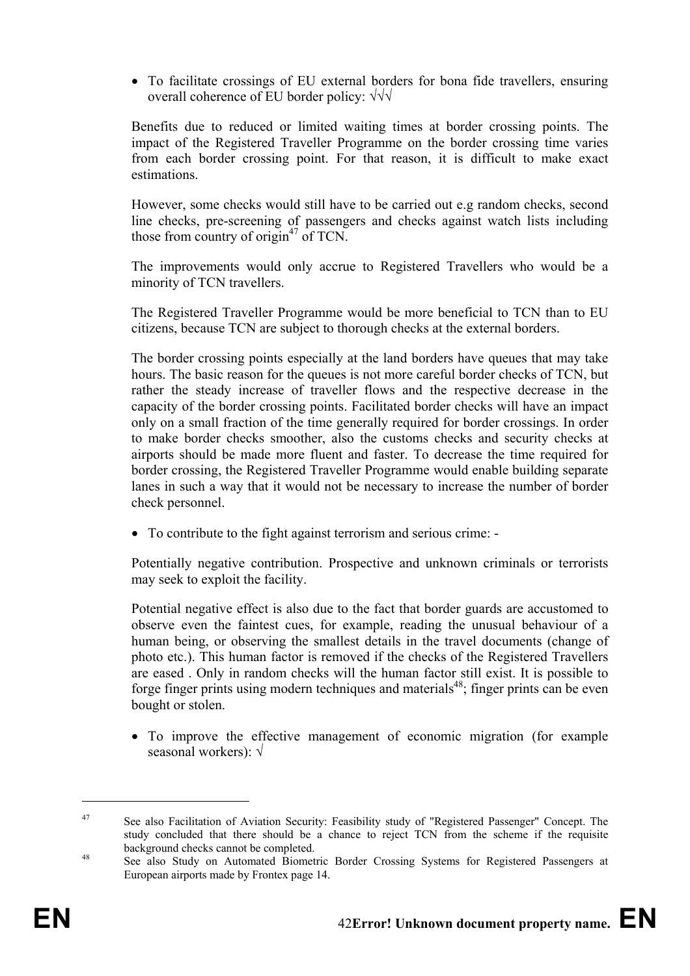• To facilitate crossings of EU external borders for bona fide travellers, ensuring overall coherence of EU border policy: √√√

Benefits due to reduced or limited waiting times at border crossing points. The impact of the Registered Traveller Programme on the border crossing time varies from each border crossing point. For that reason, it is difficult to make exact estimations.

However, some checks would still have to be carried out e.g random checks, second line checks, pre-screening of passengers and checks against watch lists including those from country of origin<sup>47</sup> of TCN.

The improvements would only accrue to Registered Travellers who would be a minority of TCN travellers.

The Registered Traveller Programme would be more beneficial to TCN than to EU citizens, because TCN are subject to thorough checks at the external borders.

The border crossing points especially at the land borders have queues that may take hours. The basic reason for the queues is not more careful border checks of TCN, but rather the steady increase of traveller flows and the respective decrease in the capacity of the border crossing points. Facilitated border checks will have an impact only on a small fraction of the time generally required for border crossings. In order to make border checks smoother, also the customs checks and security checks at airports should be made more fluent and faster. To decrease the time required for border crossing, the Registered Traveller Programme would enable building separate lanes in such a way that it would not be necessary to increase the number of border check personnel.

• To contribute to the fight against terrorism and serious crime: -

Potentially negative contribution. Prospective and unknown criminals or terrorists may seek to exploit the facility.

Potential negative effect is also due to the fact that border guards are accustomed to observe even the faintest cues, for example, reading the unusual behaviour of a human being, or observing the smallest details in the travel documents (change of photo etc.). This human factor is removed if the checks of the Registered Travellers are eased . Only in random checks will the human factor still exist. It is possible to forge finger prints using modern techniques and materials<sup>48</sup>; finger prints can be even bought or stolen.

• To improve the effective management of economic migration (for example seasonal workers): √

1

<sup>47</sup> See also Facilitation of Aviation Security: Feasibility study of "Registered Passenger" Concept. The study concluded that there should be a chance to reject TCN from the scheme if the requisite background checks cannot be completed.<br><sup>48</sup> See also Study on Automated Biometric Border Crossing Systems for Registered Passengers at

European airports made by Frontex page 14.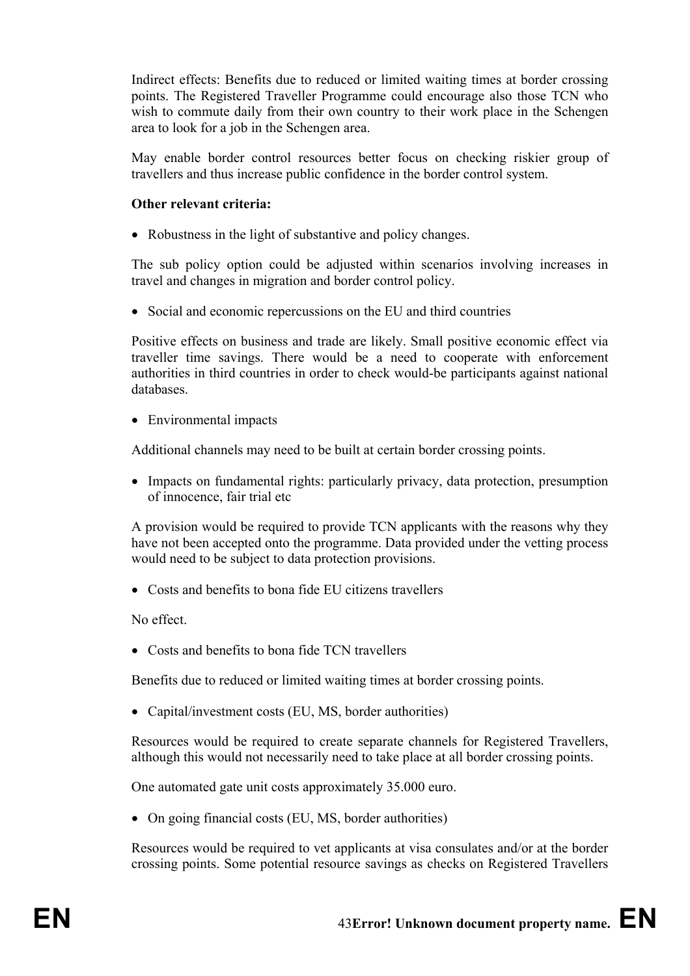Indirect effects: Benefits due to reduced or limited waiting times at border crossing points. The Registered Traveller Programme could encourage also those TCN who wish to commute daily from their own country to their work place in the Schengen area to look for a job in the Schengen area.

May enable border control resources better focus on checking riskier group of travellers and thus increase public confidence in the border control system.

## **Other relevant criteria:**

• Robustness in the light of substantive and policy changes.

The sub policy option could be adjusted within scenarios involving increases in travel and changes in migration and border control policy.

• Social and economic repercussions on the EU and third countries

Positive effects on business and trade are likely. Small positive economic effect via traveller time savings. There would be a need to cooperate with enforcement authorities in third countries in order to check would-be participants against national databases.

• Environmental impacts

Additional channels may need to be built at certain border crossing points.

• Impacts on fundamental rights: particularly privacy, data protection, presumption of innocence, fair trial etc

A provision would be required to provide TCN applicants with the reasons why they have not been accepted onto the programme. Data provided under the vetting process would need to be subject to data protection provisions.

• Costs and benefits to bona fide EU citizens travellers

No effect.

• Costs and benefits to bona fide TCN travellers

Benefits due to reduced or limited waiting times at border crossing points.

• Capital/investment costs (EU, MS, border authorities)

Resources would be required to create separate channels for Registered Travellers, although this would not necessarily need to take place at all border crossing points.

One automated gate unit costs approximately 35.000 euro.

• On going financial costs (EU, MS, border authorities)

Resources would be required to vet applicants at visa consulates and/or at the border crossing points. Some potential resource savings as checks on Registered Travellers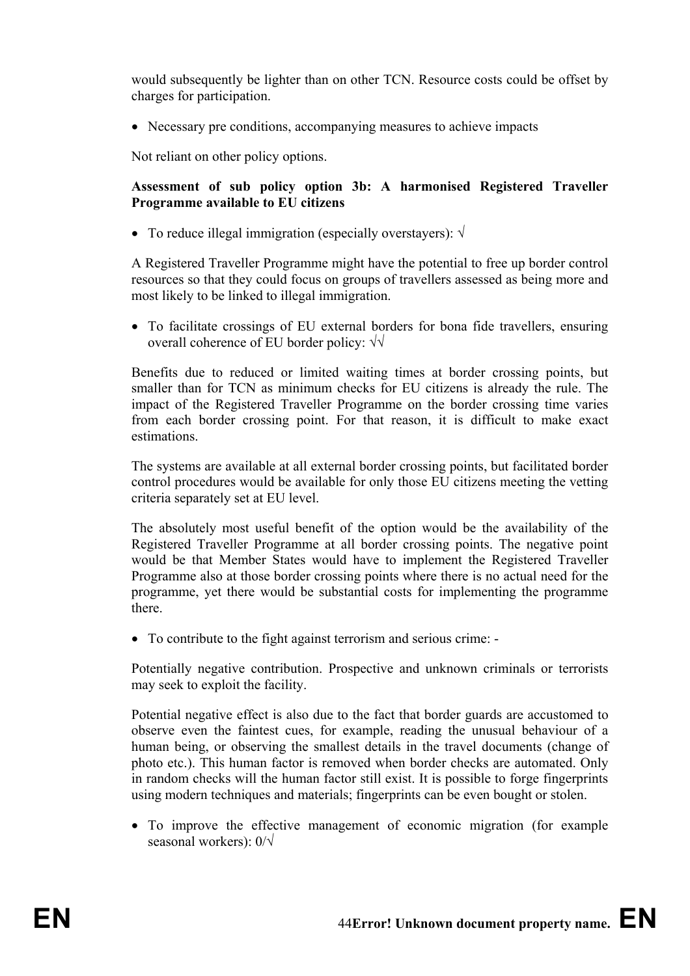would subsequently be lighter than on other TCN. Resource costs could be offset by charges for participation.

• Necessary pre conditions, accompanying measures to achieve impacts

Not reliant on other policy options.

## **Assessment of sub policy option 3b: A harmonised Registered Traveller Programme available to EU citizens**

• To reduce illegal immigration (especially overstayers): √

A Registered Traveller Programme might have the potential to free up border control resources so that they could focus on groups of travellers assessed as being more and most likely to be linked to illegal immigration.

• To facilitate crossings of EU external borders for bona fide travellers, ensuring overall coherence of EU border policy: √√

Benefits due to reduced or limited waiting times at border crossing points, but smaller than for TCN as minimum checks for EU citizens is already the rule. The impact of the Registered Traveller Programme on the border crossing time varies from each border crossing point. For that reason, it is difficult to make exact estimations.

The systems are available at all external border crossing points, but facilitated border control procedures would be available for only those EU citizens meeting the vetting criteria separately set at EU level.

The absolutely most useful benefit of the option would be the availability of the Registered Traveller Programme at all border crossing points. The negative point would be that Member States would have to implement the Registered Traveller Programme also at those border crossing points where there is no actual need for the programme, yet there would be substantial costs for implementing the programme there.

• To contribute to the fight against terrorism and serious crime: -

Potentially negative contribution. Prospective and unknown criminals or terrorists may seek to exploit the facility.

Potential negative effect is also due to the fact that border guards are accustomed to observe even the faintest cues, for example, reading the unusual behaviour of a human being, or observing the smallest details in the travel documents (change of photo etc.). This human factor is removed when border checks are automated. Only in random checks will the human factor still exist. It is possible to forge fingerprints using modern techniques and materials; fingerprints can be even bought or stolen.

• To improve the effective management of economic migration (for example seasonal workers): 0/√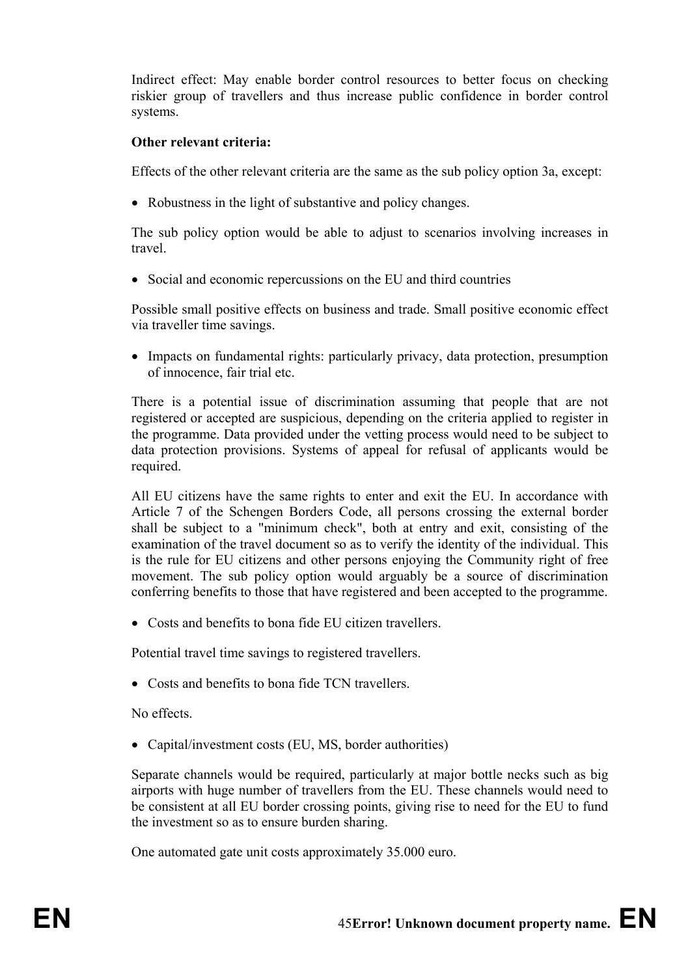Indirect effect: May enable border control resources to better focus on checking riskier group of travellers and thus increase public confidence in border control systems.

## **Other relevant criteria:**

Effects of the other relevant criteria are the same as the sub policy option 3a, except:

• Robustness in the light of substantive and policy changes.

The sub policy option would be able to adjust to scenarios involving increases in travel.

• Social and economic repercussions on the EU and third countries

Possible small positive effects on business and trade. Small positive economic effect via traveller time savings.

• Impacts on fundamental rights: particularly privacy, data protection, presumption of innocence, fair trial etc.

There is a potential issue of discrimination assuming that people that are not registered or accepted are suspicious, depending on the criteria applied to register in the programme. Data provided under the vetting process would need to be subject to data protection provisions. Systems of appeal for refusal of applicants would be required.

All EU citizens have the same rights to enter and exit the EU. In accordance with Article 7 of the Schengen Borders Code, all persons crossing the external border shall be subject to a "minimum check", both at entry and exit, consisting of the examination of the travel document so as to verify the identity of the individual. This is the rule for EU citizens and other persons enjoying the Community right of free movement. The sub policy option would arguably be a source of discrimination conferring benefits to those that have registered and been accepted to the programme.

• Costs and benefits to bona fide EU citizen travellers.

Potential travel time savings to registered travellers.

• Costs and benefits to bona fide TCN travellers.

No effects.

• Capital/investment costs (EU, MS, border authorities)

Separate channels would be required, particularly at major bottle necks such as big airports with huge number of travellers from the EU. These channels would need to be consistent at all EU border crossing points, giving rise to need for the EU to fund the investment so as to ensure burden sharing.

One automated gate unit costs approximately 35.000 euro.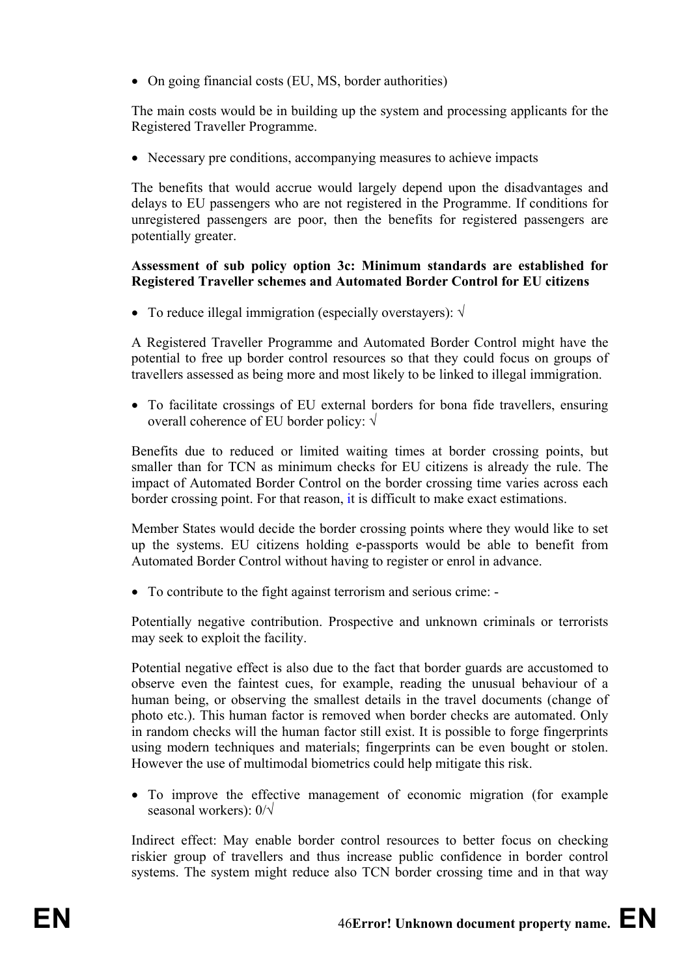• On going financial costs (EU, MS, border authorities)

The main costs would be in building up the system and processing applicants for the Registered Traveller Programme.

• Necessary pre conditions, accompanying measures to achieve impacts

The benefits that would accrue would largely depend upon the disadvantages and delays to EU passengers who are not registered in the Programme. If conditions for unregistered passengers are poor, then the benefits for registered passengers are potentially greater.

### **Assessment of sub policy option 3c: Minimum standards are established for Registered Traveller schemes and Automated Border Control for EU citizens**

• To reduce illegal immigration (especially overstayers):  $\sqrt{ }$ 

A Registered Traveller Programme and Automated Border Control might have the potential to free up border control resources so that they could focus on groups of travellers assessed as being more and most likely to be linked to illegal immigration.

• To facilitate crossings of EU external borders for bona fide travellers, ensuring overall coherence of EU border policy: √

Benefits due to reduced or limited waiting times at border crossing points, but smaller than for TCN as minimum checks for EU citizens is already the rule. The impact of Automated Border Control on the border crossing time varies across each border crossing point. For that reason, it is difficult to make exact estimations.

Member States would decide the border crossing points where they would like to set up the systems. EU citizens holding e-passports would be able to benefit from Automated Border Control without having to register or enrol in advance.

• To contribute to the fight against terrorism and serious crime: -

Potentially negative contribution. Prospective and unknown criminals or terrorists may seek to exploit the facility.

Potential negative effect is also due to the fact that border guards are accustomed to observe even the faintest cues, for example, reading the unusual behaviour of a human being, or observing the smallest details in the travel documents (change of photo etc.). This human factor is removed when border checks are automated. Only in random checks will the human factor still exist. It is possible to forge fingerprints using modern techniques and materials; fingerprints can be even bought or stolen. However the use of multimodal biometrics could help mitigate this risk.

• To improve the effective management of economic migration (for example seasonal workers): 0/√

Indirect effect: May enable border control resources to better focus on checking riskier group of travellers and thus increase public confidence in border control systems. The system might reduce also TCN border crossing time and in that way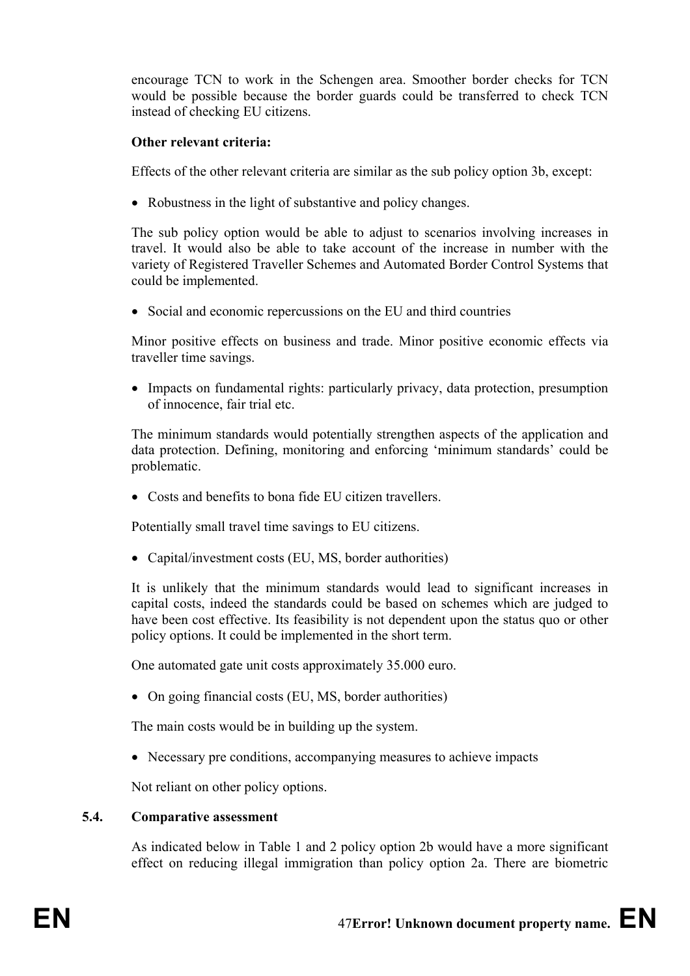encourage TCN to work in the Schengen area. Smoother border checks for TCN would be possible because the border guards could be transferred to check TCN instead of checking EU citizens.

### **Other relevant criteria:**

Effects of the other relevant criteria are similar as the sub policy option 3b, except:

• Robustness in the light of substantive and policy changes.

The sub policy option would be able to adjust to scenarios involving increases in travel. It would also be able to take account of the increase in number with the variety of Registered Traveller Schemes and Automated Border Control Systems that could be implemented.

• Social and economic repercussions on the EU and third countries

Minor positive effects on business and trade. Minor positive economic effects via traveller time savings.

• Impacts on fundamental rights: particularly privacy, data protection, presumption of innocence, fair trial etc.

The minimum standards would potentially strengthen aspects of the application and data protection. Defining, monitoring and enforcing 'minimum standards' could be problematic.

• Costs and benefits to bona fide EU citizen travellers.

Potentially small travel time savings to EU citizens.

• Capital/investment costs (EU, MS, border authorities)

It is unlikely that the minimum standards would lead to significant increases in capital costs, indeed the standards could be based on schemes which are judged to have been cost effective. Its feasibility is not dependent upon the status quo or other policy options. It could be implemented in the short term.

One automated gate unit costs approximately 35.000 euro.

• On going financial costs (EU, MS, border authorities)

The main costs would be in building up the system.

• Necessary pre conditions, accompanying measures to achieve impacts

Not reliant on other policy options.

#### **5.4. Comparative assessment**

As indicated below in Table 1 and 2 policy option 2b would have a more significant effect on reducing illegal immigration than policy option 2a. There are biometric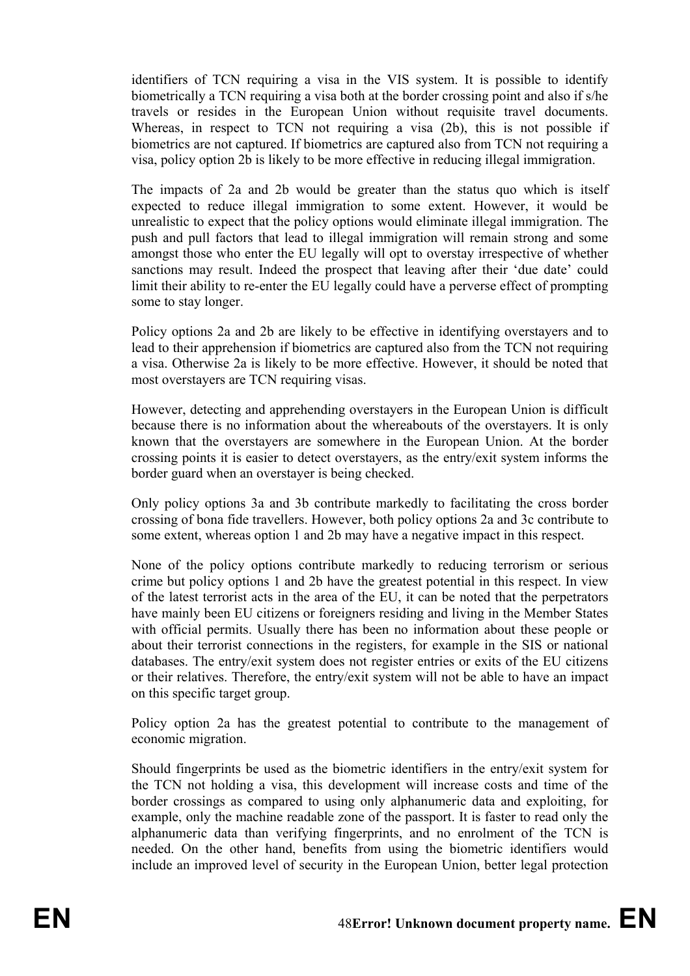identifiers of TCN requiring a visa in the VIS system. It is possible to identify biometrically a TCN requiring a visa both at the border crossing point and also if s/he travels or resides in the European Union without requisite travel documents. Whereas, in respect to TCN not requiring a visa (2b), this is not possible if biometrics are not captured. If biometrics are captured also from TCN not requiring a visa, policy option 2b is likely to be more effective in reducing illegal immigration.

The impacts of 2a and 2b would be greater than the status quo which is itself expected to reduce illegal immigration to some extent. However, it would be unrealistic to expect that the policy options would eliminate illegal immigration. The push and pull factors that lead to illegal immigration will remain strong and some amongst those who enter the EU legally will opt to overstay irrespective of whether sanctions may result. Indeed the prospect that leaving after their 'due date' could limit their ability to re-enter the EU legally could have a perverse effect of prompting some to stay longer.

Policy options 2a and 2b are likely to be effective in identifying overstayers and to lead to their apprehension if biometrics are captured also from the TCN not requiring a visa. Otherwise 2a is likely to be more effective. However, it should be noted that most overstayers are TCN requiring visas.

However, detecting and apprehending overstayers in the European Union is difficult because there is no information about the whereabouts of the overstayers. It is only known that the overstayers are somewhere in the European Union. At the border crossing points it is easier to detect overstayers, as the entry/exit system informs the border guard when an overstayer is being checked.

Only policy options 3a and 3b contribute markedly to facilitating the cross border crossing of bona fide travellers. However, both policy options 2a and 3c contribute to some extent, whereas option 1 and 2b may have a negative impact in this respect.

None of the policy options contribute markedly to reducing terrorism or serious crime but policy options 1 and 2b have the greatest potential in this respect. In view of the latest terrorist acts in the area of the EU, it can be noted that the perpetrators have mainly been EU citizens or foreigners residing and living in the Member States with official permits. Usually there has been no information about these people or about their terrorist connections in the registers, for example in the SIS or national databases. The entry/exit system does not register entries or exits of the EU citizens or their relatives. Therefore, the entry/exit system will not be able to have an impact on this specific target group.

Policy option 2a has the greatest potential to contribute to the management of economic migration.

Should fingerprints be used as the biometric identifiers in the entry/exit system for the TCN not holding a visa, this development will increase costs and time of the border crossings as compared to using only alphanumeric data and exploiting, for example, only the machine readable zone of the passport. It is faster to read only the alphanumeric data than verifying fingerprints, and no enrolment of the TCN is needed. On the other hand, benefits from using the biometric identifiers would include an improved level of security in the European Union, better legal protection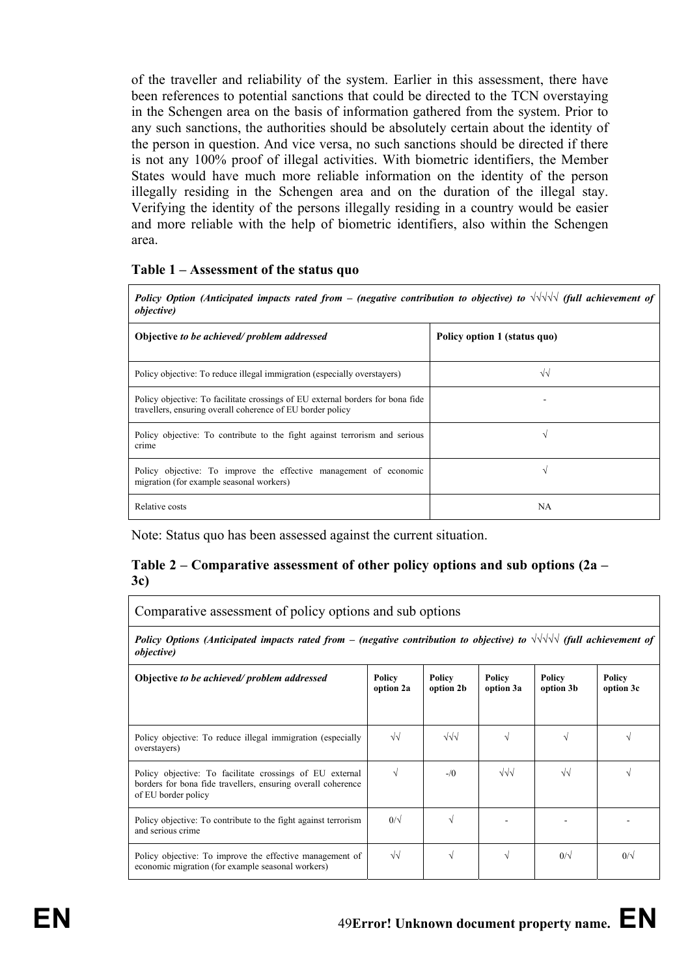of the traveller and reliability of the system. Earlier in this assessment, there have been references to potential sanctions that could be directed to the TCN overstaying in the Schengen area on the basis of information gathered from the system. Prior to any such sanctions, the authorities should be absolutely certain about the identity of the person in question. And vice versa, no such sanctions should be directed if there is not any 100% proof of illegal activities. With biometric identifiers, the Member States would have much more reliable information on the identity of the person illegally residing in the Schengen area and on the duration of the illegal stay. Verifying the identity of the persons illegally residing in a country would be easier and more reliable with the help of biometric identifiers, also within the Schengen area.

#### **Table 1 – Assessment of the status quo**

*Policy Option (Anticipated impacts rated from – (negative contribution to objective) to √√√√√ (full achievement of objective)* 

| Objective to be achieved/problem addressed                                                                                                   | Policy option 1 (status quo) |
|----------------------------------------------------------------------------------------------------------------------------------------------|------------------------------|
| Policy objective: To reduce illegal immigration (especially overstayers)                                                                     | $\sqrt{v}$                   |
| Policy objective: To facilitate crossings of EU external borders for bona fide<br>travellers, ensuring overall coherence of EU border policy |                              |
| Policy objective: To contribute to the fight against terrorism and serious<br>crime                                                          |                              |
| Policy objective: To improve the effective management of economic<br>migration (for example seasonal workers)                                | $\mathbf \Lambda$            |
| Relative costs                                                                                                                               | NA                           |

Note: Status quo has been assessed against the current situation.

## **Table 2 – Comparative assessment of other policy options and sub options (2a – 3c)**

Comparative assessment of policy options and sub options

*Policy Options (Anticipated impacts rated from – (negative contribution to objective) to √√√√√ (full achievement of objective)* 

| Objective to be achieved/problem addressed                                                                                                      | Policy<br>option 2a | Policy<br>option 2b | Policy<br>option 3a | Policy<br>option 3b | Policy<br>option 3c |
|-------------------------------------------------------------------------------------------------------------------------------------------------|---------------------|---------------------|---------------------|---------------------|---------------------|
| Policy objective: To reduce illegal immigration (especially<br>overstayers)                                                                     | $\sqrt{\sqrt{2}}$   | $\sqrt{\sqrt{}}$    |                     |                     |                     |
| Policy objective: To facilitate crossings of EU external<br>borders for bona fide travellers, ensuring overall coherence<br>of EU border policy |                     | $-\sqrt{0}$         | $\sqrt{}\sqrt{}$    | $\sqrt{2}$          |                     |
| Policy objective: To contribute to the fight against terrorism<br>and serious crime                                                             | $0/\sqrt{2}$        | V                   |                     |                     |                     |
| Policy objective: To improve the effective management of<br>economic migration (for example seasonal workers)                                   | $\sqrt{\sqrt{2}}$   | V                   |                     | $0/\sqrt{2}$        | $0/\sqrt{2}$        |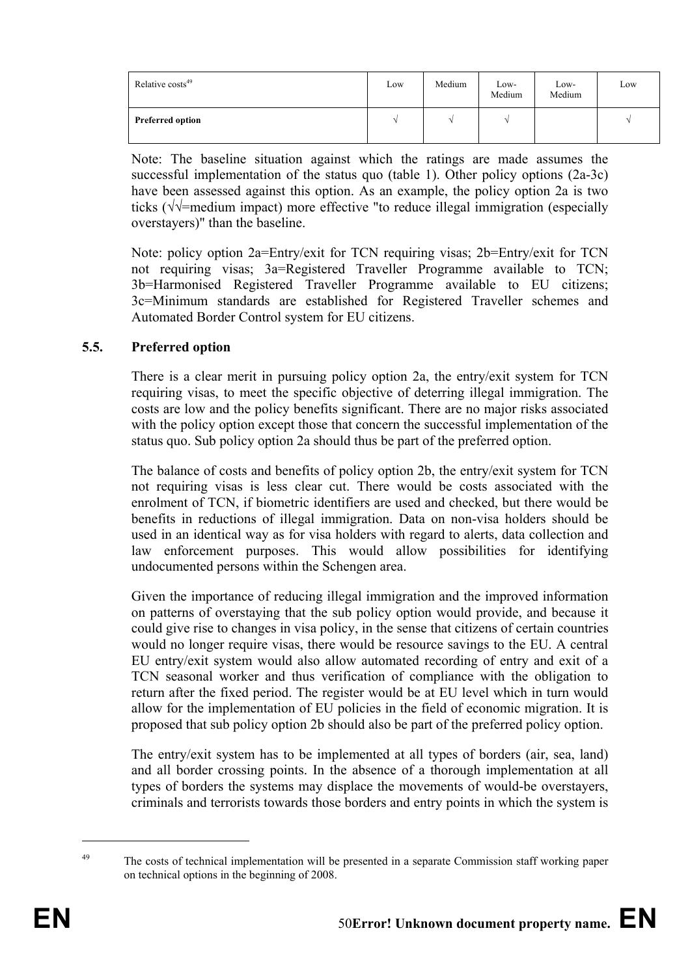| Relative costs <sup>49</sup> | Low | Medium | Low-<br>Medium | Low-<br>Medium | Low |
|------------------------------|-----|--------|----------------|----------------|-----|
| <b>Preferred option</b>      |     |        |                |                |     |

Note: The baseline situation against which the ratings are made assumes the successful implementation of the status quo (table 1). Other policy options (2a-3c) have been assessed against this option. As an example, the policy option 2a is two ticks (√√=medium impact) more effective "to reduce illegal immigration (especially overstayers)" than the baseline.

Note: policy option 2a=Entry/exit for TCN requiring visas; 2b=Entry/exit for TCN not requiring visas; 3a=Registered Traveller Programme available to TCN; 3b=Harmonised Registered Traveller Programme available to EU citizens; 3c=Minimum standards are established for Registered Traveller schemes and Automated Border Control system for EU citizens.

## **5.5. Preferred option**

There is a clear merit in pursuing policy option 2a, the entry/exit system for TCN requiring visas, to meet the specific objective of deterring illegal immigration. The costs are low and the policy benefits significant. There are no major risks associated with the policy option except those that concern the successful implementation of the status quo. Sub policy option 2a should thus be part of the preferred option.

The balance of costs and benefits of policy option 2b, the entry/exit system for TCN not requiring visas is less clear cut. There would be costs associated with the enrolment of TCN, if biometric identifiers are used and checked, but there would be benefits in reductions of illegal immigration. Data on non-visa holders should be used in an identical way as for visa holders with regard to alerts, data collection and law enforcement purposes. This would allow possibilities for identifying undocumented persons within the Schengen area.

Given the importance of reducing illegal immigration and the improved information on patterns of overstaying that the sub policy option would provide, and because it could give rise to changes in visa policy, in the sense that citizens of certain countries would no longer require visas, there would be resource savings to the EU. A central EU entry/exit system would also allow automated recording of entry and exit of a TCN seasonal worker and thus verification of compliance with the obligation to return after the fixed period. The register would be at EU level which in turn would allow for the implementation of EU policies in the field of economic migration. It is proposed that sub policy option 2b should also be part of the preferred policy option.

The entry/exit system has to be implemented at all types of borders (air, sea, land) and all border crossing points. In the absence of a thorough implementation at all types of borders the systems may displace the movements of would-be overstayers, criminals and terrorists towards those borders and entry points in which the system is

1

<sup>&</sup>lt;sup>49</sup> The costs of technical implementation will be presented in a separate Commission staff working paper on technical options in the beginning of 2008.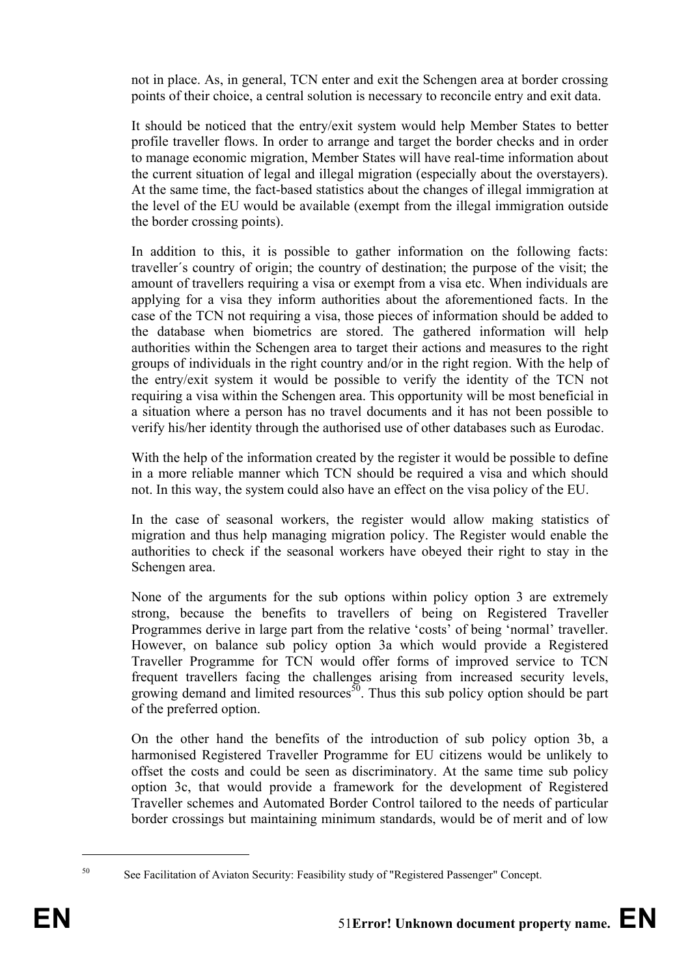not in place. As, in general, TCN enter and exit the Schengen area at border crossing points of their choice, a central solution is necessary to reconcile entry and exit data.

It should be noticed that the entry/exit system would help Member States to better profile traveller flows. In order to arrange and target the border checks and in order to manage economic migration, Member States will have real-time information about the current situation of legal and illegal migration (especially about the overstayers). At the same time, the fact-based statistics about the changes of illegal immigration at the level of the EU would be available (exempt from the illegal immigration outside the border crossing points).

In addition to this, it is possible to gather information on the following facts: traveller´s country of origin; the country of destination; the purpose of the visit; the amount of travellers requiring a visa or exempt from a visa etc. When individuals are applying for a visa they inform authorities about the aforementioned facts. In the case of the TCN not requiring a visa, those pieces of information should be added to the database when biometrics are stored. The gathered information will help authorities within the Schengen area to target their actions and measures to the right groups of individuals in the right country and/or in the right region. With the help of the entry/exit system it would be possible to verify the identity of the TCN not requiring a visa within the Schengen area. This opportunity will be most beneficial in a situation where a person has no travel documents and it has not been possible to verify his/her identity through the authorised use of other databases such as Eurodac.

With the help of the information created by the register it would be possible to define in a more reliable manner which TCN should be required a visa and which should not. In this way, the system could also have an effect on the visa policy of the EU.

In the case of seasonal workers, the register would allow making statistics of migration and thus help managing migration policy. The Register would enable the authorities to check if the seasonal workers have obeyed their right to stay in the Schengen area.

None of the arguments for the sub options within policy option 3 are extremely strong, because the benefits to travellers of being on Registered Traveller Programmes derive in large part from the relative 'costs' of being 'normal' traveller. However, on balance sub policy option 3a which would provide a Registered Traveller Programme for TCN would offer forms of improved service to TCN frequent travellers facing the challenges arising from increased security levels, growing demand and limited resources<sup>50</sup>. Thus this sub policy option should be part of the preferred option.

On the other hand the benefits of the introduction of sub policy option 3b, a harmonised Registered Traveller Programme for EU citizens would be unlikely to offset the costs and could be seen as discriminatory. At the same time sub policy option 3c, that would provide a framework for the development of Registered Traveller schemes and Automated Border Control tailored to the needs of particular border crossings but maintaining minimum standards, would be of merit and of low

1

<sup>50</sup> See Facilitation of Aviaton Security: Feasibility study of "Registered Passenger" Concept.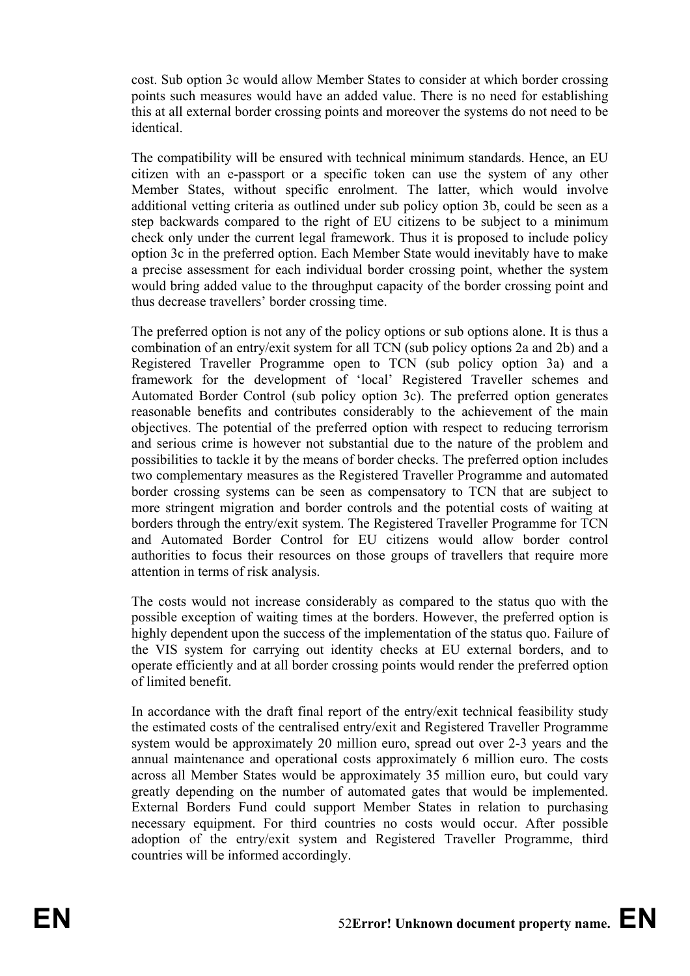cost. Sub option 3c would allow Member States to consider at which border crossing points such measures would have an added value. There is no need for establishing this at all external border crossing points and moreover the systems do not need to be identical.

The compatibility will be ensured with technical minimum standards. Hence, an EU citizen with an e-passport or a specific token can use the system of any other Member States, without specific enrolment. The latter, which would involve additional vetting criteria as outlined under sub policy option 3b, could be seen as a step backwards compared to the right of EU citizens to be subject to a minimum check only under the current legal framework. Thus it is proposed to include policy option 3c in the preferred option. Each Member State would inevitably have to make a precise assessment for each individual border crossing point, whether the system would bring added value to the throughput capacity of the border crossing point and thus decrease travellers' border crossing time.

The preferred option is not any of the policy options or sub options alone. It is thus a combination of an entry/exit system for all TCN (sub policy options 2a and 2b) and a Registered Traveller Programme open to TCN (sub policy option 3a) and a framework for the development of 'local' Registered Traveller schemes and Automated Border Control (sub policy option 3c). The preferred option generates reasonable benefits and contributes considerably to the achievement of the main objectives. The potential of the preferred option with respect to reducing terrorism and serious crime is however not substantial due to the nature of the problem and possibilities to tackle it by the means of border checks. The preferred option includes two complementary measures as the Registered Traveller Programme and automated border crossing systems can be seen as compensatory to TCN that are subject to more stringent migration and border controls and the potential costs of waiting at borders through the entry/exit system. The Registered Traveller Programme for TCN and Automated Border Control for EU citizens would allow border control authorities to focus their resources on those groups of travellers that require more attention in terms of risk analysis.

The costs would not increase considerably as compared to the status quo with the possible exception of waiting times at the borders. However, the preferred option is highly dependent upon the success of the implementation of the status quo. Failure of the VIS system for carrying out identity checks at EU external borders, and to operate efficiently and at all border crossing points would render the preferred option of limited benefit.

In accordance with the draft final report of the entry/exit technical feasibility study the estimated costs of the centralised entry/exit and Registered Traveller Programme system would be approximately 20 million euro, spread out over 2-3 years and the annual maintenance and operational costs approximately 6 million euro. The costs across all Member States would be approximately 35 million euro, but could vary greatly depending on the number of automated gates that would be implemented. External Borders Fund could support Member States in relation to purchasing necessary equipment. For third countries no costs would occur. After possible adoption of the entry/exit system and Registered Traveller Programme, third countries will be informed accordingly.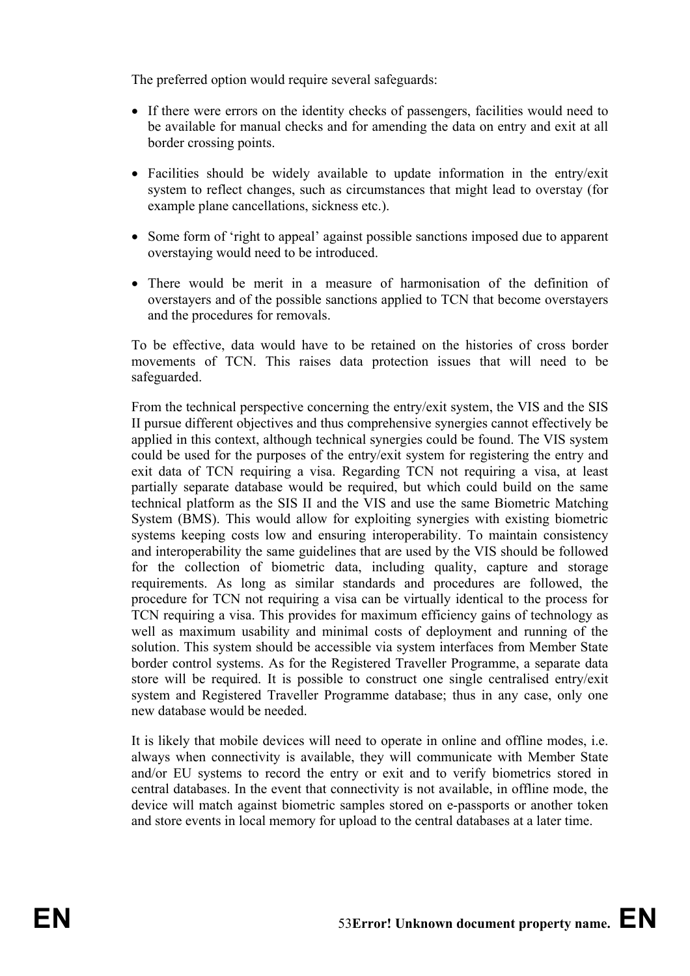The preferred option would require several safeguards:

- If there were errors on the identity checks of passengers, facilities would need to be available for manual checks and for amending the data on entry and exit at all border crossing points.
- Facilities should be widely available to update information in the entry/exit system to reflect changes, such as circumstances that might lead to overstay (for example plane cancellations, sickness etc.).
- Some form of 'right to appeal' against possible sanctions imposed due to apparent overstaying would need to be introduced.
- There would be merit in a measure of harmonisation of the definition of overstayers and of the possible sanctions applied to TCN that become overstayers and the procedures for removals.

To be effective, data would have to be retained on the histories of cross border movements of TCN. This raises data protection issues that will need to be safeguarded.

From the technical perspective concerning the entry/exit system, the VIS and the SIS II pursue different objectives and thus comprehensive synergies cannot effectively be applied in this context, although technical synergies could be found. The VIS system could be used for the purposes of the entry/exit system for registering the entry and exit data of TCN requiring a visa. Regarding TCN not requiring a visa, at least partially separate database would be required, but which could build on the same technical platform as the SIS II and the VIS and use the same Biometric Matching System (BMS). This would allow for exploiting synergies with existing biometric systems keeping costs low and ensuring interoperability. To maintain consistency and interoperability the same guidelines that are used by the VIS should be followed for the collection of biometric data, including quality, capture and storage requirements. As long as similar standards and procedures are followed, the procedure for TCN not requiring a visa can be virtually identical to the process for TCN requiring a visa. This provides for maximum efficiency gains of technology as well as maximum usability and minimal costs of deployment and running of the solution. This system should be accessible via system interfaces from Member State border control systems. As for the Registered Traveller Programme, a separate data store will be required. It is possible to construct one single centralised entry/exit system and Registered Traveller Programme database; thus in any case, only one new database would be needed.

It is likely that mobile devices will need to operate in online and offline modes, i.e. always when connectivity is available, they will communicate with Member State and/or EU systems to record the entry or exit and to verify biometrics stored in central databases. In the event that connectivity is not available, in offline mode, the device will match against biometric samples stored on e-passports or another token and store events in local memory for upload to the central databases at a later time.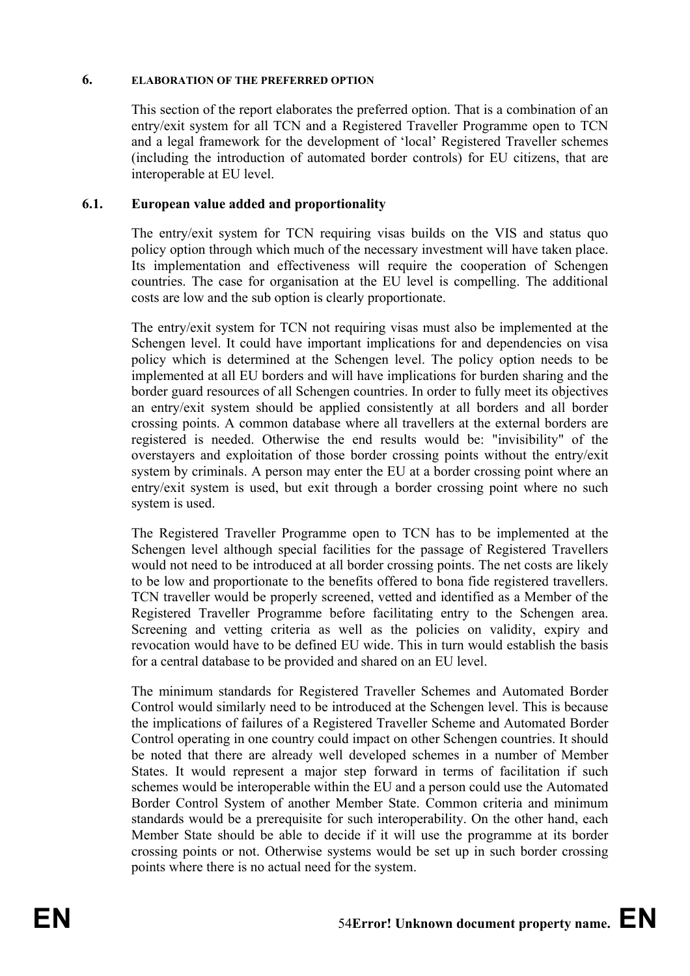#### **6. ELABORATION OF THE PREFERRED OPTION**

This section of the report elaborates the preferred option. That is a combination of an entry/exit system for all TCN and a Registered Traveller Programme open to TCN and a legal framework for the development of 'local' Registered Traveller schemes (including the introduction of automated border controls) for EU citizens, that are interoperable at EU level.

## **6.1. European value added and proportionality**

The entry/exit system for TCN requiring visas builds on the VIS and status quo policy option through which much of the necessary investment will have taken place. Its implementation and effectiveness will require the cooperation of Schengen countries. The case for organisation at the EU level is compelling. The additional costs are low and the sub option is clearly proportionate.

The entry/exit system for TCN not requiring visas must also be implemented at the Schengen level. It could have important implications for and dependencies on visa policy which is determined at the Schengen level. The policy option needs to be implemented at all EU borders and will have implications for burden sharing and the border guard resources of all Schengen countries. In order to fully meet its objectives an entry/exit system should be applied consistently at all borders and all border crossing points. A common database where all travellers at the external borders are registered is needed. Otherwise the end results would be: "invisibility" of the overstayers and exploitation of those border crossing points without the entry/exit system by criminals. A person may enter the EU at a border crossing point where an entry/exit system is used, but exit through a border crossing point where no such system is used.

The Registered Traveller Programme open to TCN has to be implemented at the Schengen level although special facilities for the passage of Registered Travellers would not need to be introduced at all border crossing points. The net costs are likely to be low and proportionate to the benefits offered to bona fide registered travellers. TCN traveller would be properly screened, vetted and identified as a Member of the Registered Traveller Programme before facilitating entry to the Schengen area. Screening and vetting criteria as well as the policies on validity, expiry and revocation would have to be defined EU wide. This in turn would establish the basis for a central database to be provided and shared on an EU level.

The minimum standards for Registered Traveller Schemes and Automated Border Control would similarly need to be introduced at the Schengen level. This is because the implications of failures of a Registered Traveller Scheme and Automated Border Control operating in one country could impact on other Schengen countries. It should be noted that there are already well developed schemes in a number of Member States. It would represent a major step forward in terms of facilitation if such schemes would be interoperable within the EU and a person could use the Automated Border Control System of another Member State. Common criteria and minimum standards would be a prerequisite for such interoperability. On the other hand, each Member State should be able to decide if it will use the programme at its border crossing points or not. Otherwise systems would be set up in such border crossing points where there is no actual need for the system.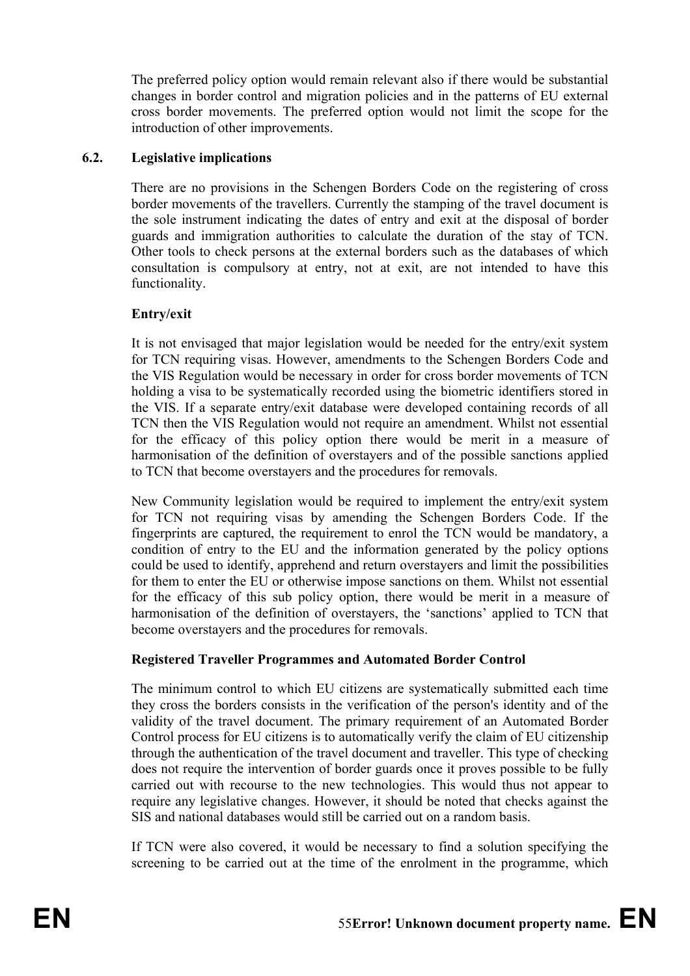The preferred policy option would remain relevant also if there would be substantial changes in border control and migration policies and in the patterns of EU external cross border movements. The preferred option would not limit the scope for the introduction of other improvements.

## **6.2. Legislative implications**

There are no provisions in the Schengen Borders Code on the registering of cross border movements of the travellers. Currently the stamping of the travel document is the sole instrument indicating the dates of entry and exit at the disposal of border guards and immigration authorities to calculate the duration of the stay of TCN. Other tools to check persons at the external borders such as the databases of which consultation is compulsory at entry, not at exit, are not intended to have this functionality.

## **Entry/exit**

It is not envisaged that major legislation would be needed for the entry/exit system for TCN requiring visas. However, amendments to the Schengen Borders Code and the VIS Regulation would be necessary in order for cross border movements of TCN holding a visa to be systematically recorded using the biometric identifiers stored in the VIS. If a separate entry/exit database were developed containing records of all TCN then the VIS Regulation would not require an amendment. Whilst not essential for the efficacy of this policy option there would be merit in a measure of harmonisation of the definition of overstayers and of the possible sanctions applied to TCN that become overstayers and the procedures for removals.

New Community legislation would be required to implement the entry/exit system for TCN not requiring visas by amending the Schengen Borders Code. If the fingerprints are captured, the requirement to enrol the TCN would be mandatory, a condition of entry to the EU and the information generated by the policy options could be used to identify, apprehend and return overstayers and limit the possibilities for them to enter the EU or otherwise impose sanctions on them. Whilst not essential for the efficacy of this sub policy option, there would be merit in a measure of harmonisation of the definition of overstayers, the 'sanctions' applied to TCN that become overstayers and the procedures for removals.

## **Registered Traveller Programmes and Automated Border Control**

The minimum control to which EU citizens are systematically submitted each time they cross the borders consists in the verification of the person's identity and of the validity of the travel document. The primary requirement of an Automated Border Control process for EU citizens is to automatically verify the claim of EU citizenship through the authentication of the travel document and traveller. This type of checking does not require the intervention of border guards once it proves possible to be fully carried out with recourse to the new technologies. This would thus not appear to require any legislative changes. However, it should be noted that checks against the SIS and national databases would still be carried out on a random basis.

If TCN were also covered, it would be necessary to find a solution specifying the screening to be carried out at the time of the enrolment in the programme, which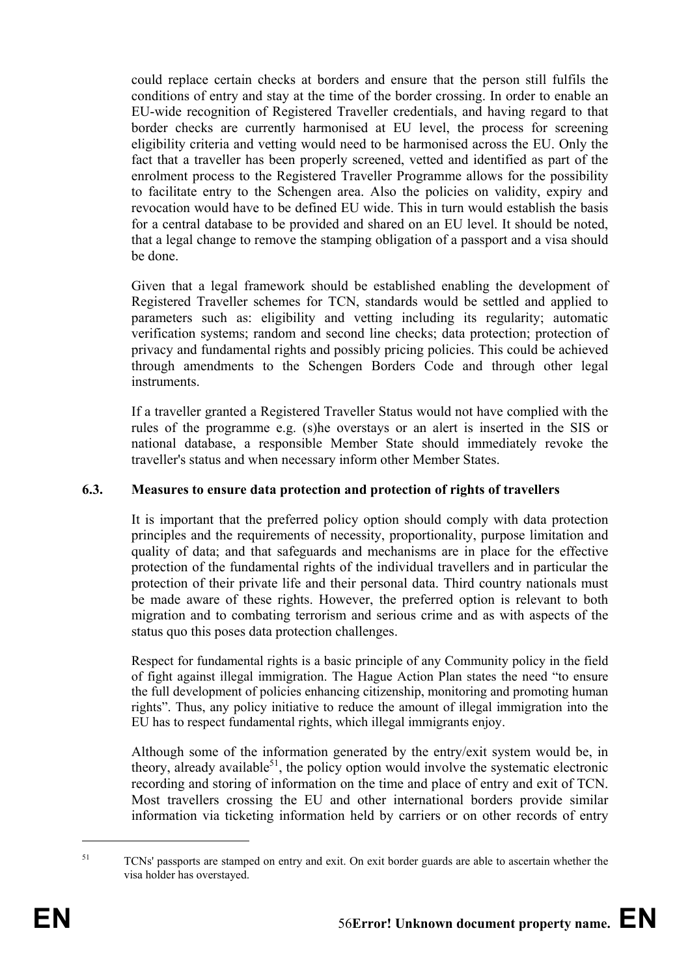could replace certain checks at borders and ensure that the person still fulfils the conditions of entry and stay at the time of the border crossing. In order to enable an EU-wide recognition of Registered Traveller credentials, and having regard to that border checks are currently harmonised at EU level, the process for screening eligibility criteria and vetting would need to be harmonised across the EU. Only the fact that a traveller has been properly screened, vetted and identified as part of the enrolment process to the Registered Traveller Programme allows for the possibility to facilitate entry to the Schengen area. Also the policies on validity, expiry and revocation would have to be defined EU wide. This in turn would establish the basis for a central database to be provided and shared on an EU level. It should be noted, that a legal change to remove the stamping obligation of a passport and a visa should be done.

Given that a legal framework should be established enabling the development of Registered Traveller schemes for TCN, standards would be settled and applied to parameters such as: eligibility and vetting including its regularity; automatic verification systems; random and second line checks; data protection; protection of privacy and fundamental rights and possibly pricing policies. This could be achieved through amendments to the Schengen Borders Code and through other legal instruments.

If a traveller granted a Registered Traveller Status would not have complied with the rules of the programme e.g. (s)he overstays or an alert is inserted in the SIS or national database, a responsible Member State should immediately revoke the traveller's status and when necessary inform other Member States.

## **6.3. Measures to ensure data protection and protection of rights of travellers**

It is important that the preferred policy option should comply with data protection principles and the requirements of necessity, proportionality, purpose limitation and quality of data; and that safeguards and mechanisms are in place for the effective protection of the fundamental rights of the individual travellers and in particular the protection of their private life and their personal data. Third country nationals must be made aware of these rights. However, the preferred option is relevant to both migration and to combating terrorism and serious crime and as with aspects of the status quo this poses data protection challenges.

Respect for fundamental rights is a basic principle of any Community policy in the field of fight against illegal immigration. The Hague Action Plan states the need "to ensure the full development of policies enhancing citizenship, monitoring and promoting human rights". Thus, any policy initiative to reduce the amount of illegal immigration into the EU has to respect fundamental rights, which illegal immigrants enjoy.

Although some of the information generated by the entry/exit system would be, in theory, already available $51$ , the policy option would involve the systematic electronic recording and storing of information on the time and place of entry and exit of TCN. Most travellers crossing the EU and other international borders provide similar information via ticketing information held by carriers or on other records of entry

1

<sup>&</sup>lt;sup>51</sup> TCNs' passports are stamped on entry and exit. On exit border guards are able to ascertain whether the visa holder has overstayed.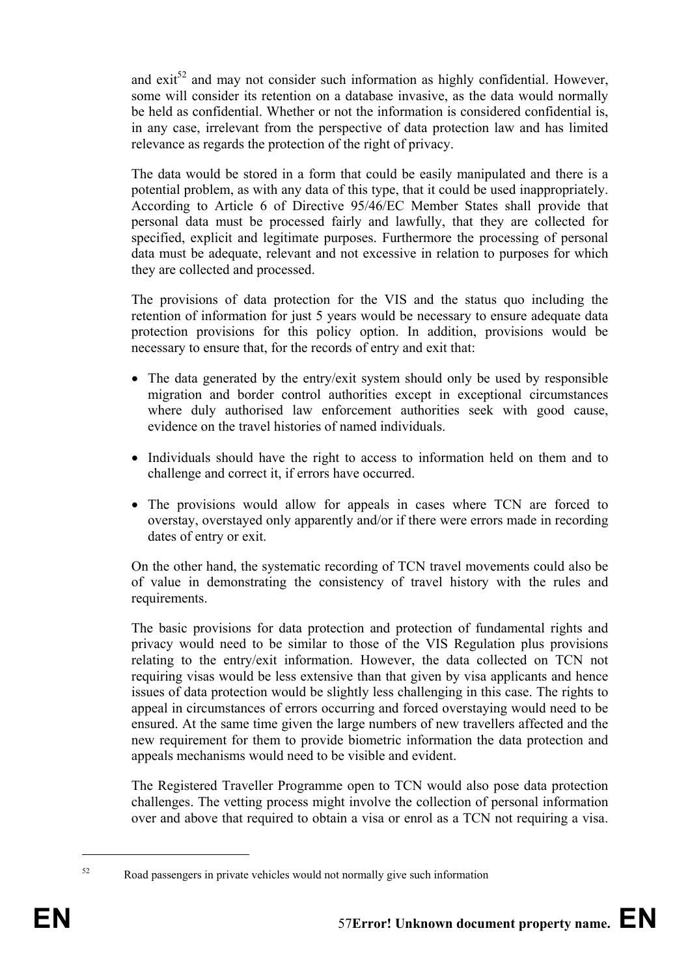and  $\text{exit}^{52}$  and may not consider such information as highly confidential. However, some will consider its retention on a database invasive, as the data would normally be held as confidential. Whether or not the information is considered confidential is, in any case, irrelevant from the perspective of data protection law and has limited relevance as regards the protection of the right of privacy.

The data would be stored in a form that could be easily manipulated and there is a potential problem, as with any data of this type, that it could be used inappropriately. According to Article 6 of Directive 95/46/EC Member States shall provide that personal data must be processed fairly and lawfully, that they are collected for specified, explicit and legitimate purposes. Furthermore the processing of personal data must be adequate, relevant and not excessive in relation to purposes for which they are collected and processed.

The provisions of data protection for the VIS and the status quo including the retention of information for just 5 years would be necessary to ensure adequate data protection provisions for this policy option. In addition, provisions would be necessary to ensure that, for the records of entry and exit that:

- The data generated by the entry/exit system should only be used by responsible migration and border control authorities except in exceptional circumstances where duly authorised law enforcement authorities seek with good cause, evidence on the travel histories of named individuals.
- Individuals should have the right to access to information held on them and to challenge and correct it, if errors have occurred.
- The provisions would allow for appeals in cases where TCN are forced to overstay, overstayed only apparently and/or if there were errors made in recording dates of entry or exit.

On the other hand, the systematic recording of TCN travel movements could also be of value in demonstrating the consistency of travel history with the rules and requirements.

The basic provisions for data protection and protection of fundamental rights and privacy would need to be similar to those of the VIS Regulation plus provisions relating to the entry/exit information. However, the data collected on TCN not requiring visas would be less extensive than that given by visa applicants and hence issues of data protection would be slightly less challenging in this case. The rights to appeal in circumstances of errors occurring and forced overstaying would need to be ensured. At the same time given the large numbers of new travellers affected and the new requirement for them to provide biometric information the data protection and appeals mechanisms would need to be visible and evident.

The Registered Traveller Programme open to TCN would also pose data protection challenges. The vetting process might involve the collection of personal information over and above that required to obtain a visa or enrol as a TCN not requiring a visa.

1

 $52$  Road passengers in private vehicles would not normally give such information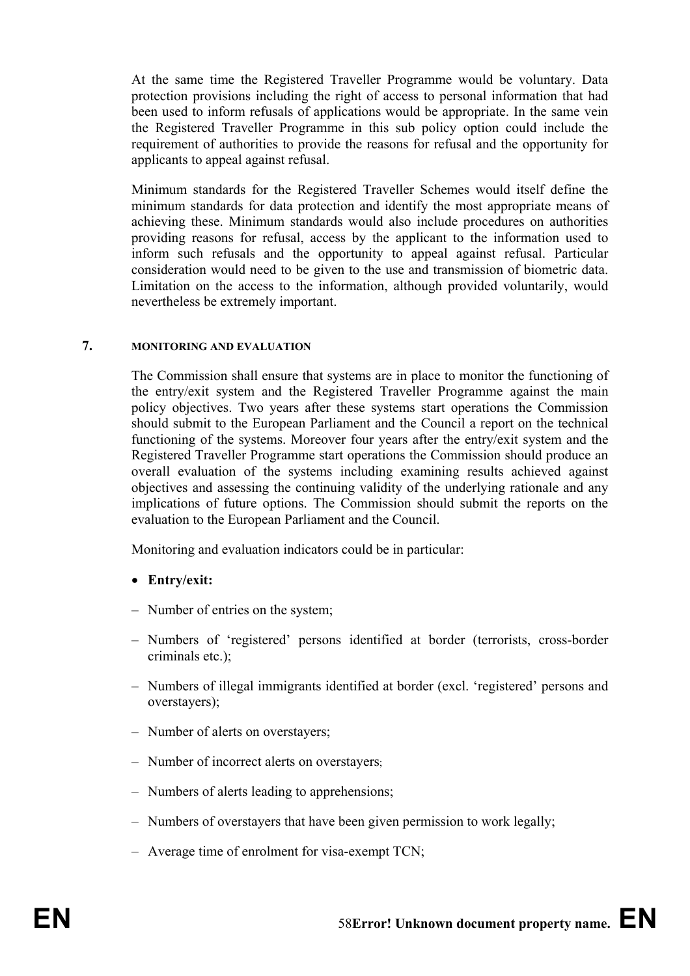At the same time the Registered Traveller Programme would be voluntary. Data protection provisions including the right of access to personal information that had been used to inform refusals of applications would be appropriate. In the same vein the Registered Traveller Programme in this sub policy option could include the requirement of authorities to provide the reasons for refusal and the opportunity for applicants to appeal against refusal.

Minimum standards for the Registered Traveller Schemes would itself define the minimum standards for data protection and identify the most appropriate means of achieving these. Minimum standards would also include procedures on authorities providing reasons for refusal, access by the applicant to the information used to inform such refusals and the opportunity to appeal against refusal. Particular consideration would need to be given to the use and transmission of biometric data. Limitation on the access to the information, although provided voluntarily, would nevertheless be extremely important.

#### **7. MONITORING AND EVALUATION**

The Commission shall ensure that systems are in place to monitor the functioning of the entry/exit system and the Registered Traveller Programme against the main policy objectives. Two years after these systems start operations the Commission should submit to the European Parliament and the Council a report on the technical functioning of the systems. Moreover four years after the entry/exit system and the Registered Traveller Programme start operations the Commission should produce an overall evaluation of the systems including examining results achieved against objectives and assessing the continuing validity of the underlying rationale and any implications of future options. The Commission should submit the reports on the evaluation to the European Parliament and the Council.

Monitoring and evaluation indicators could be in particular:

## • **Entry/exit:**

- Number of entries on the system;
- Numbers of 'registered' persons identified at border (terrorists, cross-border criminals etc.);
- Numbers of illegal immigrants identified at border (excl. 'registered' persons and overstayers);
- Number of alerts on overstayers;
- Number of incorrect alerts on overstayers;
- Numbers of alerts leading to apprehensions;
- Numbers of overstayers that have been given permission to work legally;
- Average time of enrolment for visa-exempt TCN;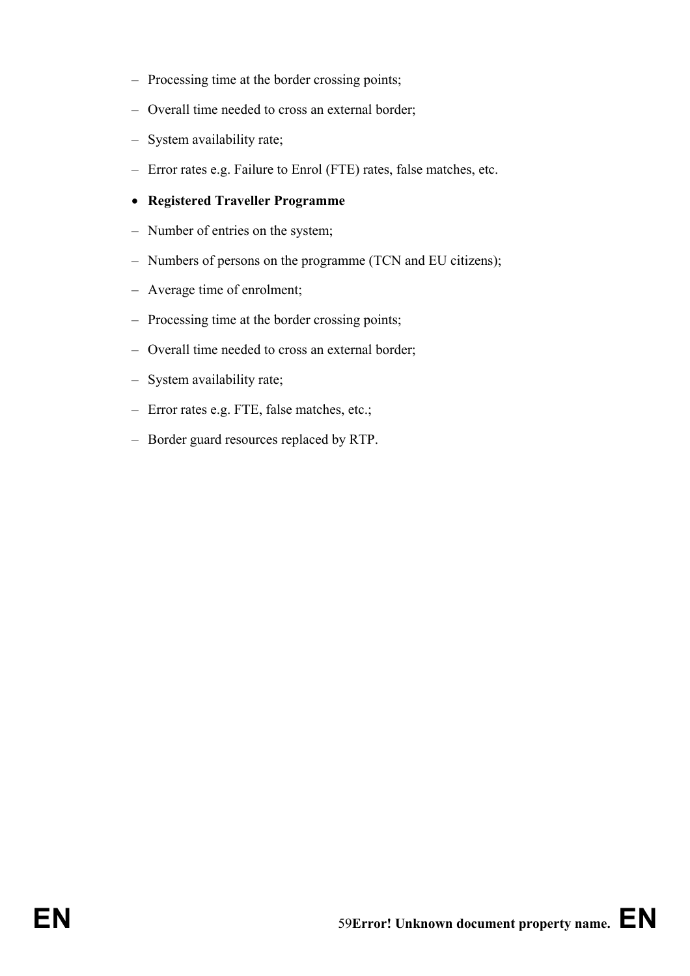- Processing time at the border crossing points;
- Overall time needed to cross an external border;
- System availability rate;
- Error rates e.g. Failure to Enrol (FTE) rates, false matches, etc.
- **Registered Traveller Programme**
- Number of entries on the system;
- Numbers of persons on the programme (TCN and EU citizens);
- Average time of enrolment;
- Processing time at the border crossing points;
- Overall time needed to cross an external border;
- System availability rate;
- Error rates e.g. FTE, false matches, etc.;
- Border guard resources replaced by RTP.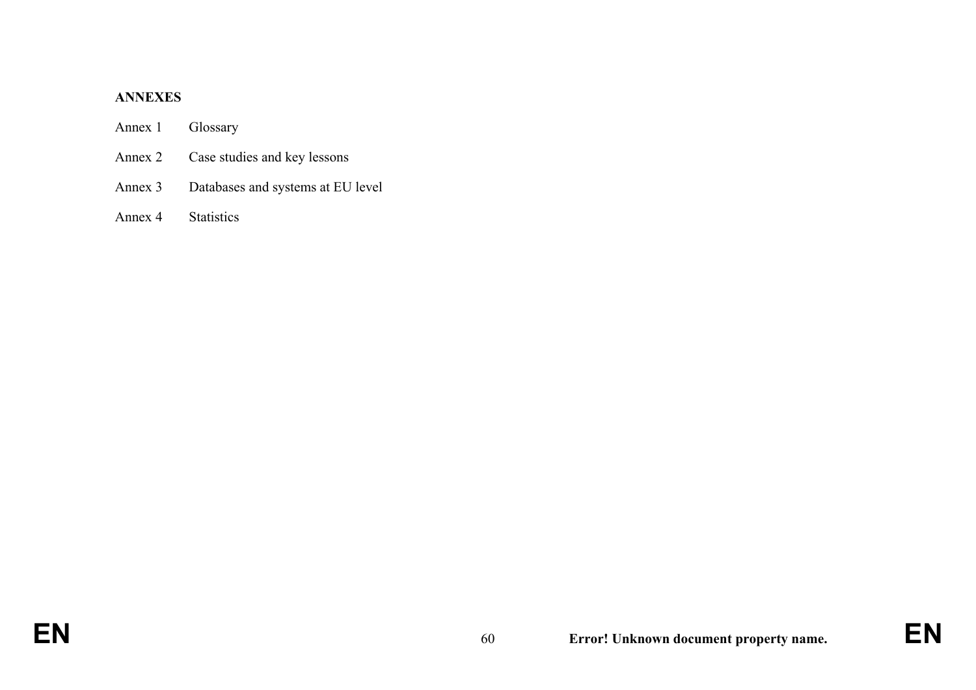#### **ANNEXES**

## Annex 1 Glossary

- Annex 2 Case studies and key lessons
- Annex 3 Databases and systems at EU level

## Annex 4 Statistics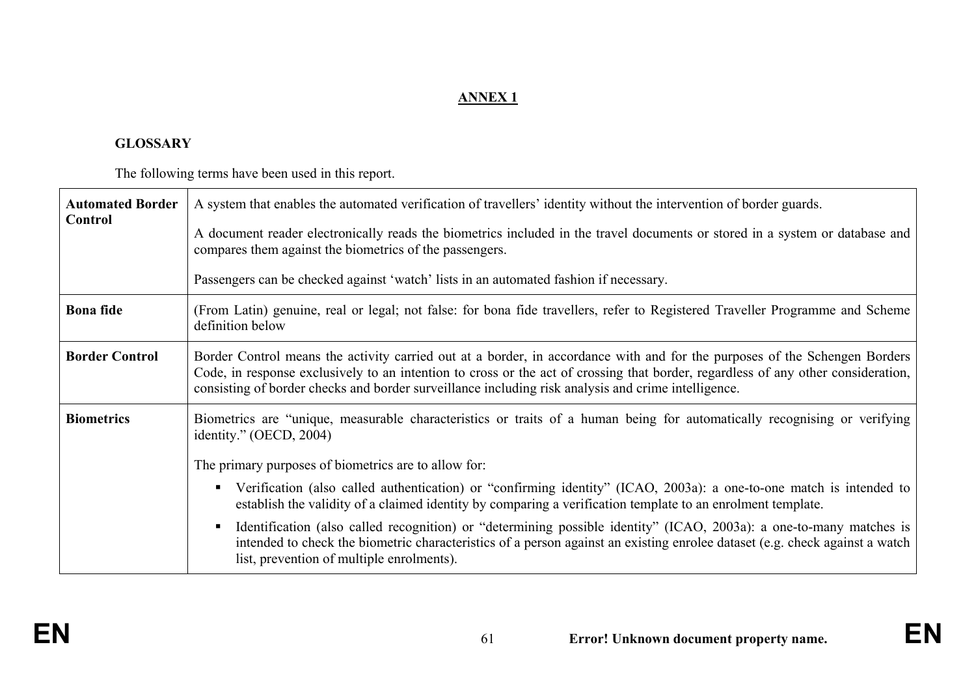# **ANNEX 1**

## **GLOSSARY**

The following terms have been used in this report.

| <b>Automated Border</b> | A system that enables the automated verification of travellers' identity without the intervention of border guards.                                                                                                                                                                                                                                                    |  |
|-------------------------|------------------------------------------------------------------------------------------------------------------------------------------------------------------------------------------------------------------------------------------------------------------------------------------------------------------------------------------------------------------------|--|
| Control                 | A document reader electronically reads the biometrics included in the travel documents or stored in a system or database and<br>compares them against the biometrics of the passengers.                                                                                                                                                                                |  |
|                         | Passengers can be checked against 'watch' lists in an automated fashion if necessary.                                                                                                                                                                                                                                                                                  |  |
| <b>Bona</b> fide        | (From Latin) genuine, real or legal; not false: for bona fide travellers, refer to Registered Traveller Programme and Scheme<br>definition below                                                                                                                                                                                                                       |  |
| <b>Border Control</b>   | Border Control means the activity carried out at a border, in accordance with and for the purposes of the Schengen Borders<br>Code, in response exclusively to an intention to cross or the act of crossing that border, regardless of any other consideration,<br>consisting of border checks and border surveillance including risk analysis and crime intelligence. |  |
| <b>Biometrics</b>       | Biometrics are "unique, measurable characteristics or traits of a human being for automatically recognising or verifying<br>identity." $(OECD, 2004)$                                                                                                                                                                                                                  |  |
|                         | The primary purposes of biometrics are to allow for:                                                                                                                                                                                                                                                                                                                   |  |
|                         | Verification (also called authentication) or "confirming identity" (ICAO, 2003a): a one-to-one match is intended to<br>establish the validity of a claimed identity by comparing a verification template to an enrolment template.                                                                                                                                     |  |
|                         | Identification (also called recognition) or "determining possible identity" (ICAO, 2003a): a one-to-many matches is<br>intended to check the biometric characteristics of a person against an existing enrolee dataset (e.g. check against a watch<br>list, prevention of multiple enrolments).                                                                        |  |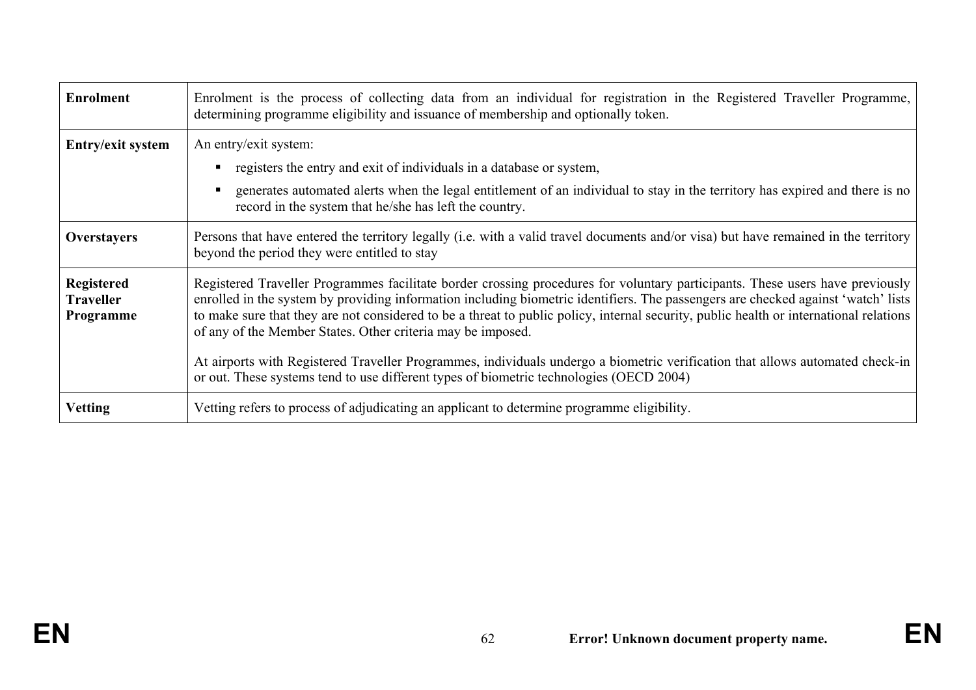| <b>Enrolment</b>                                   | Enrolment is the process of collecting data from an individual for registration in the Registered Traveller Programme,<br>determining programme eligibility and issuance of membership and optionally token.                                                                                                                                                                                                                                                                |
|----------------------------------------------------|-----------------------------------------------------------------------------------------------------------------------------------------------------------------------------------------------------------------------------------------------------------------------------------------------------------------------------------------------------------------------------------------------------------------------------------------------------------------------------|
| Entry/exit system                                  | An entry/exit system:<br>registers the entry and exit of individuals in a database or system,<br>generates automated alerts when the legal entitlement of an individual to stay in the territory has expired and there is no                                                                                                                                                                                                                                                |
|                                                    | record in the system that he/she has left the country.                                                                                                                                                                                                                                                                                                                                                                                                                      |
| <b>Overstayers</b>                                 | Persons that have entered the territory legally (i.e. with a valid travel documents and/or visa) but have remained in the territory<br>beyond the period they were entitled to stay                                                                                                                                                                                                                                                                                         |
| <b>Registered</b><br><b>Traveller</b><br>Programme | Registered Traveller Programmes facilitate border crossing procedures for voluntary participants. These users have previously<br>enrolled in the system by providing information including biometric identifiers. The passengers are checked against 'watch' lists<br>to make sure that they are not considered to be a threat to public policy, internal security, public health or international relations<br>of any of the Member States. Other criteria may be imposed. |
|                                                    | At airports with Registered Traveller Programmes, individuals undergo a biometric verification that allows automated check-in<br>or out. These systems tend to use different types of biometric technologies (OECD 2004)                                                                                                                                                                                                                                                    |
| <b>Vetting</b>                                     | Vetting refers to process of adjudicating an applicant to determine programme eligibility.                                                                                                                                                                                                                                                                                                                                                                                  |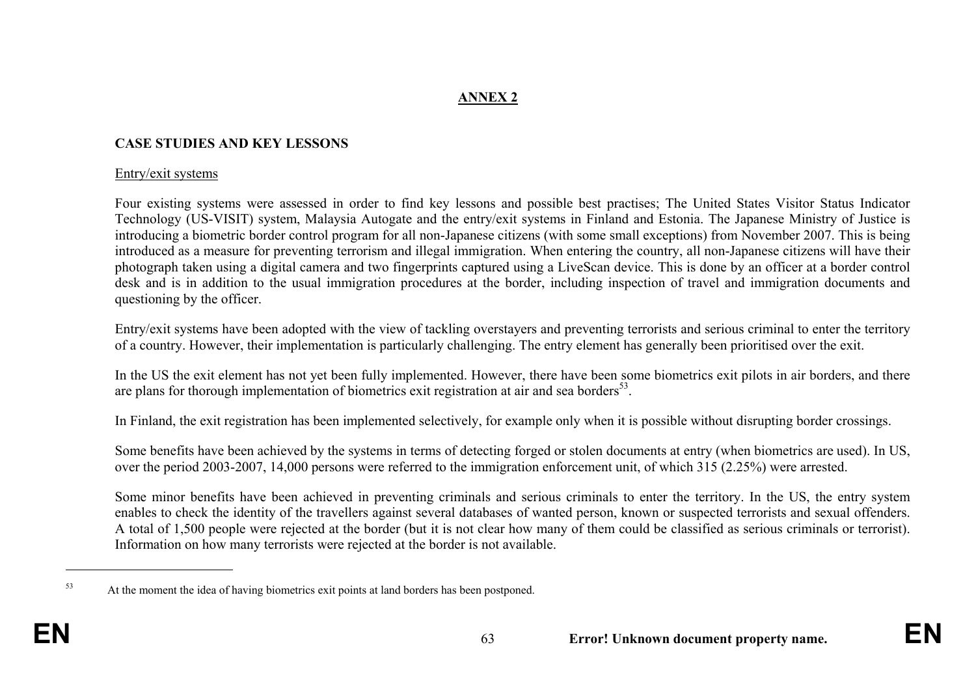# **ANNEX 2**

## **CASE STUDIES AND KEY LESSONS**

#### Entry/exit systems

Four existing systems were assessed in order to find key lessons and possible best practises; The United States Visitor Status Indicator Technology (US-VISIT) system, Malaysia Autogate and the entry/exit systems in Finland and Estonia. The Japanese Ministry of Justice is introducing a biometric border control program for all non-Japanese citizens (with some small exceptions) from November 2007. This is being introduced as a measure for preventing terrorism and illegal immigration. When entering the country, all non-Japanese citizens will have their photograph taken using a digital camera and two fingerprints captured using a LiveScan device. This is done by an officer at a border control desk and is in addition to the usual immigration procedures at the border, including inspection of travel and immigration documents and questioning by the officer.

Entry/exit systems have been adopted with the view of tackling overstayers and preventing terrorists and serious criminal to enter the territory of a country. However, their implementation is particularly challenging. The entry element has generally been prioritised over the exit.

In the US the exit element has not yet been fully implemented. However, there have been some biometrics exit pilots in air borders, and there are plans for thorough implementation of biometrics exit registration at air and sea borders<sup>53</sup>.

In Finland, the exit registration has been implemented selectively, for example only when it is possible without disrupting border crossings.

Some benefits have been achieved by the systems in terms of detecting forged or stolen documents at entry (when biometrics are used). In US, over the period 2003-2007, 14,000 persons were referred to the immigration enforcement unit, of which 315 (2.25%) were arrested.

Some minor benefits have been achieved in preventing criminals and serious criminals to enter the territory. In the US, the entry system enables to check the identity of the travellers against several databases of wanted person, known or suspected terrorists and sexual offenders. A total of 1,500 people were rejected at the border (but it is not clear how many of them could be classified as serious criminals or terrorist). Information on how many terrorists were rejected at the border is not available.

<sup>&</sup>lt;sup>53</sup> At the moment the idea of having biometrics exit points at land borders has been postponed.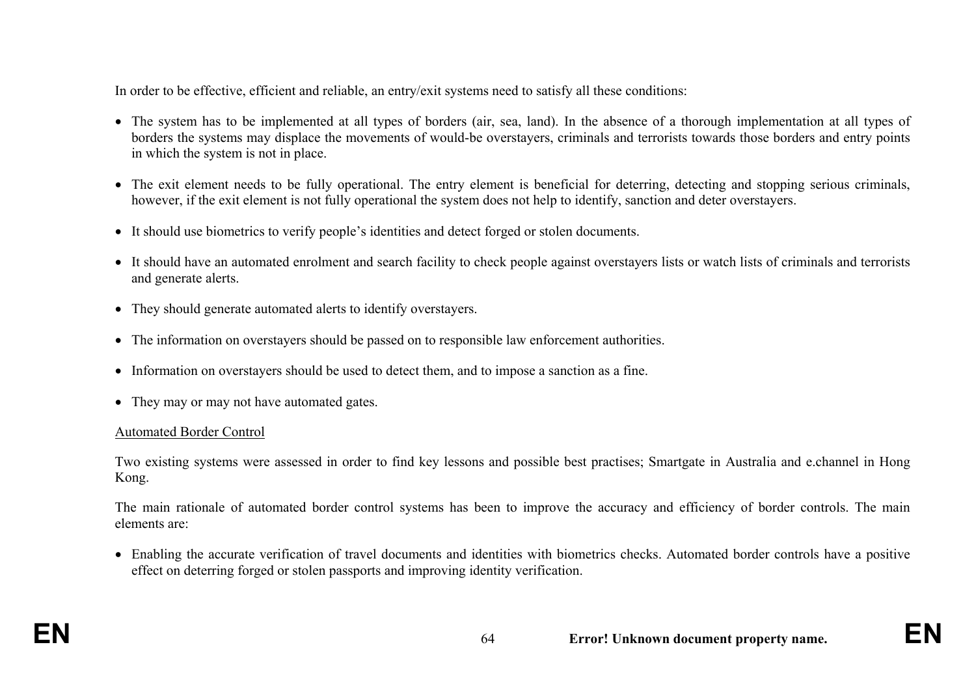In order to be effective, efficient and reliable, an entry/exit systems need to satisfy all these conditions:

- The system has to be implemented at all types of borders (air, sea, land). In the absence of a thorough implementation at all types of borders the systems may displace the movements of would-be overstayers, criminals and terrorists towards those borders and entry points in which the system is not in place.
- The exit element needs to be fully operational. The entry element is beneficial for deterring, detecting and stopping serious criminals, however, if the exit element is not fully operational the system does not help to identify, sanction and deter overstayers.
- It should use biometrics to verify people's identities and detect forged or stolen documents.
- It should have an automated enrolment and search facility to check people against overstayers lists or watch lists of criminals and terrorists and generate alerts.
- They should generate automated alerts to identify overstayers.
- The information on overstayers should be passed on to responsible law enforcement authorities.
- Information on overstayers should be used to detect them, and to impose a sanction as a fine.
- They may or may not have automated gates.

## Automated Border Control

Two existing systems were assessed in order to find key lessons and possible best practises; Smartgate in Australia and e.channel in Hong Kong.

The main rationale of automated border control systems has been to improve the accuracy and efficiency of border controls. The main elements are:

• Enabling the accurate verification of travel documents and identities with biometrics checks. Automated border controls have a positive effect on deterring forged or stolen passports and improving identity verification.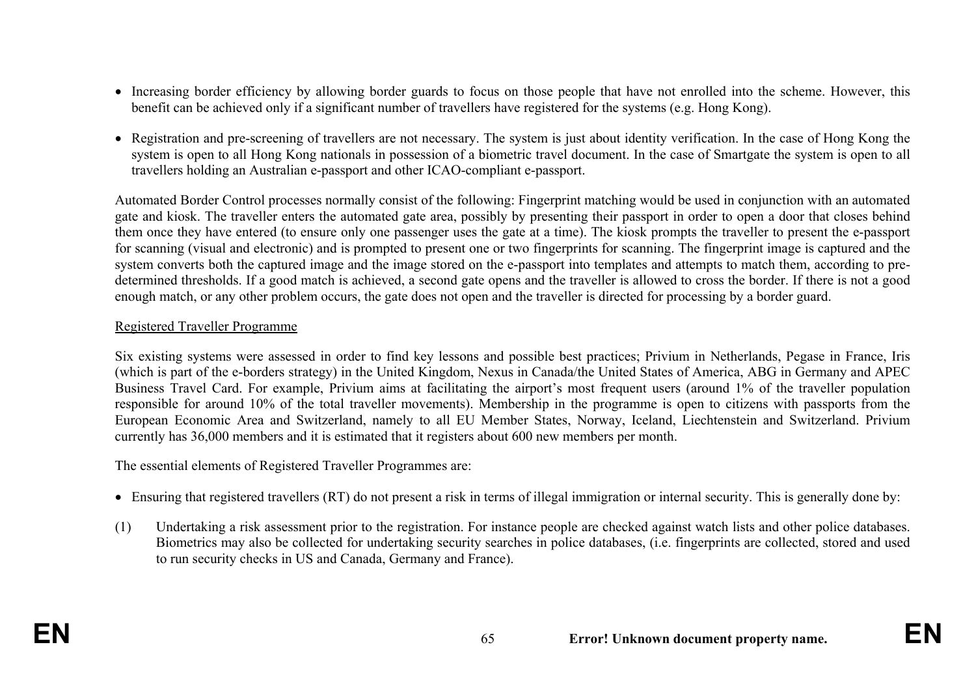- Increasing border efficiency by allowing border guards to focus on those people that have not enrolled into the scheme. However, this benefit can be achieved only if a significant number of travellers have registered for the systems (e.g. Hong Kong).
- Registration and pre-screening of travellers are not necessary. The system is just about identity verification. In the case of Hong Kong the system is open to all Hong Kong nationals in possession of a biometric travel document. In the case of Smartgate the system is open to all travellers holding an Australian e-passport and other ICAO-compliant e-passport.

Automated Border Control processes normally consist of the following: Fingerprint matching would be used in conjunction with an automated gate and kiosk. The traveller enters the automated gate area, possibly by presenting their passport in order to open a door that closes behind them once they have entered (to ensure only one passenger uses the gate at a time). The kiosk prompts the traveller to present the e-passport for scanning (visual and electronic) and is prompted to present one or two fingerprints for scanning. The fingerprint image is captured and the system converts both the captured image and the image stored on the e-passport into templates and attempts to match them, according to predetermined thresholds. If a good match is achieved, a second gate opens and the traveller is allowed to cross the border. If there is not a good enough match, or any other problem occurs, the gate does not open and the traveller is directed for processing by a border guard.

### Registered Traveller Programme

Six existing systems were assessed in order to find key lessons and possible best practices; Privium in Netherlands, Pegase in France, Iris (which is part of the e-borders strategy) in the United Kingdom, Nexus in Canada/the United States of America, ABG in Germany and APEC Business Travel Card. For example, Privium aims at facilitating the airport's most frequent users (around 1% of the traveller population responsible for around 10% of the total traveller movements). Membership in the programme is open to citizens with passports from the European Economic Area and Switzerland, namely to all EU Member States, Norway, Iceland, Liechtenstein and Switzerland. Privium currently has 36,000 members and it is estimated that it registers about 600 new members per month.

The essential elements of Registered Traveller Programmes are:

- Ensuring that registered travellers (RT) do not present a risk in terms of illegal immigration or internal security. This is generally done by:
- (1) Undertaking a risk assessment prior to the registration. For instance people are checked against watch lists and other police databases. Biometrics may also be collected for undertaking security searches in police databases, (i.e. fingerprints are collected, stored and used to run security checks in US and Canada, Germany and France).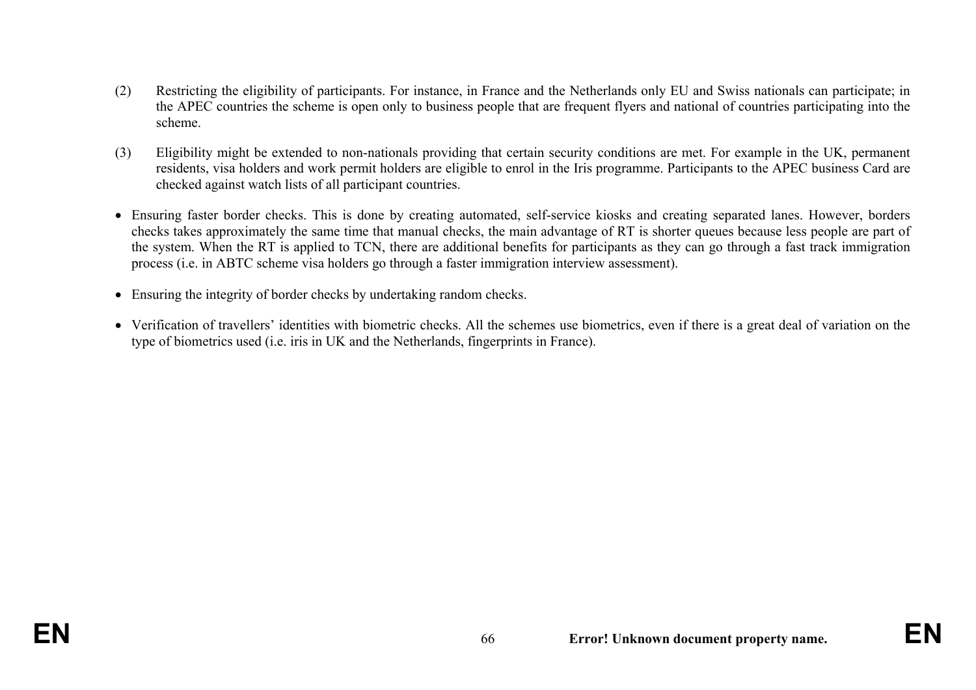- (2) Restricting the eligibility of participants. For instance, in France and the Netherlands only EU and Swiss nationals can participate; in the APEC countries the scheme is open only to business people that are frequent flyers and national of countries participating into the scheme.
- (3) Eligibility might be extended to non-nationals providing that certain security conditions are met. For example in the UK, permanent residents, visa holders and work permit holders are eligible to enrol in the Iris programme. Participants to the APEC business Card are checked against watch lists of all participant countries.
- Ensuring faster border checks. This is done by creating automated, self-service kiosks and creating separated lanes. However, borders checks takes approximately the same time that manual checks, the main advantage of RT is shorter queues because less people are part of the system. When the RT is applied to TCN, there are additional benefits for participants as they can go through a fast track immigration process (i.e. in ABTC scheme visa holders go through a faster immigration interview assessment).
- Ensuring the integrity of border checks by undertaking random checks.
- Verification of travellers' identities with biometric checks. All the schemes use biometrics, even if there is a great deal of variation on the type of biometrics used (i.e. iris in UK and the Netherlands, fingerprints in France).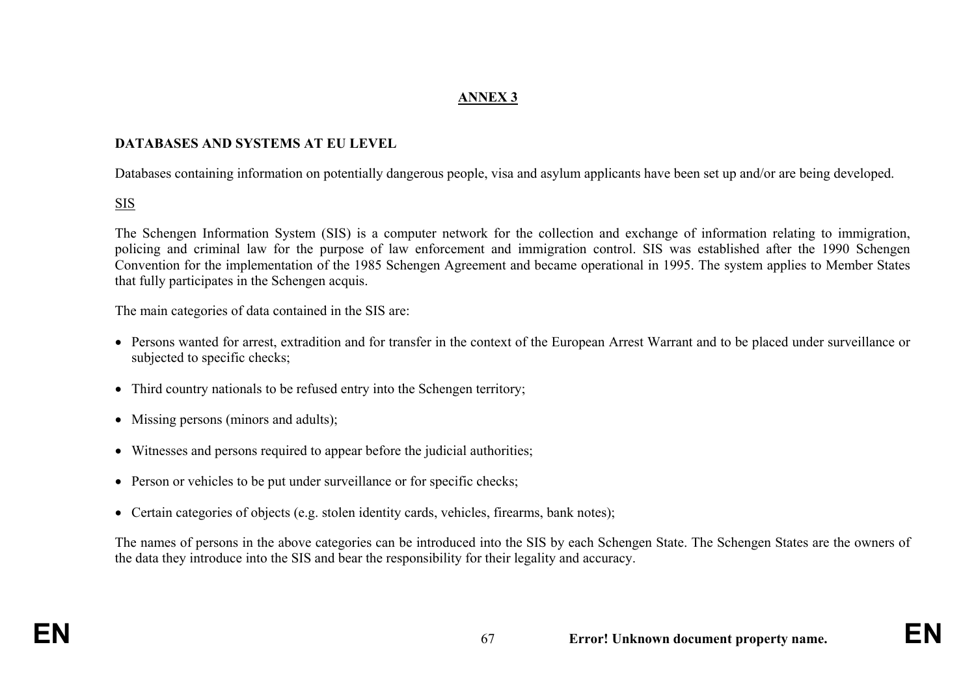# **ANNEX 3**

#### **DATABASES AND SYSTEMS AT EU LEVEL**

Databases containing information on potentially dangerous people, visa and asylum applicants have been set up and/or are being developed.

## SIS

The Schengen Information System (SIS) is a computer network for the collection and exchange of information relating to immigration, policing and criminal law for the purpose of law enforcement and immigration control. SIS was established after the 1990 Schengen Convention for the implementation of the 1985 Schengen Agreement and became operational in 1995. The system applies to Member States that fully participates in the Schengen acquis.

The main categories of data contained in the SIS are:

- Persons wanted for arrest, extradition and for transfer in the context of the European Arrest Warrant and to be placed under surveillance or subjected to specific checks;
- Third country nationals to be refused entry into the Schengen territory;
- Missing persons (minors and adults);
- Witnesses and persons required to appear before the judicial authorities;
- Person or vehicles to be put under surveillance or for specific checks;
- Certain categories of objects (e.g. stolen identity cards, vehicles, firearms, bank notes);

The names of persons in the above categories can be introduced into the SIS by each Schengen State. The Schengen States are the owners of the data they introduce into the SIS and bear the responsibility for their legality and accuracy.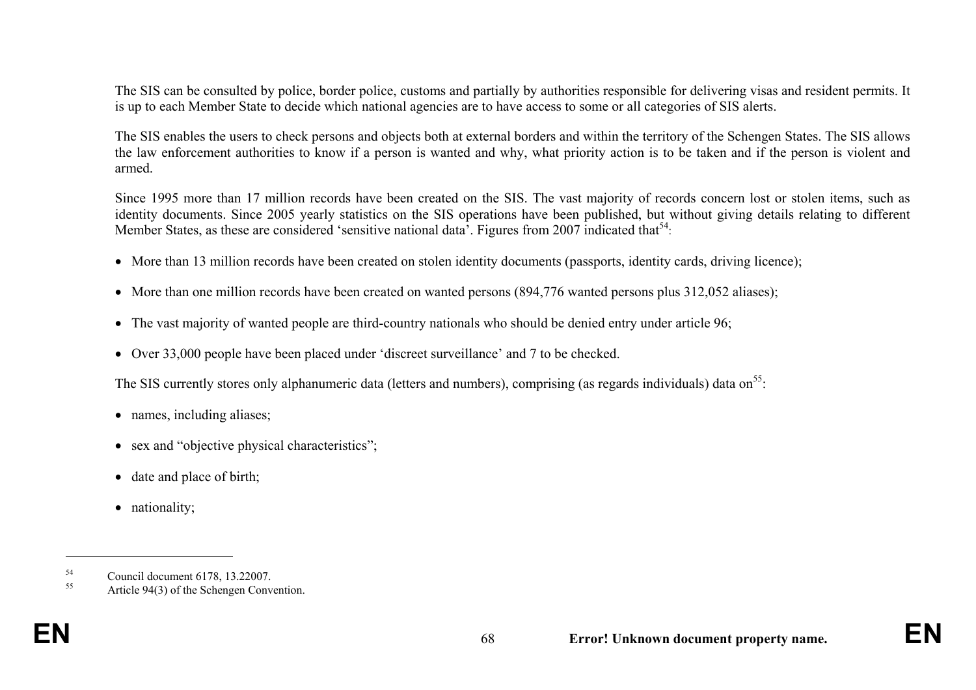The SIS can be consulted by police, border police, customs and partially by authorities responsible for delivering visas and resident permits. It is up to each Member State to decide which national agencies are to have access to some or all categories of SIS alerts.

The SIS enables the users to check persons and objects both at external borders and within the territory of the Schengen States. The SIS allows the law enforcement authorities to know if a person is wanted and why, what priority action is to be taken and if the person is violent and armed.

Since 1995 more than 17 million records have been created on the SIS. The vast majority of records concern lost or stolen items, such as identity documents. Since 2005 yearly statistics on the SIS operations have been published, but without giving details relating to different Member States, as these are considered 'sensitive national data'. Figures from 2007 indicated that<sup>54</sup>:

- More than 13 million records have been created on stolen identity documents (passports, identity cards, driving licence);
- More than one million records have been created on wanted persons (894,776 wanted persons plus 312,052 aliases);
- The vast majority of wanted people are third-country nationals who should be denied entry under article 96;
- Over 33,000 people have been placed under 'discreet surveillance' and 7 to be checked.

The SIS currently stores only alphanumeric data (letters and numbers), comprising (as regards individuals) data on  $55$ .

- names, including aliases;
- sex and "objective physical characteristics";
- date and place of birth;
- nationality;

 $^{54}$  Council document 6178, 13.22007.

Article 94(3) of the Schengen Convention.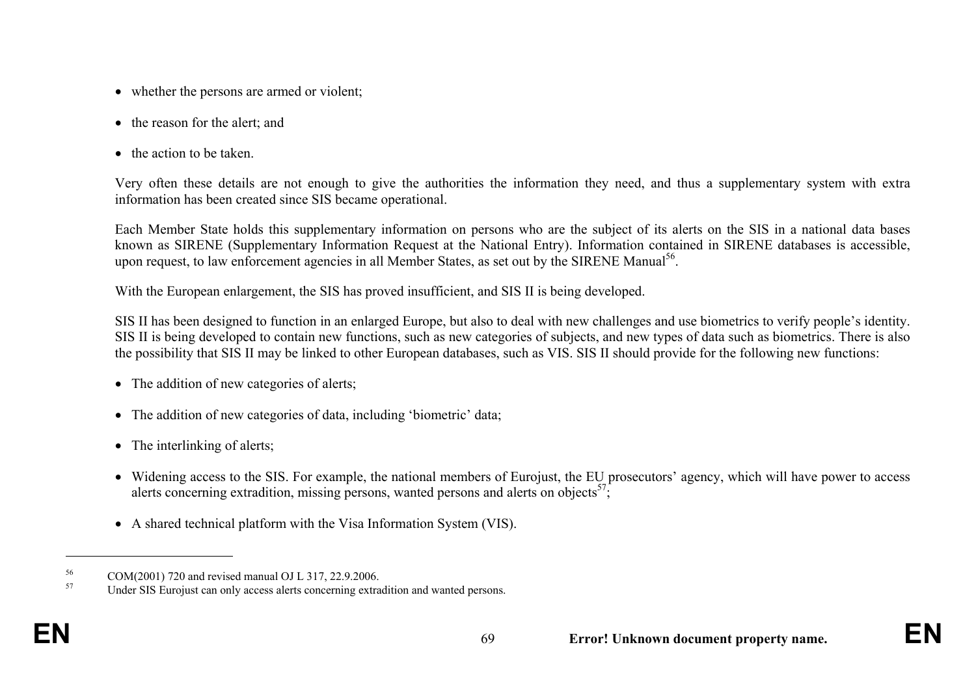- whether the persons are armed or violent;
- the reason for the alert; and
- the action to be taken.

Very often these details are not enough to give the authorities the information they need, and thus a supplementary system with extra information has been created since SIS became operational.

Each Member State holds this supplementary information on persons who are the subject of its alerts on the SIS in a national data bases known as SIRENE (Supplementary Information Request at the National Entry). Information contained in SIRENE databases is accessible, upon request, to law enforcement agencies in all Member States, as set out by the SIRENE Manual<sup>56</sup>.

With the European enlargement, the SIS has proved insufficient, and SIS II is being developed.

SIS II has been designed to function in an enlarged Europe, but also to deal with new challenges and use biometrics to verify people's identity. SIS II is being developed to contain new functions, such as new categories of subjects, and new types of data such as biometrics. There is also the possibility that SIS II may be linked to other European databases, such as VIS. SIS II should provide for the following new functions:

- The addition of new categories of alerts;
- The addition of new categories of data, including 'biometric' data;
- The interlinking of alerts;
- Widening access to the SIS. For example, the national members of Eurojust, the EU prosecutors' agency, which will have power to access alerts concerning extradition, missing persons, wanted persons and alerts on objects<sup>57</sup>;
- A shared technical platform with the Visa Information System (VIS).

 $^{56}$  COM(2001) 720 and revised manual OJ L 317, 22.9.2006.

Under SIS Eurojust can only access alerts concerning extradition and wanted persons.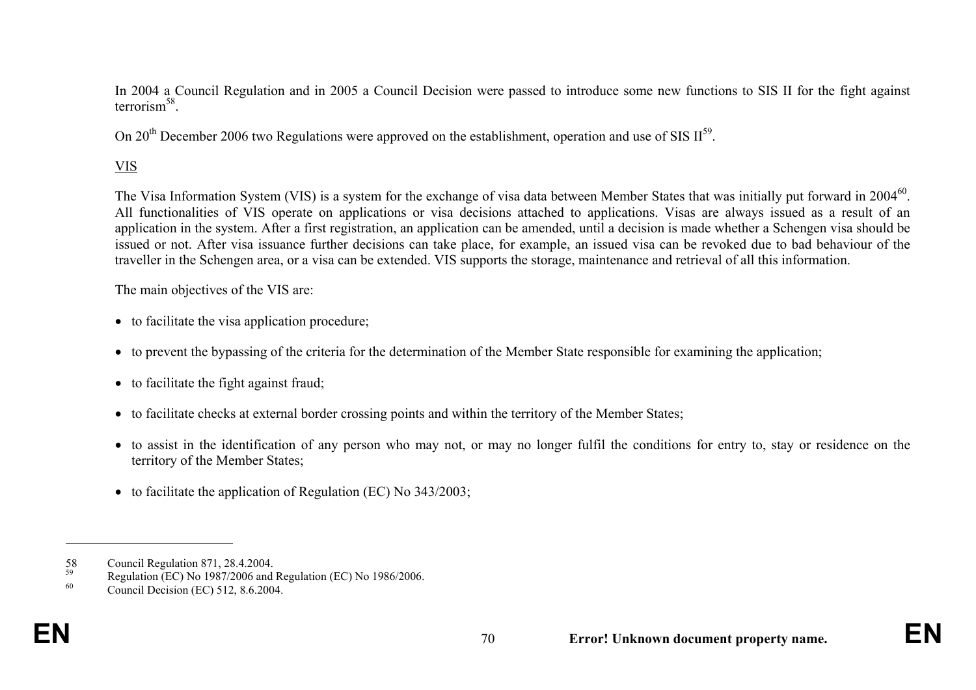In 2004 a Council Regulation and in 2005 a Council Decision were passed to introduce some new functions to SIS II for the fight against terrorism $^{58}$ .

On 20<sup>th</sup> December 2006 two Regulations were approved on the establishment, operation and use of SIS  $II^{59}$ .

# VIS

The Visa Information System (VIS) is a system for the exchange of visa data between Member States that was initially put forward in 2004<sup>60</sup>. All functionalities of VIS operate on applications or visa decisions attached to applications. Visas are always issued as a result of an application in the system. After a first registration, an application can be amended, until a decision is made whether a Schengen visa should be issued or not. After visa issuance further decisions can take place, for example, an issued visa can be revoked due to bad behaviour of the traveller in the Schengen area, or a visa can be extended. VIS supports the storage, maintenance and retrieval of all this information.

The main objectives of the VIS are:

- to facilitate the visa application procedure;
- to prevent the bypassing of the criteria for the determination of the Member State responsible for examining the application;
- to facilitate the fight against fraud;
- to facilitate checks at external border crossing points and within the territory of the Member States;
- to assist in the identification of any person who may not, or may no longer fulfil the conditions for entry to, stay or residence on the territory of the Member States;
- to facilitate the application of Regulation (EC) No 343/2003;

<sup>58</sup> Council Regulation 871, 28.4.2004.

<sup>&</sup>lt;sup>59</sup><br>Regulation (EC) No 1987/2006 and Regulation (EC) No 1986/2006.<br> $\frac{60}{20000}$ 

Council Decision (EC) 512, 8.6.2004.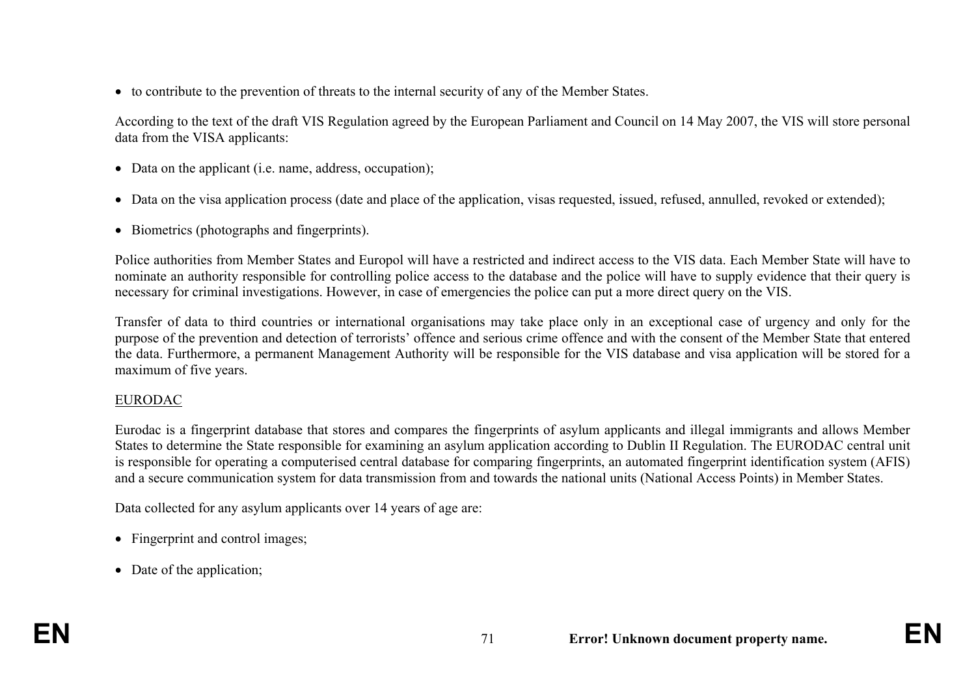• to contribute to the prevention of threats to the internal security of any of the Member States.

According to the text of the draft VIS Regulation agreed by the European Parliament and Council on 14 May 2007, the VIS will store personal data from the VISA applicants:

- Data on the applicant (i.e. name, address, occupation);
- Data on the visa application process (date and place of the application, visas requested, issued, refused, annulled, revoked or extended);
- Biometrics (photographs and fingerprints).

Police authorities from Member States and Europol will have a restricted and indirect access to the VIS data. Each Member State will have to nominate an authority responsible for controlling police access to the database and the police will have to supply evidence that their query is necessary for criminal investigations. However, in case of emergencies the police can put a more direct query on the VIS.

Transfer of data to third countries or international organisations may take place only in an exceptional case of urgency and only for the purpose of the prevention and detection of terrorists' offence and serious crime offence and with the consent of the Member State that entered the data. Furthermore, a permanent Management Authority will be responsible for the VIS database and visa application will be stored for a maximum of five years.

## EURODAC

Eurodac is a fingerprint database that stores and compares the fingerprints of asylum applicants and illegal immigrants and allows Member States to determine the State responsible for examining an asylum application according to Dublin II Regulation. The EURODAC central unit is responsible for operating a computerised central database for comparing fingerprints, an automated fingerprint identification system (AFIS) and a secure communication system for data transmission from and towards the national units (National Access Points) in Member States.

Data collected for any asylum applicants over 14 years of age are:

- Fingerprint and control images;
- Date of the application;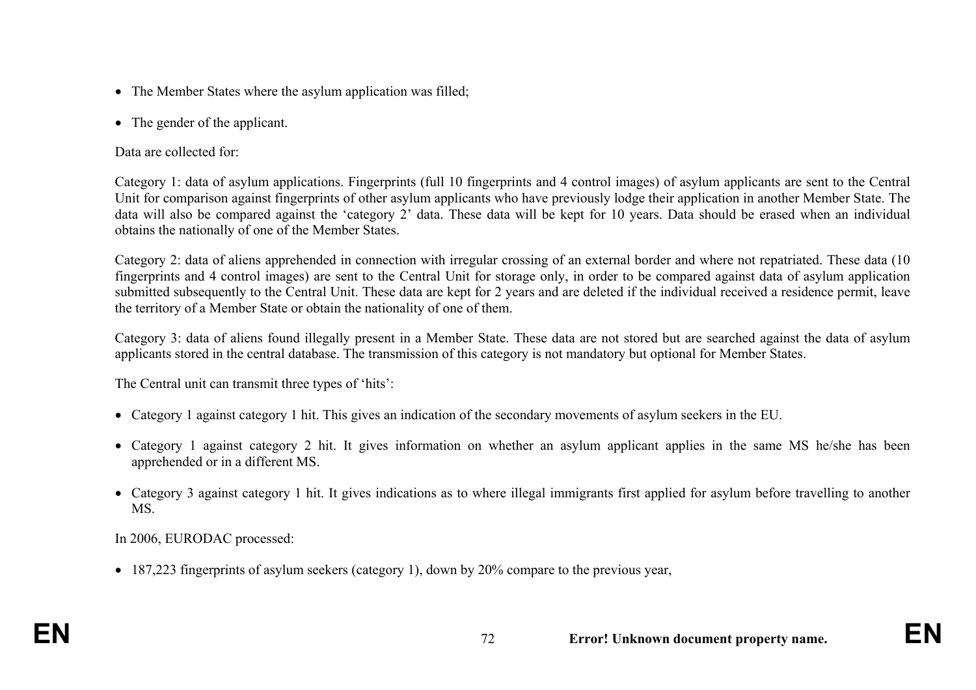- The Member States where the asylum application was filled;
- The gender of the applicant.

Data are collected for:

Category 1: data of asylum applications. Fingerprints (full 10 fingerprints and 4 control images) of asylum applicants are sent to the Central Unit for comparison against fingerprints of other asylum applicants who have previously lodge their application in another Member State. The data will also be compared against the 'category 2' data. These data will be kept for 10 years. Data should be erased when an individual obtains the nationally of one of the Member States.

Category 2: data of aliens apprehended in connection with irregular crossing of an external border and where not repatriated. These data (10 fingerprints and 4 control images) are sent to the Central Unit for storage only, in order to be compared against data of asylum application submitted subsequently to the Central Unit. These data are kept for 2 years and are deleted if the individual received a residence permit, leave the territory of a Member State or obtain the nationality of one of them.

Category 3: data of aliens found illegally present in a Member State. These data are not stored but are searched against the data of asylum applicants stored in the central database. The transmission of this category is not mandatory but optional for Member States.

The Central unit can transmit three types of 'hits':

- Category 1 against category 1 hit. This gives an indication of the secondary movements of asylum seekers in the EU.
- Category 1 against category 2 hit. It gives information on whether an asylum applicant applies in the same MS he/she has been apprehended or in a different MS.
- Category 3 against category 1 hit. It gives indications as to where illegal immigrants first applied for asylum before travelling to another MS.

In 2006, EURODAC processed:

• 187,223 fingerprints of asylum seekers (category 1), down by 20% compare to the previous year,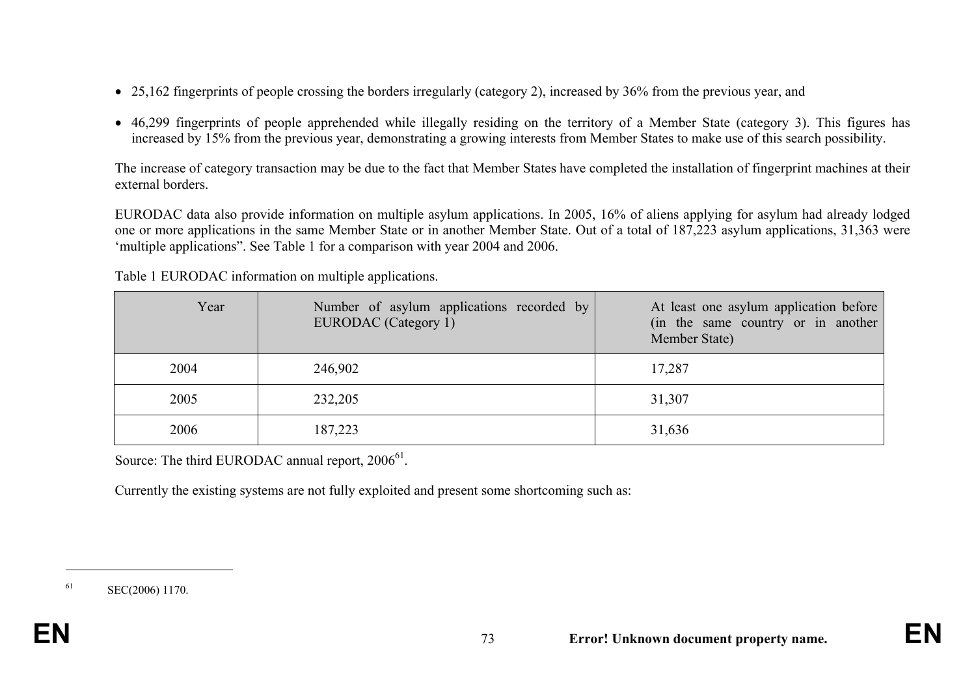- 25,162 fingerprints of people crossing the borders irregularly (category 2), increased by 36% from the previous year, and
- 46,299 fingerprints of people apprehended while illegally residing on the territory of a Member State (category 3). This figures has increased by 15% from the previous year, demonstrating a growing interests from Member States to make use of this search possibility.

The increase of category transaction may be due to the fact that Member States have completed the installation of fingerprint machines at their external borders.

EURODAC data also provide information on multiple asylum applications. In 2005, 16% of aliens applying for asylum had already lodged one or more applications in the same Member State or in another Member State. Out of a total of 187,223 asylum applications, 31,363 were 'multiple applications". See Table 1 for a comparison with year 2004 and 2006.

| Year | Number of asylum applications recorded by<br>EURODAC (Category 1) | At least one asylum application before<br>(in the same country or in another<br>Member State) |
|------|-------------------------------------------------------------------|-----------------------------------------------------------------------------------------------|
| 2004 | 246,902                                                           | 17,287                                                                                        |
| 2005 | 232,205                                                           | 31,307                                                                                        |
| 2006 | 187,223                                                           | 31,636                                                                                        |

Table 1 EURODAC information on multiple applications.

Source: The third EURODAC annual report,  $2006^{61}$ .

Currently the existing systems are not fully exploited and present some shortcoming such as:

<sup>61</sup> SEC(2006) 1170.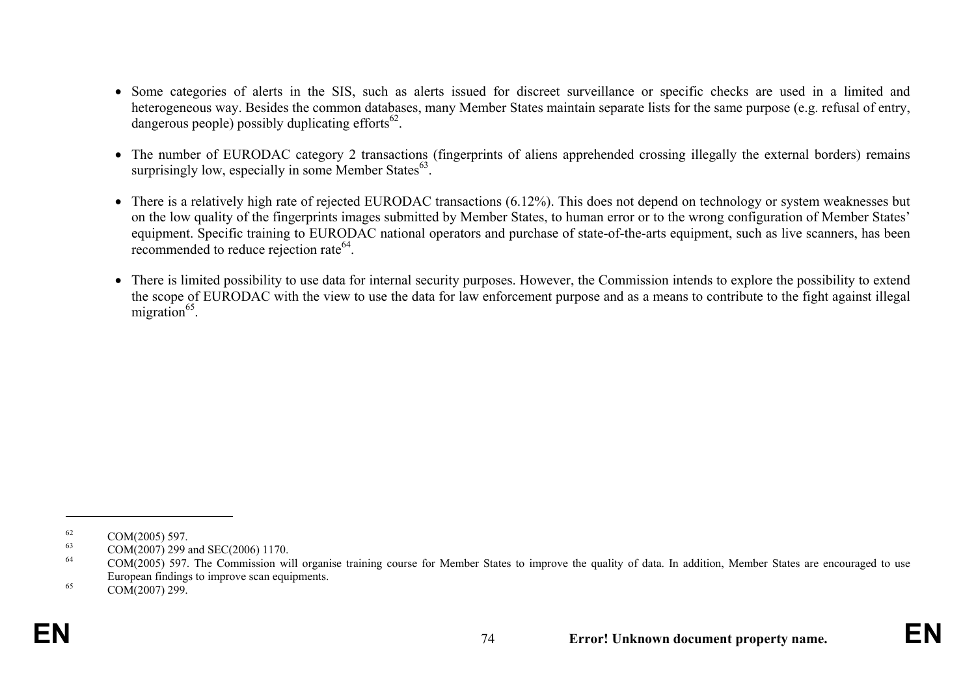- Some categories of alerts in the SIS, such as alerts issued for discreet surveillance or specific checks are used in a limited and heterogeneous way. Besides the common databases, many Member States maintain separate lists for the same purpose (e.g. refusal of entry, dangerous people) possibly duplicating efforts $^{62}$ .
- The number of EURODAC category 2 transactions (fingerprints of aliens apprehended crossing illegally the external borders) remains surprisingly low, especially in some Member States $^{63}$ .
- There is a relatively high rate of rejected EURODAC transactions (6.12%). This does not depend on technology or system weaknesses but on the low quality of the fingerprints images submitted by Member States, to human error or to the wrong configuration of Member States' equipment. Specific training to EURODAC national operators and purchase of state-of-the-arts equipment, such as live scanners, has been recommended to reduce rejection rate<sup>64</sup>.
- There is limited possibility to use data for internal security purposes. However, the Commission intends to explore the possibility to extend the scope of EURODAC with the view to use the data for law enforcement purpose and as a means to contribute to the fight against illegal migration $^{65}$ .

 $\frac{62}{63}$  COM(2005) 597.

<sup>&</sup>lt;sup>63</sup> COM(2007) 299 and SEC(2006) 1170.<br><sup>64</sup> COM(2005) 507. The Commission was

<sup>64</sup> COM(2005) 597. The Commission will organise training course for Member States to improve the quality of data. In addition, Member States are encouraged to use European findings to improve scan equipments.

 $65$  COM(2007) 299.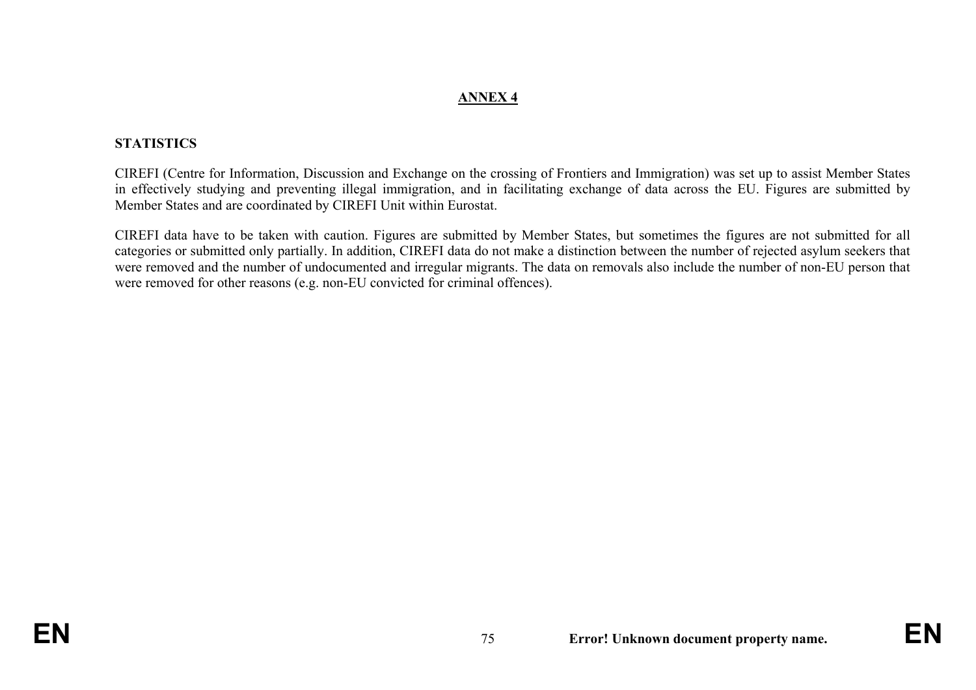## **ANNEX 4**

## **STATISTICS**

CIREFI (Centre for Information, Discussion and Exchange on the crossing of Frontiers and Immigration) was set up to assist Member States in effectively studying and preventing illegal immigration, and in facilitating exchange of data across the EU. Figures are submitted by Member States and are coordinated by CIREFI Unit within Eurostat.

CIREFI data have to be taken with caution. Figures are submitted by Member States, but sometimes the figures are not submitted for all categories or submitted only partially. In addition, CIREFI data do not make a distinction between the number of rejected asylum seekers that were removed and the number of undocumented and irregular migrants. The data on removals also include the number of non-EU person that were removed for other reasons (e.g. non-EU convicted for criminal offences).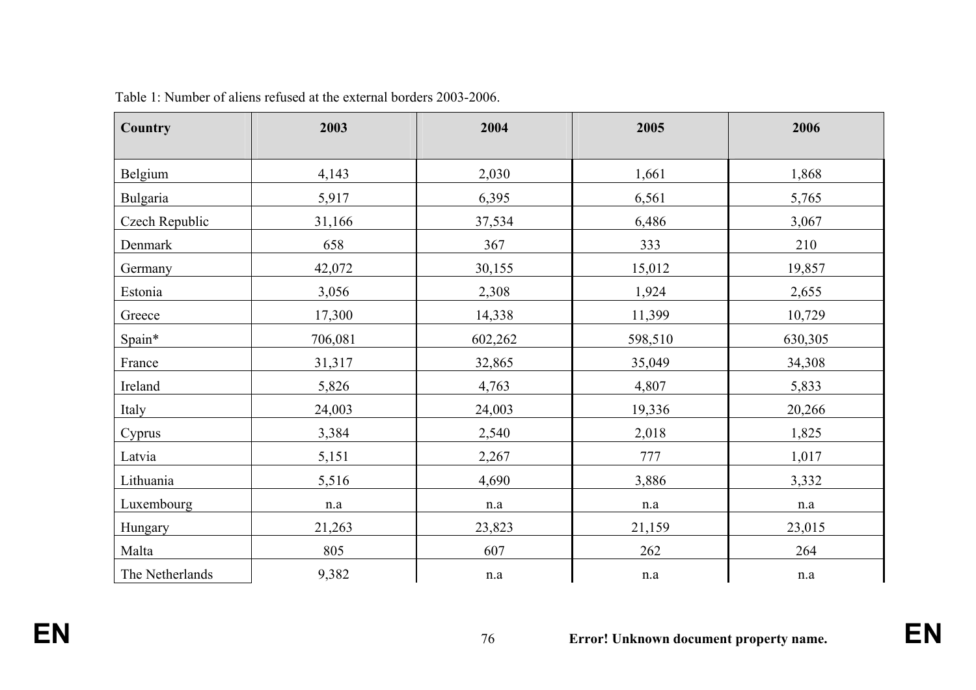| <b>Country</b>  | 2003      | 2004      | 2005      | 2006      |
|-----------------|-----------|-----------|-----------|-----------|
| Belgium         | 4,143     | 2,030     | 1,661     | 1,868     |
| <b>Bulgaria</b> | 5,917     | 6,395     | 6,561     | 5,765     |
| Czech Republic  | 31,166    | 37,534    | 6,486     | 3,067     |
| Denmark         | 658       | 367       | 333       | 210       |
| Germany         | 42,072    | 30,155    | 15,012    | 19,857    |
| Estonia         | 3,056     | 2,308     | 1,924     | 2,655     |
| Greece          | 17,300    | 14,338    | 11,399    | 10,729    |
| Spain*          | 706,081   | 602,262   | 598,510   | 630,305   |
| France          | 31,317    | 32,865    | 35,049    | 34,308    |
| Ireland         | 5,826     | 4,763     | 4,807     | 5,833     |
| Italy           | 24,003    | 24,003    | 19,336    | 20,266    |
| Cyprus          | 3,384     | 2,540     | 2,018     | 1,825     |
| Latvia          | 5,151     | 2,267     | 777       | 1,017     |
| Lithuania       | 5,516     | 4,690     | 3,886     | 3,332     |
| Luxembourg      | $\rm n.a$ | n.a       | $\rm n.a$ | n.a       |
| Hungary         | 21,263    | 23,823    | 21,159    | 23,015    |
| Malta           | 805       | 607       | 262       | 264       |
| The Netherlands | 9,382     | $\rm n.a$ | $\rm n.a$ | $\rm n.a$ |

Table 1: Number of aliens refused at the external borders 2003-2006.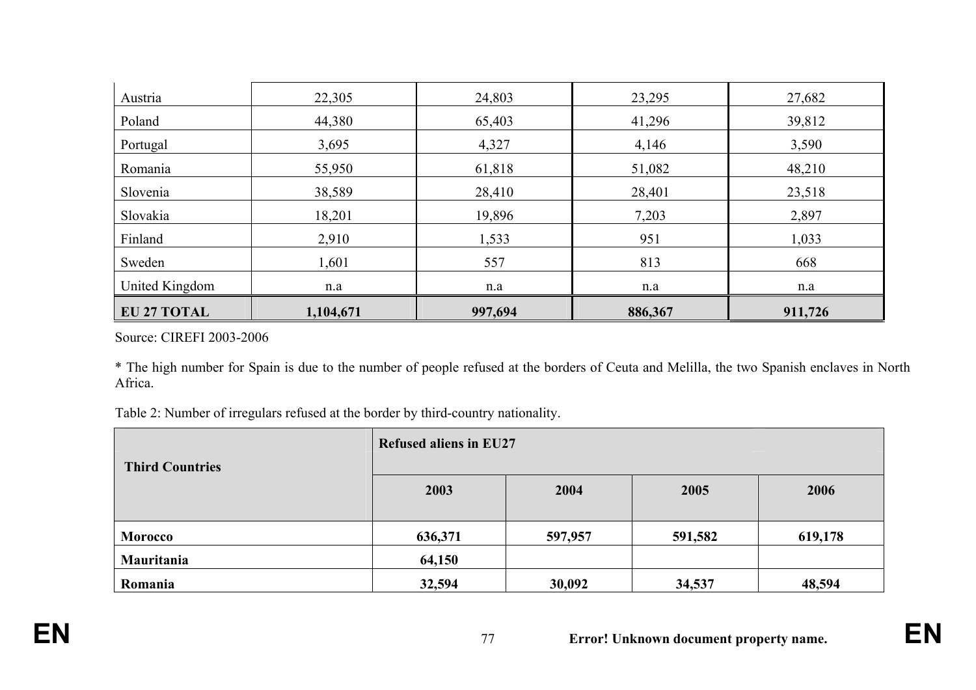| Austria            | 22,305    | 24,803  | 23,295  | 27,682  |
|--------------------|-----------|---------|---------|---------|
| Poland             | 44,380    | 65,403  | 41,296  | 39,812  |
| Portugal           | 3,695     | 4,327   | 4,146   | 3,590   |
| Romania            | 55,950    | 61,818  | 51,082  | 48,210  |
| Slovenia           | 38,589    | 28,410  | 28,401  | 23,518  |
| Slovakia           | 18,201    | 19,896  | 7,203   | 2,897   |
| Finland            | 2,910     | 1,533   | 951     | 1,033   |
| Sweden             | 1,601     | 557     | 813     | 668     |
| United Kingdom     | n.a       | n.a     | n.a     | n.a     |
| <b>EU 27 TOTAL</b> | 1,104,671 | 997,694 | 886,367 | 911,726 |

Source: CIREFI 2003-2006

\* The high number for Spain is due to the number of people refused at the borders of Ceuta and Melilla, the two Spanish enclaves in North Africa.

Table 2: Number of irregulars refused at the border by third-country nationality.

| <b>Third Countries</b> | <b>Refused aliens in EU27</b> |         |         |         |
|------------------------|-------------------------------|---------|---------|---------|
|                        | 2003                          | 2004    | 2005    | 2006    |
| <b>Morocco</b>         | 636,371                       | 597,957 | 591,582 | 619,178 |
| Mauritania             | 64,150                        |         |         |         |
| Romania                | 32,594                        | 30,092  | 34,537  | 48,594  |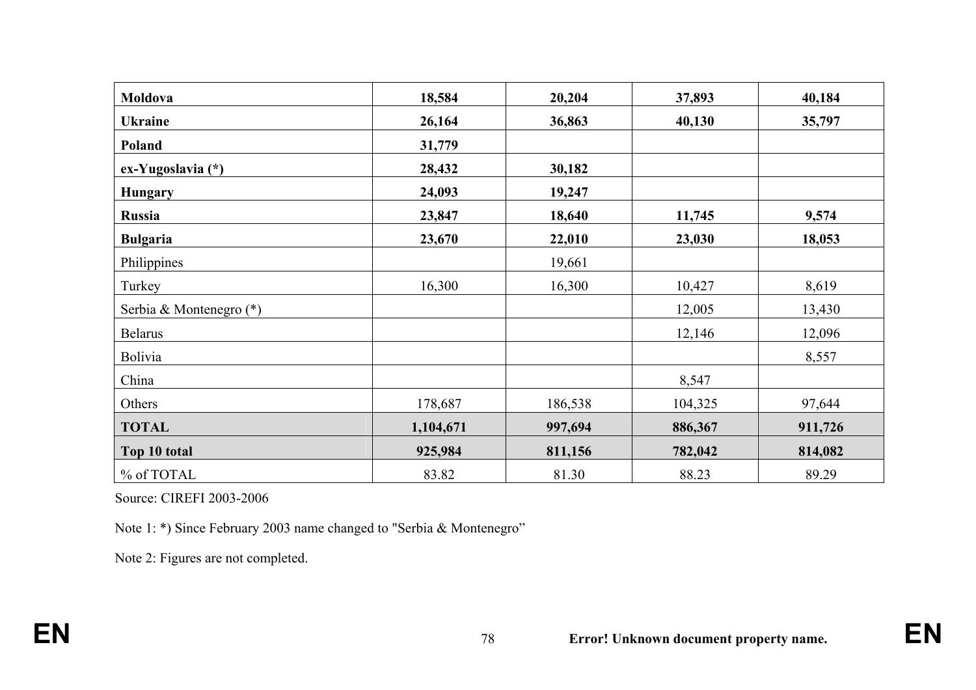| Moldova                 | 18,584    | 20,204  | 37,893  | 40,184  |
|-------------------------|-----------|---------|---------|---------|
| <b>Ukraine</b>          | 26,164    | 36,863  | 40,130  | 35,797  |
| Poland                  | 31,779    |         |         |         |
| ex-Yugoslavia (*)       | 28,432    | 30,182  |         |         |
| <b>Hungary</b>          | 24,093    | 19,247  |         |         |
| <b>Russia</b>           | 23,847    | 18,640  | 11,745  | 9,574   |
| <b>Bulgaria</b>         | 23,670    | 22,010  | 23,030  | 18,053  |
| Philippines             |           | 19,661  |         |         |
| Turkey                  | 16,300    | 16,300  | 10,427  | 8,619   |
| Serbia & Montenegro (*) |           |         | 12,005  | 13,430  |
| <b>Belarus</b>          |           |         | 12,146  | 12,096  |
| <b>Bolivia</b>          |           |         |         | 8,557   |
| China                   |           |         | 8,547   |         |
| Others                  | 178,687   | 186,538 | 104,325 | 97,644  |
| <b>TOTAL</b>            | 1,104,671 | 997,694 | 886,367 | 911,726 |
| Top 10 total            | 925,984   | 811,156 | 782,042 | 814,082 |
| % of TOTAL              | 83.82     | 81.30   | 88.23   | 89.29   |

Source: CIREFI 2003-2006

Note 1: \*) Since February 2003 name changed to "Serbia & Montenegro"

Note 2: Figures are not completed.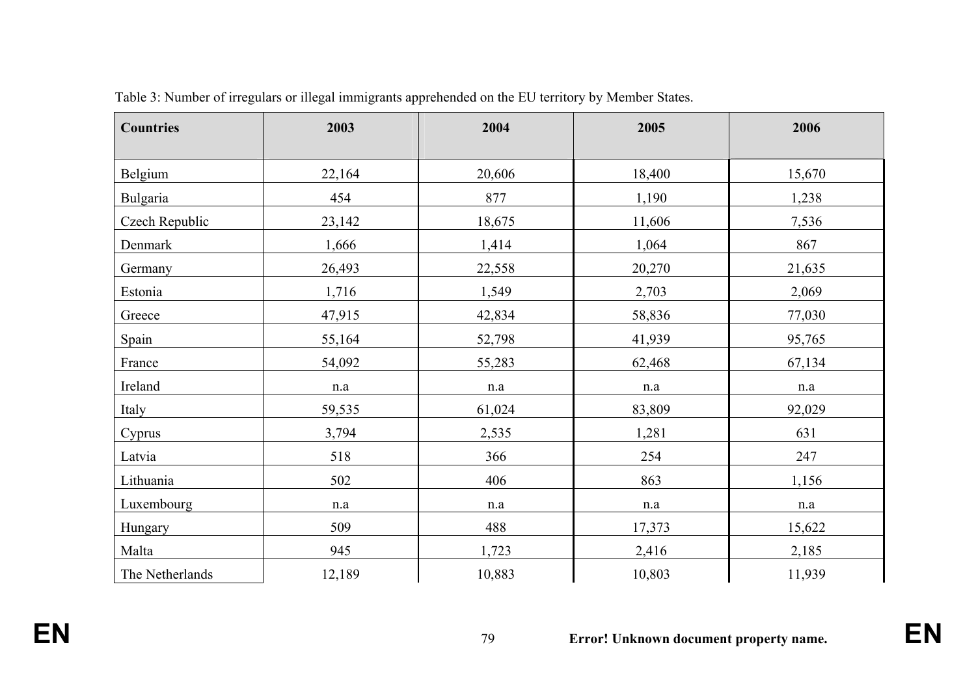| <b>Countries</b> | 2003      | 2004      | 2005      | 2006      |
|------------------|-----------|-----------|-----------|-----------|
| Belgium          | 22,164    | 20,606    | 18,400    | 15,670    |
| <b>Bulgaria</b>  | 454       | 877       | 1,190     | 1,238     |
| Czech Republic   | 23,142    | 18,675    | 11,606    | 7,536     |
| Denmark          | 1,666     | 1,414     | 1,064     | 867       |
| Germany          | 26,493    | 22,558    | 20,270    | 21,635    |
| Estonia          | 1,716     | 1,549     | 2,703     | 2,069     |
| Greece           | 47,915    | 42,834    | 58,836    | 77,030    |
| Spain            | 55,164    | 52,798    | 41,939    | 95,765    |
| France           | 54,092    | 55,283    | 62,468    | 67,134    |
| Ireland          | $\rm n.a$ | $\rm n.a$ | n.a       | $\rm n.a$ |
| Italy            | 59,535    | 61,024    | 83,809    | 92,029    |
| Cyprus           | 3,794     | 2,535     | 1,281     | 631       |
| Latvia           | 518       | 366       | 254       | 247       |
| Lithuania        | 502       | 406       | 863       | 1,156     |
| Luxembourg       | n.a       | n.a       | $\rm n.a$ | n.a       |
| Hungary          | 509       | 488       | 17,373    | 15,622    |
| Malta            | 945       | 1,723     | 2,416     | 2,185     |
| The Netherlands  | 12,189    | 10,883    | 10,803    | 11,939    |

Table 3: Number of irregulars or illegal immigrants apprehended on the EU territory by Member States.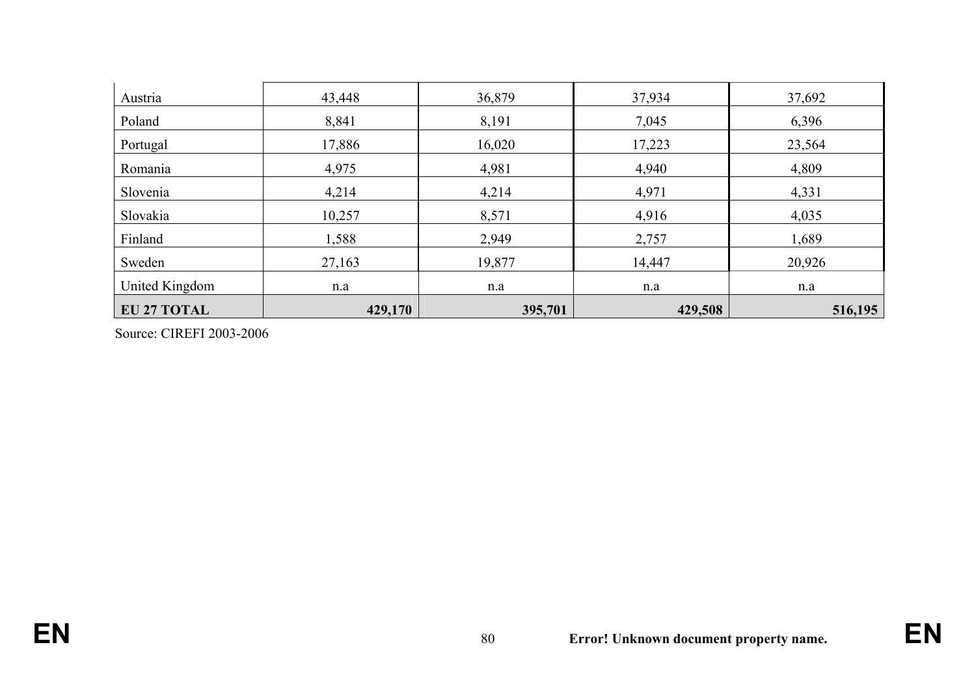| Austria            | 43,448  | 36,879  | 37,934  | 37,692  |
|--------------------|---------|---------|---------|---------|
| Poland             | 8,841   | 8,191   | 7,045   | 6,396   |
| Portugal           | 17,886  | 16,020  | 17,223  | 23,564  |
| Romania            | 4,975   | 4,981   | 4,940   | 4,809   |
| Slovenia           | 4,214   | 4,214   | 4,971   | 4,331   |
| Slovakia           | 10,257  | 8,571   | 4,916   | 4,035   |
| Finland            | 1,588   | 2,949   | 2,757   | 1,689   |
| Sweden             | 27,163  | 19,877  | 14,447  | 20,926  |
| United Kingdom     | n.a     | n.a     | n.a     | n.a     |
| <b>EU 27 TOTAL</b> | 429,170 | 395,701 | 429,508 | 516,195 |

Source: CIREFI 2003-2006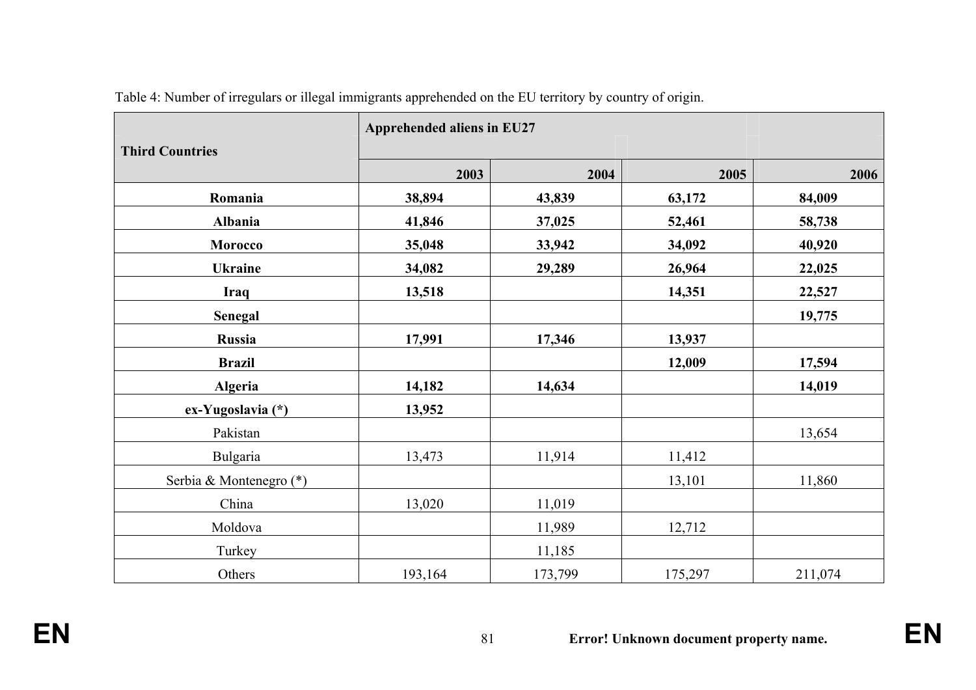| <b>Third Countries</b>  | Apprehended aliens in EU27 |         |         |         |  |
|-------------------------|----------------------------|---------|---------|---------|--|
|                         | 2003                       | 2004    | 2005    | 2006    |  |
| Romania                 | 38,894                     | 43,839  | 63,172  | 84,009  |  |
| Albania                 | 41,846                     | 37,025  | 52,461  | 58,738  |  |
| <b>Morocco</b>          | 35,048                     | 33,942  | 34,092  | 40,920  |  |
| <b>Ukraine</b>          | 34,082                     | 29,289  | 26,964  | 22,025  |  |
| Iraq                    | 13,518                     |         | 14,351  | 22,527  |  |
| Senegal                 |                            |         |         | 19,775  |  |
| Russia                  | 17,991                     | 17,346  | 13,937  |         |  |
| <b>Brazil</b>           |                            |         | 12,009  | 17,594  |  |
| <b>Algeria</b>          | 14,182                     | 14,634  |         | 14,019  |  |
| ex-Yugoslavia (*)       | 13,952                     |         |         |         |  |
| Pakistan                |                            |         |         | 13,654  |  |
| <b>Bulgaria</b>         | 13,473                     | 11,914  | 11,412  |         |  |
| Serbia & Montenegro (*) |                            |         | 13,101  | 11,860  |  |
| China                   | 13,020                     | 11,019  |         |         |  |
| Moldova                 |                            | 11,989  | 12,712  |         |  |
| Turkey                  |                            | 11,185  |         |         |  |
| Others                  | 193,164                    | 173,799 | 175,297 | 211,074 |  |

Table 4: Number of irregulars or illegal immigrants apprehended on the EU territory by country of origin.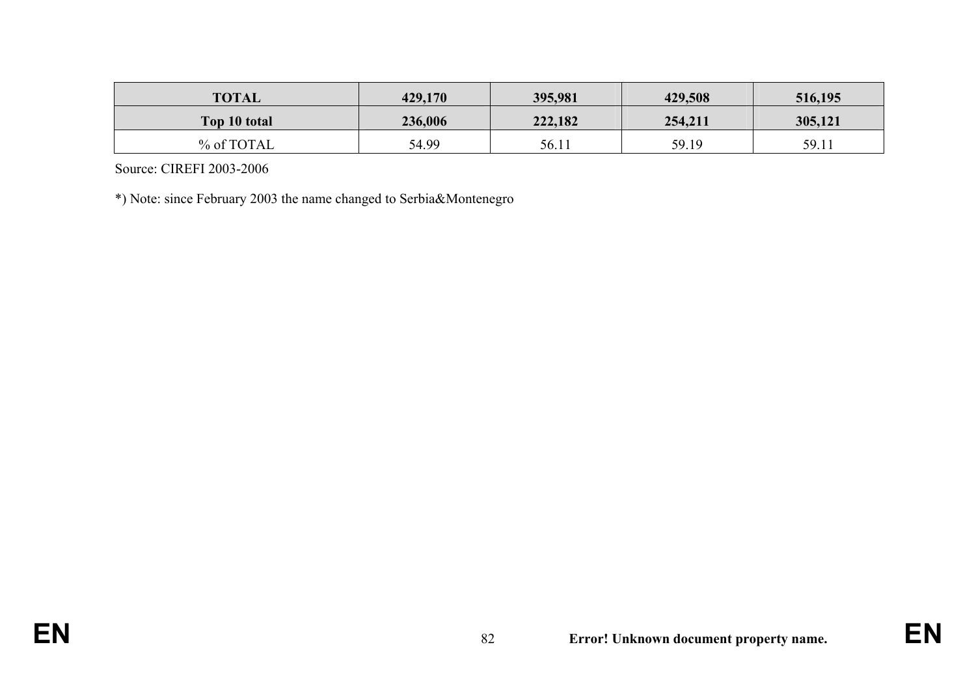| <b>TOTAL</b> | 429,170 | 395,981 | 429,508 | 516,195 |
|--------------|---------|---------|---------|---------|
| Top 10 total | 236,006 | 222,182 | 254,211 | 305,121 |
| % of TOTAL   | 54.99   | 56.11   | 59.19   | 59.11   |

Source: CIREFI 2003-2006

\*) Note: since February 2003 the name changed to Serbia&Montenegro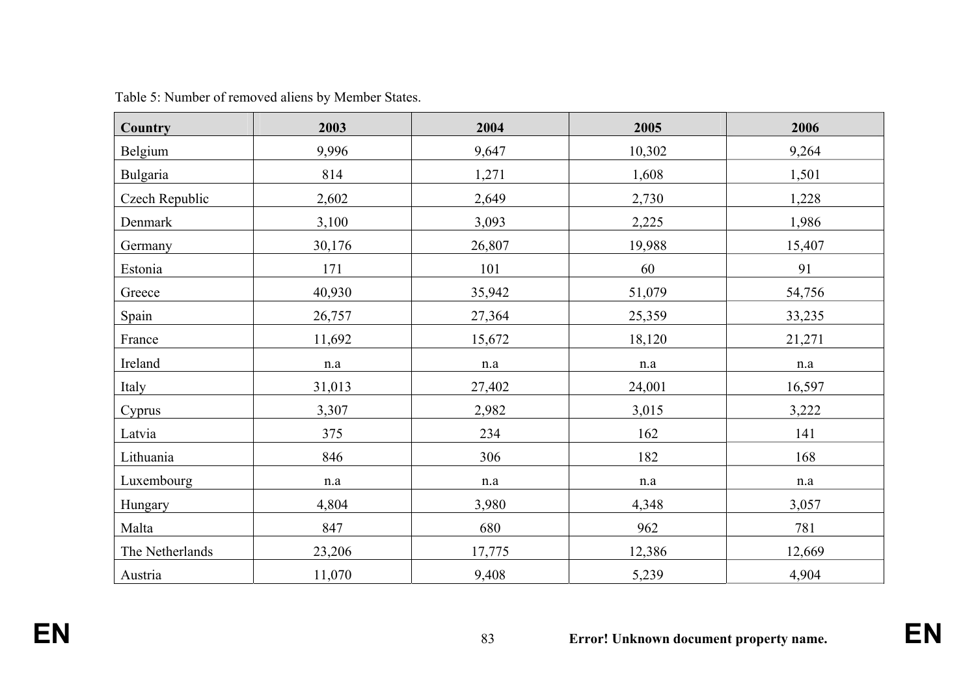| <b>Country</b>  | 2003   | 2004      | 2005      | 2006   |
|-----------------|--------|-----------|-----------|--------|
| Belgium         | 9,996  | 9,647     | 10,302    | 9,264  |
| Bulgaria        | 814    | 1,271     | 1,608     | 1,501  |
| Czech Republic  | 2,602  | 2,649     | 2,730     | 1,228  |
| Denmark         | 3,100  | 3,093     | 2,225     | 1,986  |
| Germany         | 30,176 | 26,807    | 19,988    | 15,407 |
| Estonia         | 171    | 101       | 60        | 91     |
| Greece          | 40,930 | 35,942    | 51,079    | 54,756 |
| Spain           | 26,757 | 27,364    | 25,359    | 33,235 |
| France          | 11,692 | 15,672    | 18,120    | 21,271 |
| Ireland         | n.a    | $\rm n.a$ | n.a       | n.a    |
| Italy           | 31,013 | 27,402    | 24,001    | 16,597 |
| Cyprus          | 3,307  | 2,982     | 3,015     | 3,222  |
| Latvia          | 375    | 234       | 162       | 141    |
| Lithuania       | 846    | 306       | 182       | 168    |
| Luxembourg      | n.a    | n.a       | $\rm n.a$ | n.a    |
| Hungary         | 4,804  | 3,980     | 4,348     | 3,057  |
| Malta           | 847    | 680       | 962       | 781    |
| The Netherlands | 23,206 | 17,775    | 12,386    | 12,669 |
| Austria         | 11,070 | 9,408     | 5,239     | 4,904  |

Table 5: Number of removed aliens by Member States.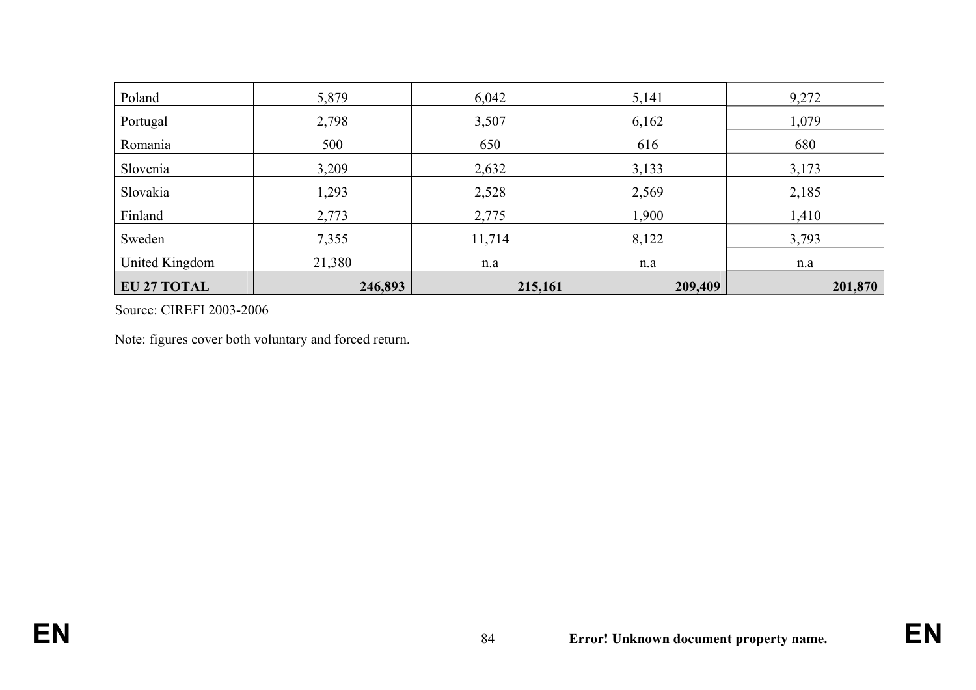| Poland             | 5,879   | 6,042   | 5,141   | 9,272   |
|--------------------|---------|---------|---------|---------|
| Portugal           | 2,798   | 3,507   | 6,162   | 1,079   |
| Romania            | 500     | 650     | 616     | 680     |
| Slovenia           | 3,209   | 2,632   | 3,133   | 3,173   |
| Slovakia           | 1,293   | 2,528   | 2,569   | 2,185   |
| Finland            | 2,773   | 2,775   | 1,900   | 1,410   |
| Sweden             | 7,355   | 11,714  | 8,122   | 3,793   |
| United Kingdom     | 21,380  | n.a     | n.a     | n.a     |
| <b>EU 27 TOTAL</b> | 246,893 | 215,161 | 209,409 | 201,870 |

Source: CIREFI 2003-2006

Note: figures cover both voluntary and forced return.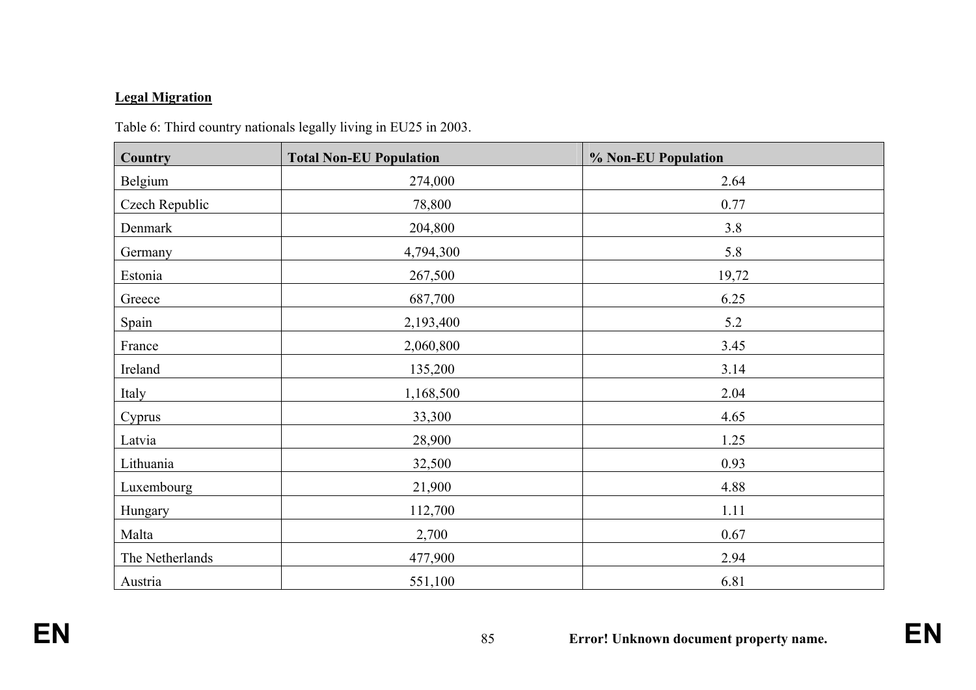# **Legal Migration**

| Country         | <b>Total Non-EU Population</b> | % Non-EU Population |
|-----------------|--------------------------------|---------------------|
| Belgium         | 274,000                        | 2.64                |
| Czech Republic  | 78,800                         | 0.77                |
| Denmark         | 204,800                        | 3.8                 |
| Germany         | 4,794,300                      | 5.8                 |
| Estonia         | 267,500                        | 19,72               |
| Greece          | 687,700                        | 6.25                |
| Spain           | 2,193,400                      | 5.2                 |
| France          | 2,060,800                      | 3.45                |
| Ireland         | 135,200                        | 3.14                |
| Italy           | 1,168,500                      | 2.04                |
| Cyprus          | 33,300                         | 4.65                |
| Latvia          | 28,900                         | 1.25                |
| Lithuania       | 32,500                         | 0.93                |
| Luxembourg      | 21,900                         | 4.88                |
| Hungary         | 112,700                        | 1.11                |
| Malta           | 2,700                          | 0.67                |
| The Netherlands | 477,900                        | 2.94                |
| Austria         | 551,100                        | 6.81                |

Table 6: Third country nationals legally living in EU25 in 2003.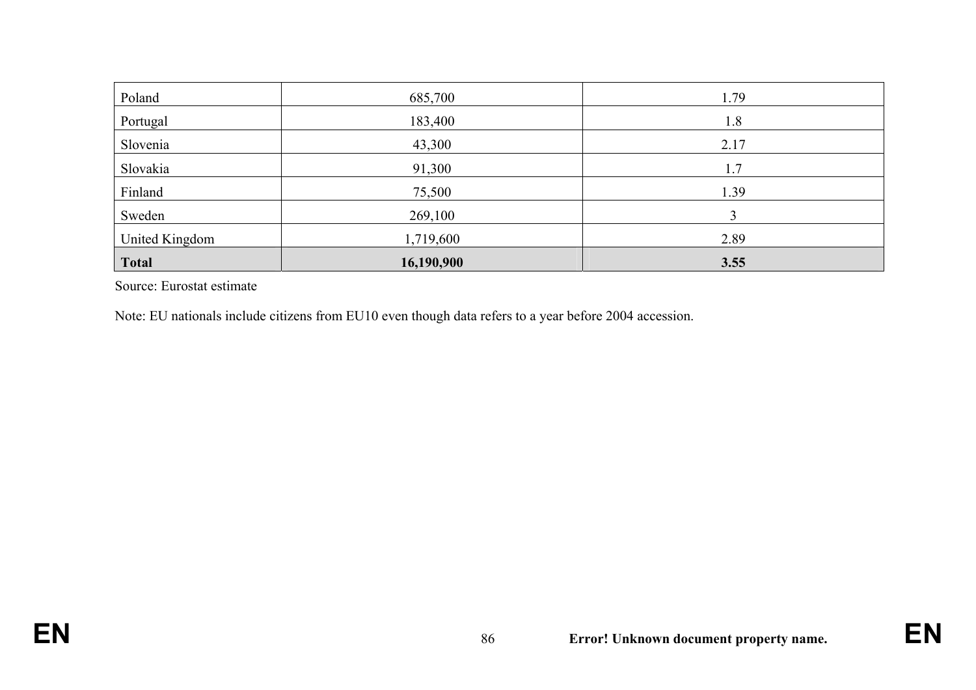| Poland         | 685,700    | 1.79 |
|----------------|------------|------|
| Portugal       | 183,400    | 1.8  |
| Slovenia       | 43,300     | 2.17 |
| Slovakia       | 91,300     | 1.7  |
| Finland        | 75,500     | 1.39 |
| Sweden         | 269,100    |      |
| United Kingdom | 1,719,600  | 2.89 |
| <b>Total</b>   | 16,190,900 | 3.55 |

Source: Eurostat estimate

Note: EU nationals include citizens from EU10 even though data refers to a year before 2004 accession.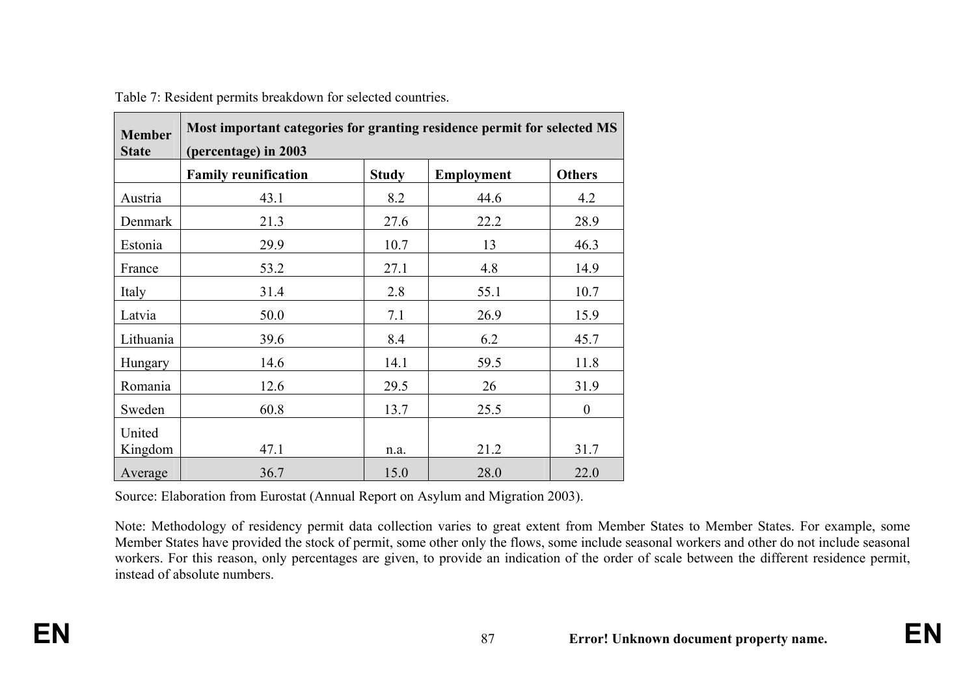| <b>Member</b><br><b>State</b> | Most important categories for granting residence permit for selected MS<br>(percentage) in 2003 |              |            |               |  |
|-------------------------------|-------------------------------------------------------------------------------------------------|--------------|------------|---------------|--|
|                               | <b>Family reunification</b>                                                                     | <b>Study</b> | Employment | <b>Others</b> |  |
| Austria                       | 43.1                                                                                            | 8.2          | 44.6       | 4.2           |  |
| Denmark                       | 21.3                                                                                            | 27.6         | 22.2       | 28.9          |  |
| Estonia                       | 29.9                                                                                            | 10.7         | 13         | 46.3          |  |
| France                        | 53.2                                                                                            | 27.1         | 4.8        | 14.9          |  |
| Italy                         | 31.4                                                                                            | 2.8          | 55.1       | 10.7          |  |
| Latvia                        | 50.0                                                                                            | 7.1          | 26.9       | 15.9          |  |
| Lithuania                     | 39.6                                                                                            | 8.4          | 6.2        | 45.7          |  |
| Hungary                       | 14.6                                                                                            | 14.1         | 59.5       | 11.8          |  |
| Romania                       | 12.6                                                                                            | 29.5         | 26         | 31.9          |  |
| Sweden                        | 60.8                                                                                            | 13.7         | 25.5       | $\theta$      |  |
| United<br>Kingdom             | 47.1                                                                                            | n.a.         | 21.2       | 31.7          |  |
| Average                       | 36.7                                                                                            | 15.0         | 28.0       | 22.0          |  |

Table 7: Resident permits breakdown for selected countries.

Source: Elaboration from Eurostat (Annual Report on Asylum and Migration 2003).

Note: Methodology of residency permit data collection varies to great extent from Member States to Member States. For example, some Member States have provided the stock of permit, some other only the flows, some include seasonal workers and other do not include seasonal workers. For this reason, only percentages are given, to provide an indication of the order of scale between the different residence permit, instead of absolute numbers.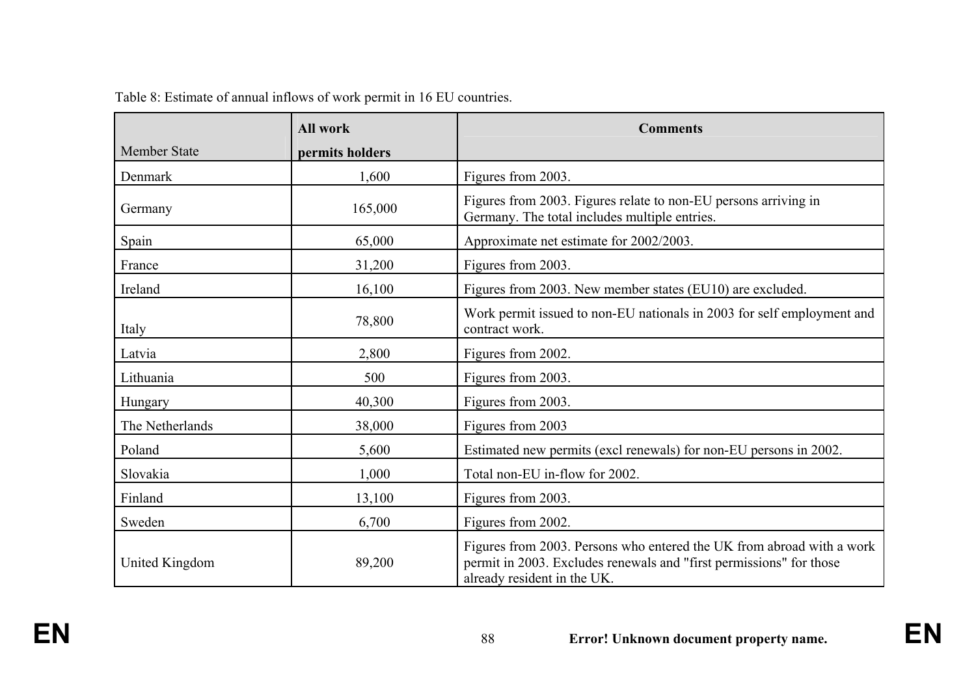|                     | <b>All work</b> | <b>Comments</b>                                                                                                                                                             |  |
|---------------------|-----------------|-----------------------------------------------------------------------------------------------------------------------------------------------------------------------------|--|
| <b>Member State</b> | permits holders |                                                                                                                                                                             |  |
| Denmark             | 1,600           | Figures from 2003.                                                                                                                                                          |  |
| Germany             | 165,000         | Figures from 2003. Figures relate to non-EU persons arriving in<br>Germany. The total includes multiple entries.                                                            |  |
| Spain               | 65,000          | Approximate net estimate for 2002/2003.                                                                                                                                     |  |
| France              | 31,200          | Figures from 2003.                                                                                                                                                          |  |
| Ireland             | 16,100          | Figures from 2003. New member states (EU10) are excluded.                                                                                                                   |  |
| Italy               | 78,800          | Work permit issued to non-EU nationals in 2003 for self employment and<br>contract work.                                                                                    |  |
| Latvia              | 2,800           | Figures from 2002.                                                                                                                                                          |  |
| Lithuania           | 500             | Figures from 2003.                                                                                                                                                          |  |
| Hungary             | 40,300          | Figures from 2003.                                                                                                                                                          |  |
| The Netherlands     | 38,000          | Figures from 2003                                                                                                                                                           |  |
| Poland              | 5,600           | Estimated new permits (excl renewals) for non-EU persons in 2002.                                                                                                           |  |
| Slovakia            | 1,000           | Total non-EU in-flow for 2002.                                                                                                                                              |  |
| Finland             | 13,100          | Figures from 2003.                                                                                                                                                          |  |
| Sweden              | 6,700           | Figures from 2002.                                                                                                                                                          |  |
| United Kingdom      | 89,200          | Figures from 2003. Persons who entered the UK from abroad with a work<br>permit in 2003. Excludes renewals and "first permissions" for those<br>already resident in the UK. |  |

Table 8: Estimate of annual inflows of work permit in 16 EU countries.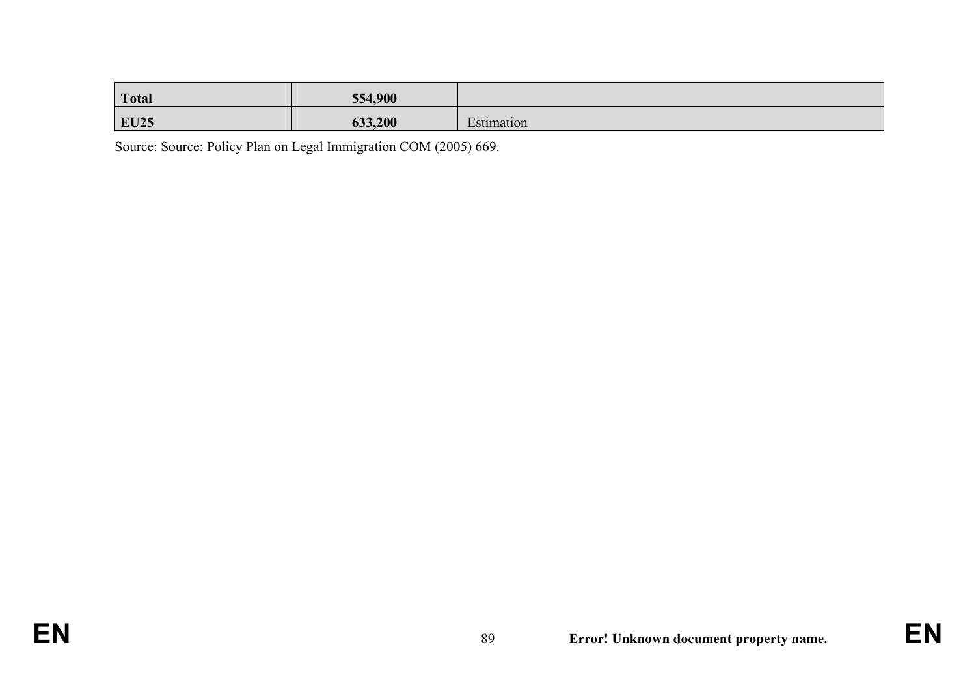| <b>Total</b> | 554,900 |            |
|--------------|---------|------------|
| <b>EU25</b>  | 633,200 | Estimation |

Source: Source: Policy Plan on Legal Immigration COM (2005) 669.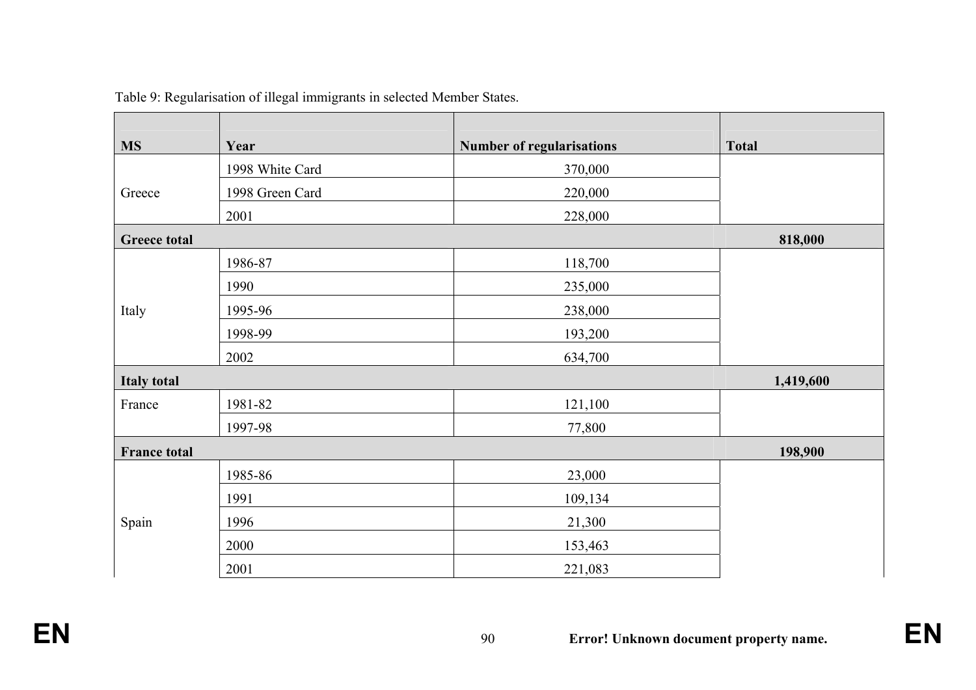| <b>MS</b>           | Year            | <b>Number of regularisations</b> | <b>Total</b> |
|---------------------|-----------------|----------------------------------|--------------|
|                     | 1998 White Card | 370,000                          |              |
| Greece              | 1998 Green Card | 220,000                          |              |
|                     | 2001            | 228,000                          |              |
| <b>Greece total</b> |                 |                                  | 818,000      |
|                     | 1986-87         | 118,700                          |              |
|                     | 1990            | 235,000                          |              |
| Italy               | 1995-96         | 238,000                          |              |
|                     | 1998-99         | 193,200                          |              |
|                     | 2002            | 634,700                          |              |
| <b>Italy total</b>  |                 |                                  | 1,419,600    |
| France              | 1981-82         | 121,100                          |              |
|                     | 1997-98         | 77,800                           |              |
| <b>France total</b> |                 |                                  | 198,900      |
|                     | 1985-86         | 23,000                           |              |
|                     | 1991            | 109,134                          |              |
| Spain               | 1996            | 21,300                           |              |
|                     | 2000            | 153,463                          |              |
|                     | 2001            | 221,083                          |              |

Table 9: Regularisation of illegal immigrants in selected Member States.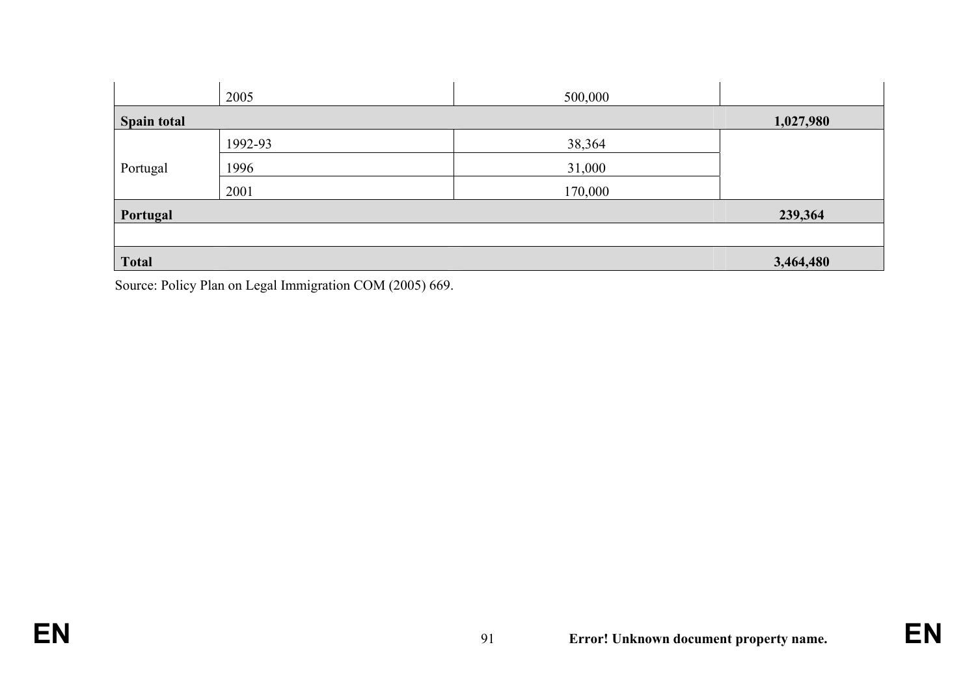|                    | 2005    | 500,000 |           |
|--------------------|---------|---------|-----------|
| <b>Spain total</b> |         |         | 1,027,980 |
|                    | 1992-93 | 38,364  |           |
| Portugal           | 1996    | 31,000  |           |
|                    | 2001    | 170,000 |           |
| Portugal           |         |         | 239,364   |
|                    |         |         |           |
| <b>Total</b>       |         |         | 3,464,480 |

Source: Policy Plan on Legal Immigration COM (2005) 669.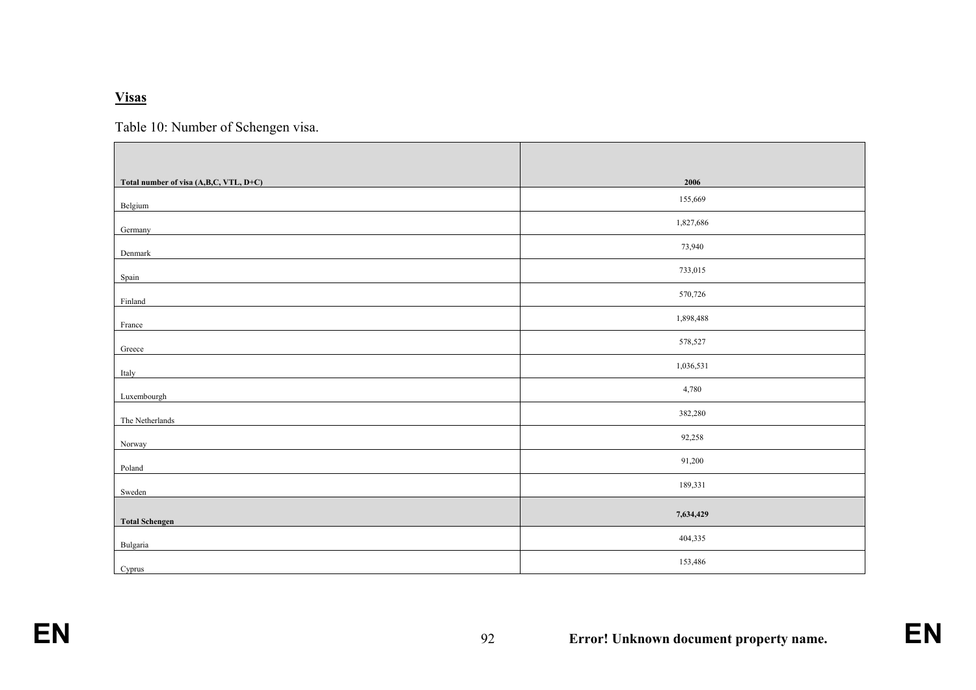#### **Visas**

Table 10: Number of Schengen visa.

| Total number of visa (A,B,C, VTL, D+C) | 2006      |
|----------------------------------------|-----------|
| Belgium                                | 155,669   |
| Germany                                | 1,827,686 |
| Denmark                                | 73,940    |
| Spain                                  | 733,015   |
| Finland                                | 570,726   |
| France                                 | 1,898,488 |
| Greece                                 | 578,527   |
| Italy                                  | 1,036,531 |
| Luxembourgh                            | 4,780     |
| The Netherlands                        | 382,280   |
| Norway                                 | 92,258    |
| Poland                                 | 91,200    |
| Sweden                                 | 189,331   |
| <b>Total Schengen</b>                  | 7,634,429 |
| Bulgaria                               | 404,335   |
| Cyprus                                 | 153,486   |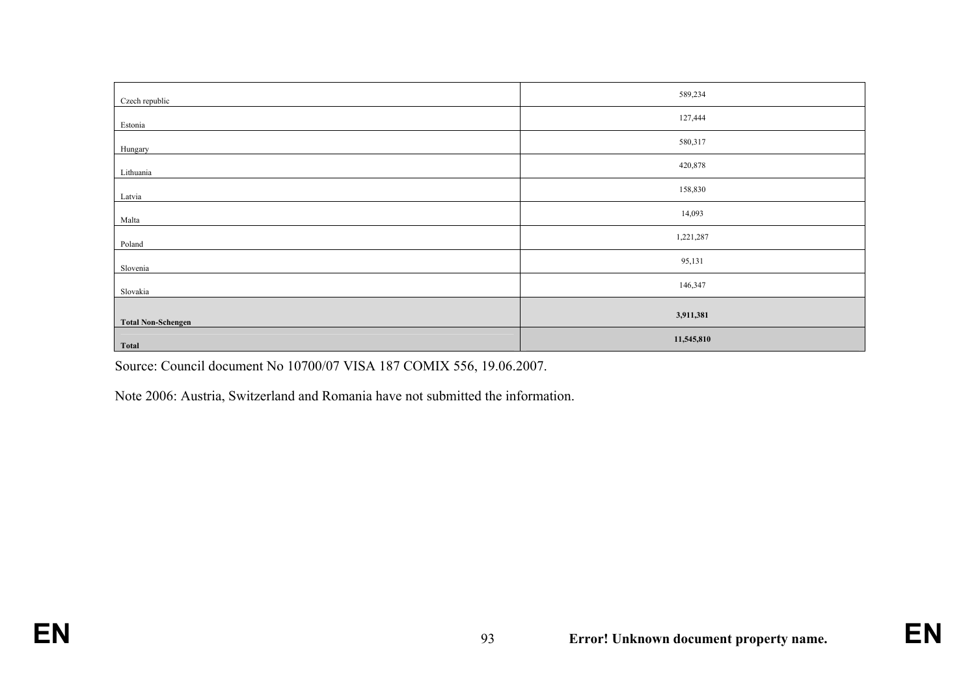| Czech republic            | 589,234    |
|---------------------------|------------|
| Estonia                   | 127,444    |
| Hungary                   | 580,317    |
| Lithuania                 | 420,878    |
| Latvia                    | 158,830    |
| Malta                     | 14,093     |
| Poland                    | 1,221,287  |
| Slovenia                  | 95,131     |
| Slovakia                  | 146,347    |
|                           | 3,911,381  |
| <b>Total Non-Schengen</b> | 11,545,810 |
| <b>Total</b>              |            |

Source: Council document No 10700/07 VISA 187 COMIX 556, 19.06.2007.

Note 2006: Austria, Switzerland and Romania have not submitted the information.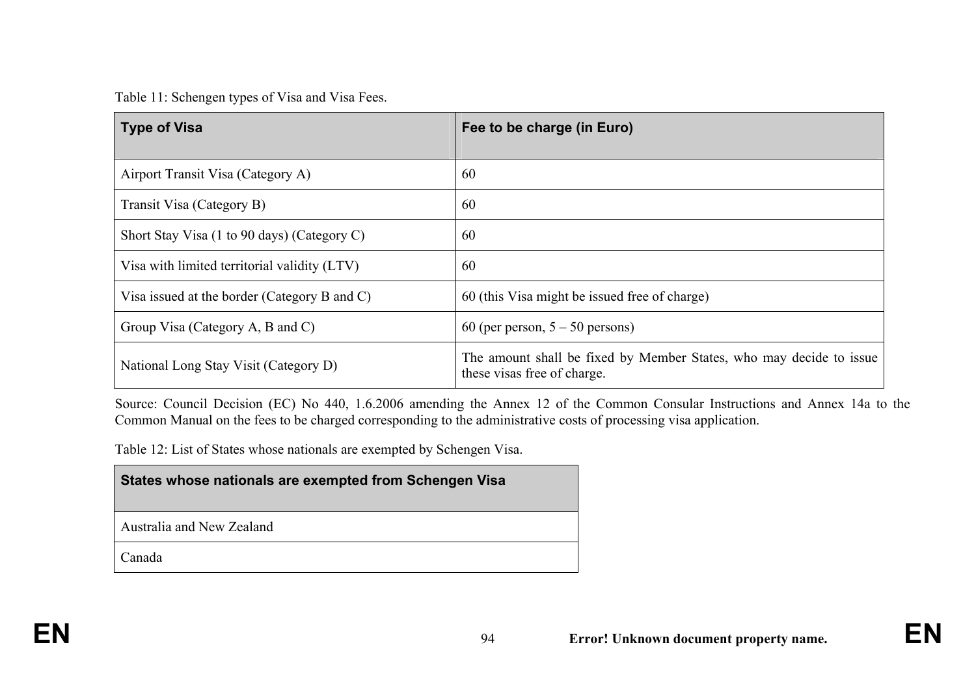Table 11: Schengen types of Visa and Visa Fees.

| <b>Type of Visa</b>                          | Fee to be charge (in Euro)                                                                         |
|----------------------------------------------|----------------------------------------------------------------------------------------------------|
| Airport Transit Visa (Category A)            | 60                                                                                                 |
| Transit Visa (Category B)                    | 60                                                                                                 |
| Short Stay Visa (1 to 90 days) (Category C)  | 60                                                                                                 |
| Visa with limited territorial validity (LTV) | 60                                                                                                 |
| Visa issued at the border (Category B and C) | 60 (this Visa might be issued free of charge)                                                      |
| Group Visa (Category A, B and C)             | 60 (per person, $5 - 50$ persons)                                                                  |
| National Long Stay Visit (Category D)        | The amount shall be fixed by Member States, who may decide to issue<br>these visas free of charge. |

Source: Council Decision (EC) No 440, 1.6.2006 amending the Annex 12 of the Common Consular Instructions and Annex 14a to the Common Manual on the fees to be charged corresponding to the administrative costs of processing visa application.

Table 12: List of States whose nationals are exempted by Schengen Visa.

| States whose nationals are exempted from Schengen Visa |  |
|--------------------------------------------------------|--|
|--------------------------------------------------------|--|

Australia and New Zealand

Canada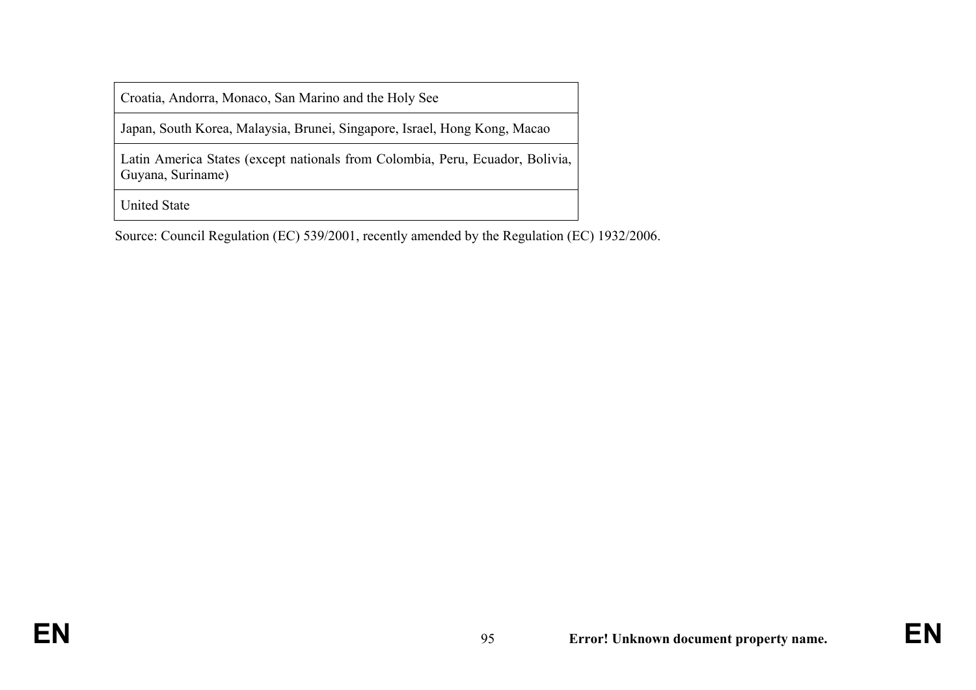Croatia, Andorra, Monaco, San Marino and the Holy See

Japan, South Korea, Malaysia, Brunei, Singapore, Israel, Hong Kong, Macao

Latin America States (except nationals from Colombia, Peru, Ecuador, Bolivia, Guyana, Suriname)

United State

Source: Council Regulation (EC) 539/2001, recently amended by the Regulation (EC) 1932/2006.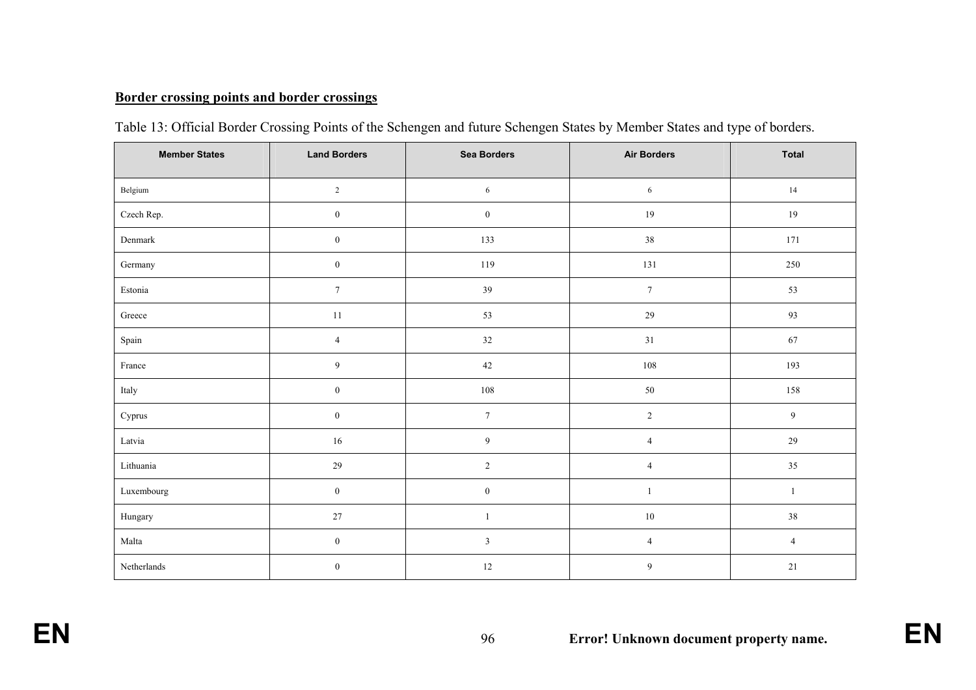# **Border crossing points and border crossings**

| <b>Member States</b> | <b>Land Borders</b> | <b>Sea Borders</b><br><b>Air Borders</b> |                | <b>Total</b>     |
|----------------------|---------------------|------------------------------------------|----------------|------------------|
| Belgium              | $\sqrt{2}$          | 6                                        | 6              | 14               |
| Czech Rep.           | $\boldsymbol{0}$    | $\boldsymbol{0}$                         | 19             | 19               |
| Denmark              | $\boldsymbol{0}$    | 133                                      | $38\,$         | 171              |
| Germany              | $\boldsymbol{0}$    | 119                                      | 131            | 250              |
| Estonia              | $\boldsymbol{7}$    | 39                                       | $\tau$         | 53               |
| Greece               | $11\,$              | 53                                       | $29\,$         | 93               |
| Spain                | $\sqrt{4}$          | $32\,$                                   | $31\,$         | 67               |
| France               | $\overline{9}$      | 42                                       | $108\,$        | 193              |
| Italy                | $\boldsymbol{0}$    | $108\,$                                  | $50\,$         | 158              |
| Cyprus               | $\boldsymbol{0}$    | $7\phantom{.0}$                          | $\sqrt{2}$     | $\boldsymbol{9}$ |
| Latvia               | $16\,$              | $\overline{9}$                           | $\overline{4}$ | $29\,$           |
| Lithuania            | 29                  | $\sqrt{2}$                               | $\overline{4}$ | $35\,$           |
| Luxembourg           | $\boldsymbol{0}$    | $\boldsymbol{0}$                         | $\mathbf{1}$   | $\mathbf{1}$     |
| Hungary              | $27\,$              | $\mathbf{1}$                             | $10\,$         | 38               |
| Malta                | $\boldsymbol{0}$    | $\mathfrak{Z}$                           | $\overline{4}$ | $\overline{4}$   |
| Netherlands          | $\boldsymbol{0}$    | $12\,$                                   | $\overline{9}$ | $21\,$           |

|  |  | Table 13: Official Border Crossing Points of the Schengen and future Schengen States by Member States and type of borders. |
|--|--|----------------------------------------------------------------------------------------------------------------------------|
|  |  |                                                                                                                            |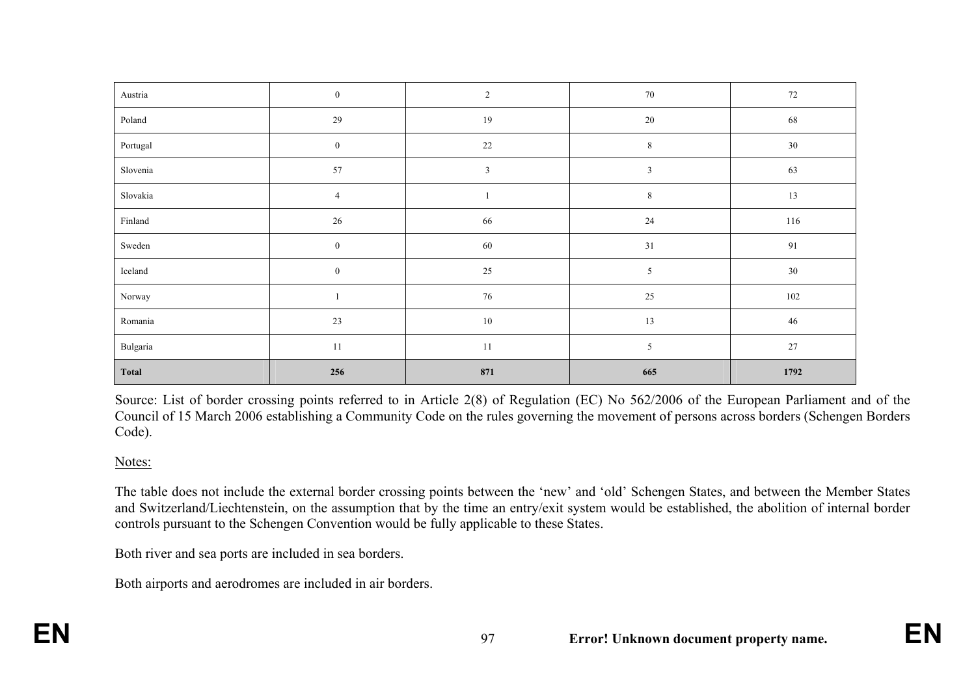| <b>Total</b> | 256              | 871          | 665            | 1792    |
|--------------|------------------|--------------|----------------|---------|
| Bulgaria     | $11\,$           | 11           | $\sqrt{5}$     | $27\,$  |
| Romania      | 23               | $10\,$       | 13             | 46      |
| Norway       | -1               | $76\,$       | $25\,$         | $102\,$ |
| Iceland      | $\boldsymbol{0}$ | $25\,$       | $\mathfrak{S}$ | $30\,$  |
| Sweden       | $\boldsymbol{0}$ | $60\,$       | 31             | 91      |
| Finland      | $26\,$           | 66           | 24             | 116     |
| Slovakia     | $\overline{4}$   |              | $\,8\,$        | $13\,$  |
| Slovenia     | 57               | $\mathbf{3}$ | $\mathfrak{Z}$ | 63      |
| Portugal     | $\bf{0}$         | $22\,$       | $\,8\,$        | $30\,$  |
| Poland       | $29\,$           | 19           | $20\,$         | 68      |
| Austria      | $\boldsymbol{0}$ | $\sqrt{2}$   | $70\,$         | $72\,$  |

Source: List of border crossing points referred to in Article 2(8) of Regulation (EC) No 562/2006 of the European Parliament and of the Council of 15 March 2006 establishing a Community Code on the rules governing the movement of persons across borders (Schengen Borders Code).

### Notes:

The table does not include the external border crossing points between the 'new' and 'old' Schengen States, and between the Member States and Switzerland/Liechtenstein, on the assumption that by the time an entry/exit system would be established, the abolition of internal border controls pursuant to the Schengen Convention would be fully applicable to these States.

Both river and sea ports are included in sea borders.

Both airports and aerodromes are included in air borders.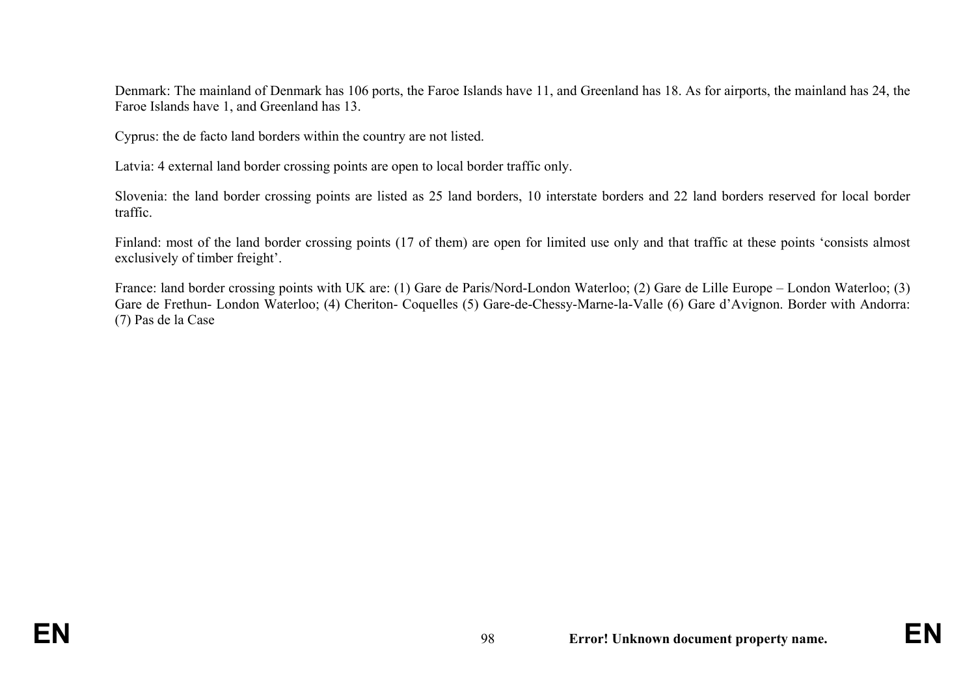Denmark: The mainland of Denmark has 106 ports, the Faroe Islands have 11, and Greenland has 18. As for airports, the mainland has 24, the Faroe Islands have 1, and Greenland has 13.

Cyprus: the de facto land borders within the country are not listed.

Latvia: 4 external land border crossing points are open to local border traffic only.

Slovenia: the land border crossing points are listed as 25 land borders, 10 interstate borders and 22 land borders reserved for local border traffic.

Finland: most of the land border crossing points (17 of them) are open for limited use only and that traffic at these points 'consists almost exclusively of timber freight'.

France: land border crossing points with UK are: (1) Gare de Paris/Nord-London Waterloo; (2) Gare de Lille Europe – London Waterloo; (3) Gare de Frethun- London Waterloo; (4) Cheriton- Coquelles (5) Gare-de-Chessy-Marne-la-Valle (6) Gare d'Avignon. Border with Andorra: (7) Pas de la Case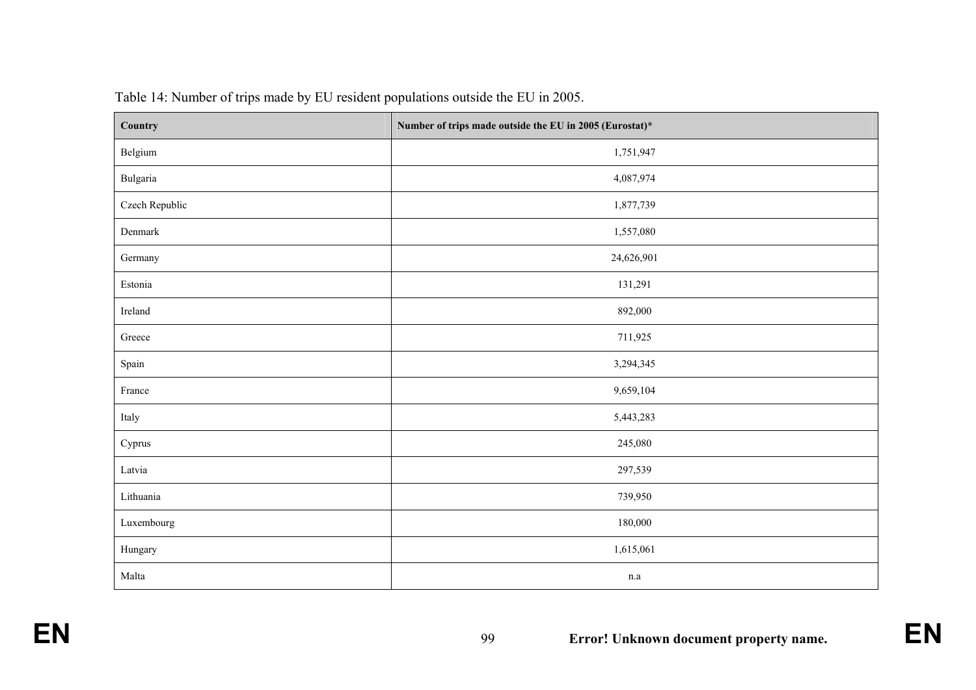| Country        | Number of trips made outside the EU in 2005 (Eurostat)* |  |  |  |  |
|----------------|---------------------------------------------------------|--|--|--|--|
| Belgium        | 1,751,947                                               |  |  |  |  |
| Bulgaria       | 4,087,974                                               |  |  |  |  |
| Czech Republic | 1,877,739                                               |  |  |  |  |
| Denmark        | 1,557,080                                               |  |  |  |  |
| Germany        | 24,626,901                                              |  |  |  |  |
| Estonia        | 131,291                                                 |  |  |  |  |
| Ireland        | 892,000                                                 |  |  |  |  |
| Greece         | 711,925                                                 |  |  |  |  |
| Spain          | 3,294,345                                               |  |  |  |  |
| France         | 9,659,104                                               |  |  |  |  |
| Italy          | 5,443,283                                               |  |  |  |  |
| Cyprus         | 245,080                                                 |  |  |  |  |
| Latvia         | 297,539                                                 |  |  |  |  |
| Lithuania      | 739,950                                                 |  |  |  |  |
| Luxembourg     | 180,000                                                 |  |  |  |  |
| Hungary        | 1,615,061                                               |  |  |  |  |
| Malta          | $\rm n.a$                                               |  |  |  |  |

Table 14: Number of trips made by EU resident populations outside the EU in 2005.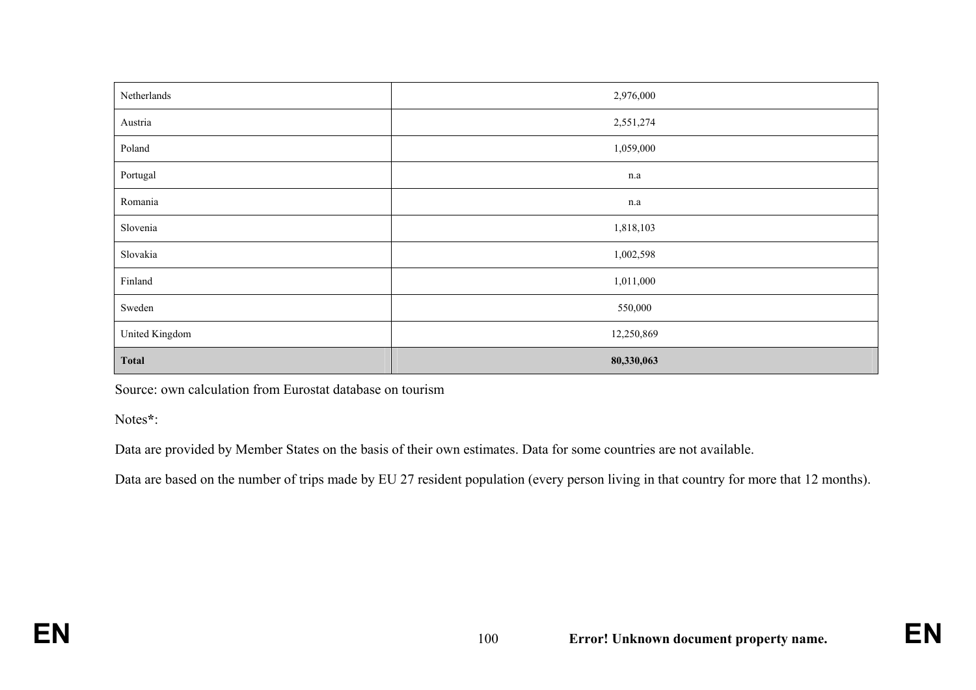| Netherlands    | 2,976,000  |
|----------------|------------|
| Austria        | 2,551,274  |
| Poland         | 1,059,000  |
| Portugal       | n.a        |
| Romania        | n.a        |
| Slovenia       | 1,818,103  |
| Slovakia       | 1,002,598  |
| Finland        | 1,011,000  |
| Sweden         | 550,000    |
| United Kingdom | 12,250,869 |
| <b>Total</b>   | 80,330,063 |

Source: own calculation from Eurostat database on tourism

Notes**\***:

Data are provided by Member States on the basis of their own estimates. Data for some countries are not available.

Data are based on the number of trips made by EU 27 resident population (every person living in that country for more that 12 months).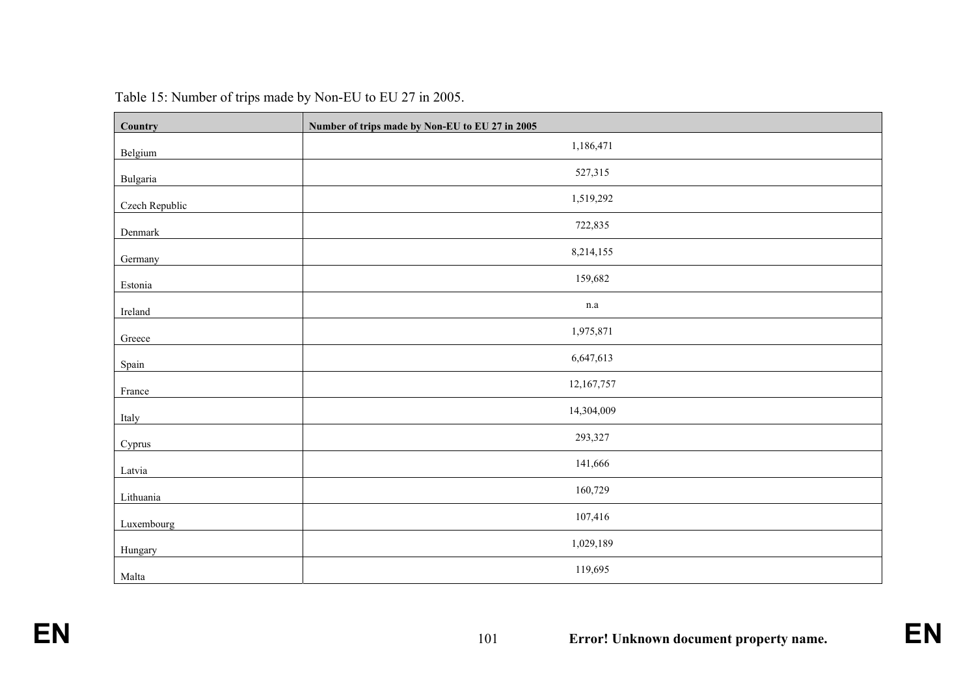| Country        | Number of trips made by Non-EU to EU 27 in 2005 |
|----------------|-------------------------------------------------|
| Belgium        | 1,186,471                                       |
| Bulgaria       | 527,315                                         |
| Czech Republic | 1,519,292                                       |
| Denmark        | 722,835                                         |
| Germany        | 8,214,155                                       |
| Estonia        | 159,682                                         |
| Ireland        | $\rm n.a$                                       |
| Greece         | 1,975,871                                       |
| Spain          | 6,647,613                                       |
| France         | 12,167,757                                      |
| Italy          | 14,304,009                                      |
| Cyprus         | 293,327                                         |
| Latvia         | 141,666                                         |
| Lithuania      | 160,729                                         |
| Luxembourg     | 107,416                                         |
| Hungary        | 1,029,189                                       |
| Malta          | 119,695                                         |

| Table 15: Number of trips made by Non-EU to EU 27 in 2005. |
|------------------------------------------------------------|
|------------------------------------------------------------|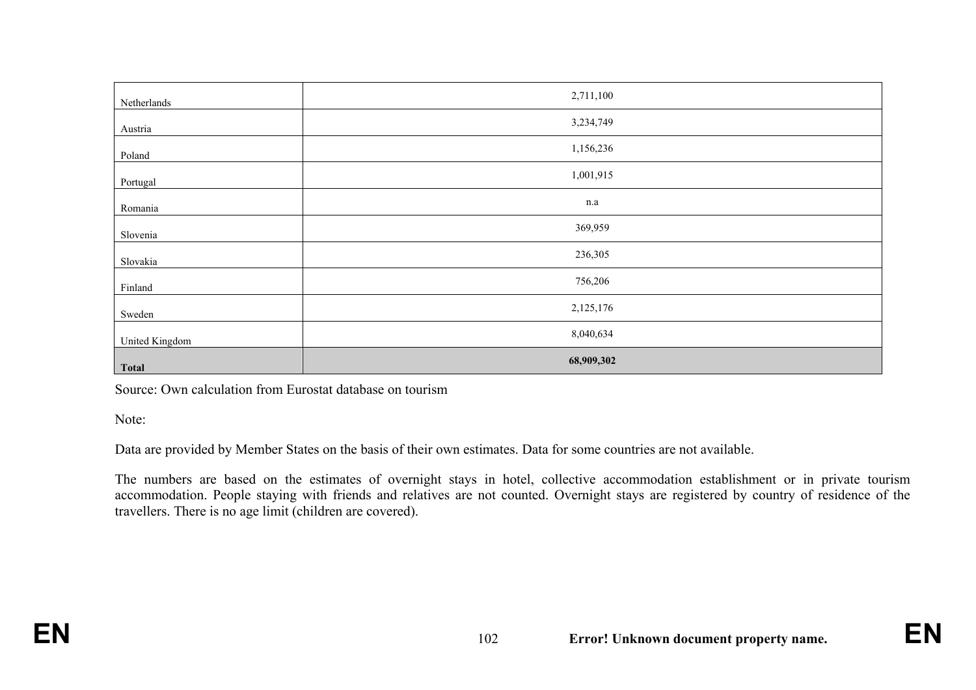| Netherlands    | 2,711,100  |
|----------------|------------|
| Austria        | 3,234,749  |
| Poland         | 1,156,236  |
| Portugal       | 1,001,915  |
| Romania        | $\rm n.a$  |
| Slovenia       | 369,959    |
| Slovakia       | 236,305    |
| Finland        | 756,206    |
| Sweden         | 2,125,176  |
| United Kingdom | 8,040,634  |
| <b>Total</b>   | 68,909,302 |

Source: Own calculation from Eurostat database on tourism

Note:

Data are provided by Member States on the basis of their own estimates. Data for some countries are not available.

The numbers are based on the estimates of overnight stays in hotel, collective accommodation establishment or in private tourism accommodation. People staying with friends and relatives are not counted. Overnight stays are registered by country of residence of the travellers. There is no age limit (children are covered).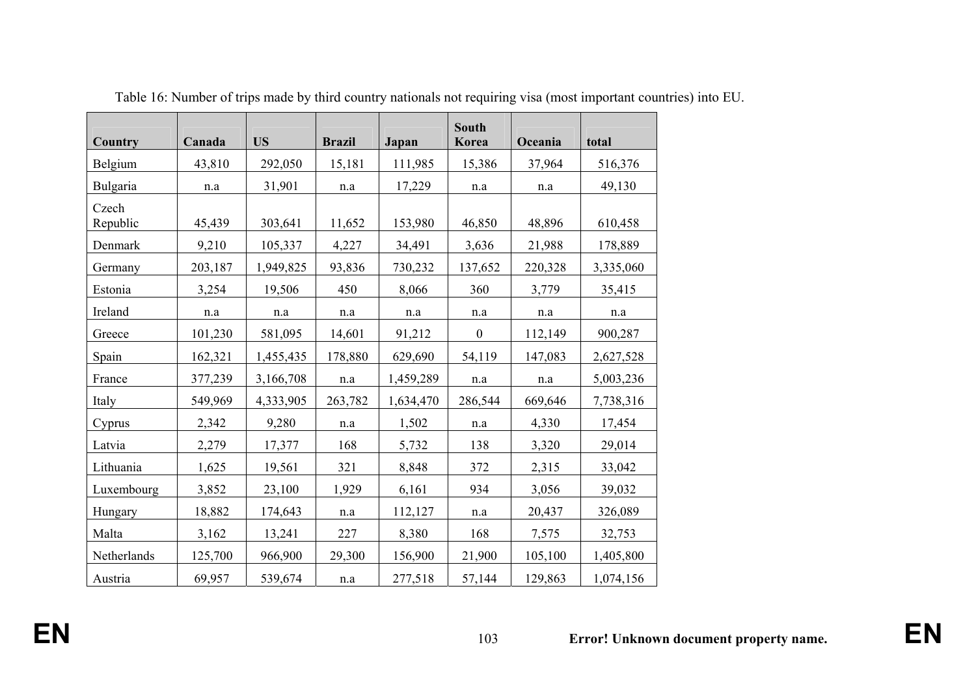| Country           | Canada  | <b>US</b> | <b>Brazil</b> | Japan     | <b>South</b><br>Korea | Oceania | total     |
|-------------------|---------|-----------|---------------|-----------|-----------------------|---------|-----------|
| Belgium           | 43,810  | 292,050   | 15,181        | 111,985   | 15,386                | 37,964  | 516,376   |
| Bulgaria          | n.a     | 31,901    | n.a           | 17,229    | n.a                   | n.a     | 49,130    |
| Czech<br>Republic | 45,439  | 303,641   | 11,652        | 153,980   | 46,850                | 48,896  | 610,458   |
| Denmark           | 9,210   | 105,337   | 4,227         | 34,491    | 3,636                 | 21,988  | 178,889   |
| Germany           | 203,187 | 1,949,825 | 93,836        | 730,232   | 137,652               | 220,328 | 3,335,060 |
| Estonia           | 3,254   | 19,506    | 450           | 8,066     | 360                   | 3,779   | 35,415    |
| Ireland           | n.a     | n.a       | n.a           | n.a       | n.a                   | n.a     | n.a       |
| Greece            | 101,230 | 581,095   | 14,601        | 91,212    | $\boldsymbol{0}$      | 112,149 | 900,287   |
| Spain             | 162,321 | 1,455,435 | 178,880       | 629,690   | 54,119                | 147,083 | 2,627,528 |
| France            | 377,239 | 3,166,708 | n.a           | 1,459,289 | n.a                   | n.a     | 5,003,236 |
| Italy             | 549,969 | 4,333,905 | 263,782       | 1,634,470 | 286,544               | 669,646 | 7,738,316 |
| Cyprus            | 2,342   | 9,280     | n.a           | 1,502     | n.a                   | 4,330   | 17,454    |
| Latvia            | 2,279   | 17,377    | 168           | 5,732     | 138                   | 3,320   | 29,014    |
| Lithuania         | 1,625   | 19,561    | 321           | 8,848     | 372                   | 2,315   | 33,042    |
| Luxembourg        | 3,852   | 23,100    | 1,929         | 6,161     | 934                   | 3,056   | 39,032    |
| Hungary           | 18,882  | 174,643   | n.a           | 112,127   | n.a                   | 20,437  | 326,089   |
| Malta             | 3,162   | 13,241    | 227           | 8,380     | 168                   | 7,575   | 32,753    |
| Netherlands       | 125,700 | 966,900   | 29,300        | 156,900   | 21,900                | 105,100 | 1,405,800 |
| Austria           | 69,957  | 539,674   | n.a           | 277,518   | 57,144                | 129,863 | 1,074,156 |

Table 16: Number of trips made by third country nationals not requiring visa (most important countries) into EU.